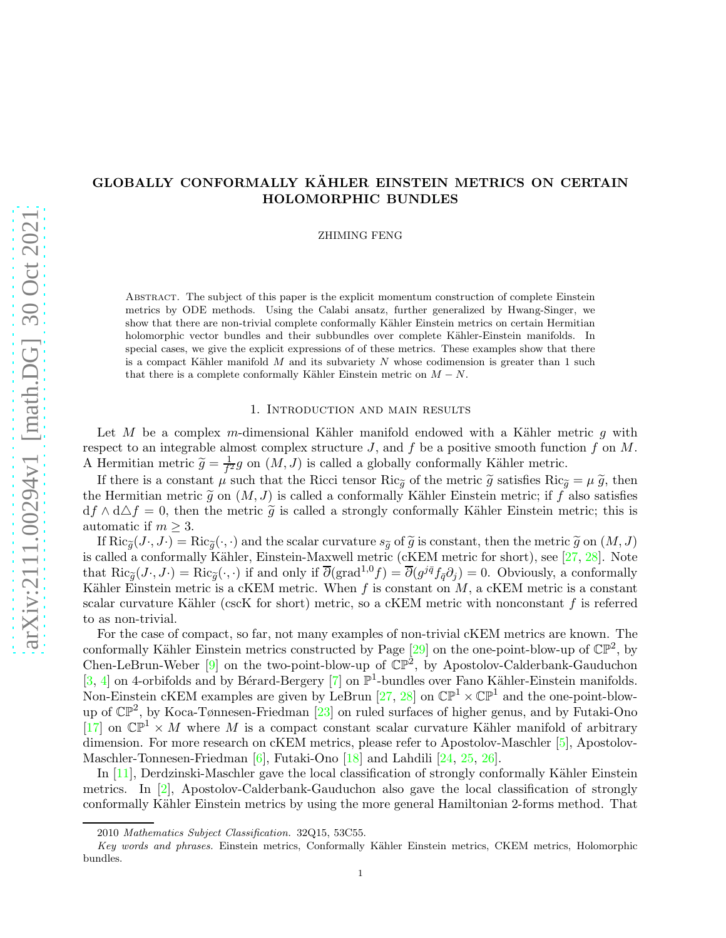# GLOBALLY CONFORMALLY KÄHLER EINSTEIN METRICS ON CERTAIN HOLOMORPHIC BUNDLES

ZHIMING FENG

Abstract. The subject of this paper is the explicit momentum construction of complete Einstein metrics by ODE methods. Using the Calabi ansatz, further generalized by Hwang-Singer, we show that there are non-trivial complete conformally Kähler Einstein metrics on certain Hermitian holomorphic vector bundles and their subbundles over complete Kähler-Einstein manifolds. In special cases, we give the explicit expressions of of these metrics. These examples show that there is a compact Kähler manifold  $M$  and its subvariety  $N$  whose codimension is greater than 1 such that there is a complete conformally Kähler Einstein metric on  $M - N$ .

#### 1. Introduction and main results

Let M be a complex m-dimensional Kähler manifold endowed with a Kähler metric g with respect to an integrable almost complex structure  $J$ , and  $f$  be a positive smooth function  $f$  on  $M$ . A Hermitian metric  $\widetilde{g} = \frac{1}{f^2}$  $\frac{1}{f^2}g$  on  $(M, J)$  is called a globally conformally Kähler metric.

If there is a constant  $\mu$  such that the Ricci tensor Ric<sub> $\tilde{q}$ </sub> of the metric  $\tilde{g}$  satisfies Ric $\tilde{q} = \mu \tilde{g}$ , then the Hermitian metric  $\tilde{q}$  on  $(M, J)$  is called a conformally Kähler Einstein metric; if f also satisfies  $df \wedge d\Delta f = 0$ , then the metric  $\tilde{g}$  is called a strongly conformally Kähler Einstein metric; this is automatic if  $m \geq 3$ .

If  $\text{Ric}_{\tilde{g}}(J\cdot, J\cdot) = \text{Ric}_{\tilde{g}}(\cdot, \cdot)$  and the scalar curvature  $s_{\tilde{g}}$  of  $\tilde{g}$  is constant, then the metric  $\tilde{g}$  on  $(M, J)$ is called a conformally Kähler, Einstein-Maxwell metric (cKEM metric for short), see  $[27, 28]$  $[27, 28]$ . Note that  $\text{Ric}_{\tilde{g}}(J, J \cdot) = \text{Ric}_{\tilde{g}}(\cdot, \cdot)$  if and only if  $\overline{\partial}(\text{grad}^{1,0}f) = \overline{\partial}(g^{j\bar{q}}f_{\bar{q}}\partial_j) = 0$ . Obviously, a conformally Kähler Einstein metric is a cKEM metric. When f is constant on  $M$ , a cKEM metric is a constant scalar curvature Kähler (cscK for short) metric, so a cKEM metric with nonconstant  $f$  is referred to as non-trivial.

For the case of compact, so far, not many examples of non-trivial cKEM metrics are known. The conformally Kähler Einstein metrics constructed by Page  $[29]$  on the one-point-blow-up of  $\mathbb{CP}^2$ , by Chen-LeBrun-Weber  $[9]$  on the two-point-blow-up of  $\mathbb{CP}^2$ , by Apostolov-Calderbank-Gauduchon [\[3,](#page-46-0) [4\]](#page-46-1) on 4-orbifolds and by Bérard-Bergery [\[7\]](#page-47-4) on  $\mathbb{P}^1$ -bundles over Fano Kähler-Einstein manifolds. Non-Einstein cKEM examples are given by LeBrun  $[27, 28]$  $[27, 28]$  on  $\mathbb{CP}^1 \times \mathbb{CP}^1$  and the one-point-blowup of  $\mathbb{CP}^2$ , by Koca-Tønnesen-Friedman [\[23\]](#page-47-5) on ruled surfaces of higher genus, and by Futaki-Ono [\[17\]](#page-47-6) on  $\mathbb{CP}^1 \times M$  where M is a compact constant scalar curvature Kähler manifold of arbitrary dimension. For more research on cKEM metrics, please refer to Apostolov-Maschler [\[5\]](#page-46-2), Apostolov-Maschler-Tonnesen-Friedman [\[6\]](#page-47-7), Futaki-Ono [\[18\]](#page-47-8) and Lahdili [\[24,](#page-47-9) [25,](#page-47-10) [26\]](#page-47-11).

In  $[11]$ , Derdzinski-Maschler gave the local classification of strongly conformally Kähler Einstein metrics. In [\[2\]](#page-46-3), Apostolov-Calderbank-Gauduchon also gave the local classification of strongly conformally K¨ahler Einstein metrics by using the more general Hamiltonian 2-forms method. That

<sup>2010</sup> Mathematics Subject Classification. 32Q15, 53C55.

Key words and phrases. Einstein metrics, Conformally Kähler Einstein metrics, CKEM metrics, Holomorphic bundles.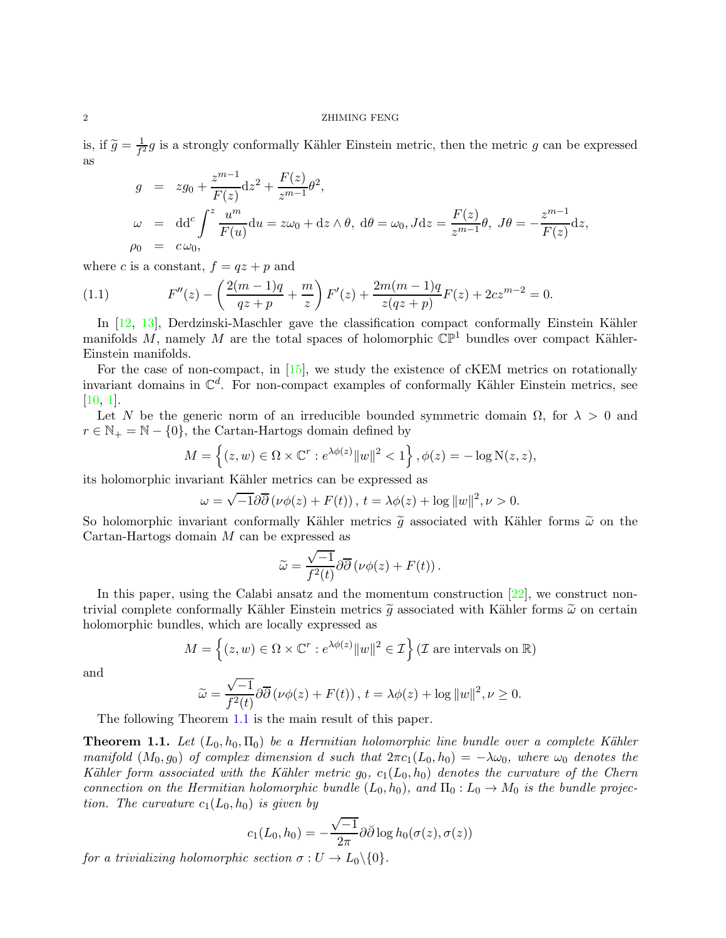#### 2 ZHIMING FENG

is, if  $\widetilde{g} = \frac{1}{f^2}$  $\frac{1}{f^2}g$  is a strongly conformally Kähler Einstein metric, then the metric g can be expressed as

$$
g = zg_0 + \frac{z^{m-1}}{F(z)}dz^2 + \frac{F(z)}{z^{m-1}}\theta^2,
$$
  
\n
$$
\omega = dd^c \int^z \frac{u^m}{F(u)} du = z\omega_0 + dz \wedge \theta, d\theta = \omega_0, Jdz = \frac{F(z)}{z^{m-1}}\theta, J\theta = -\frac{z^{m-1}}{F(z)}dz,
$$
  
\n
$$
\rho_0 = c\omega_0,
$$

where c is a constant,  $f = qz + p$  and

(1.1) 
$$
F''(z) - \left(\frac{2(m-1)q}{qz+p} + \frac{m}{z}\right)F'(z) + \frac{2m(m-1)q}{z(qz+p)}F(z) + 2cz^{m-2} = 0.
$$

In  $[12, 13]$  $[12, 13]$ , Derdzinski-Maschler gave the classification compact conformally Einstein Kähler manifolds M, namely M are the total spaces of holomorphic  $\mathbb{CP}^1$  bundles over compact Kähler-Einstein manifolds.

For the case of non-compact, in [\[15\]](#page-47-15), we study the existence of cKEM metrics on rotationally invariant domains in  $\mathbb{C}^d$ . For non-compact examples of conformally Kähler Einstein metrics, see [\[10,](#page-47-16) [1\]](#page-46-4).

Let N be the generic norm of an irreducible bounded symmetric domain  $\Omega$ , for  $\lambda > 0$  and  $r \in \mathbb{N}_+ = \mathbb{N} - \{0\}$ , the Cartan-Hartogs domain defined by

$$
M = \left\{ (z, w) \in \Omega \times \mathbb{C}^r : e^{\lambda \phi(z)} ||w||^2 < 1 \right\}, \phi(z) = -\log N(z, z),
$$

its holomorphic invariant Kähler metrics can be expressed as

$$
\omega = \sqrt{-1}\partial\overline{\partial}\left(\nu\phi(z) + F(t)\right), t = \lambda\phi(z) + \log||w||^2, \nu > 0.
$$

So holomorphic invariant conformally Kähler metrics  $\tilde{g}$  associated with Kähler forms  $\tilde{\omega}$  on the Cartan-Hartogs domain M can be expressed as

$$
\widetilde{\omega} = \frac{\sqrt{-1}}{f^2(t)} \partial \overline{\partial} (\nu \phi(z) + F(t)).
$$

In this paper, using the Calabi ansatz and the momentum construction [\[22\]](#page-47-17), we construct nontrivial complete conformally Kähler Einstein metrics  $\tilde{q}$  associated with Kähler forms  $\tilde{\omega}$  on certain holomorphic bundles, which are locally expressed as

$$
M = \left\{ (z, w) \in \Omega \times \mathbb{C}^r : e^{\lambda \phi(z)} ||w||^2 \in \mathcal{I} \right\} (\mathcal{I} \text{ are intervals on } \mathbb{R})
$$

and

$$
\widetilde{\omega} = \frac{\sqrt{-1}}{f^2(t)} \partial \overline{\partial} (\nu \phi(z) + F(t)), \, t = \lambda \phi(z) + \log ||w||^2, \, \nu \ge 0.
$$

The following Theorem [1.1](#page-1-0) is the main result of this paper.

<span id="page-1-0"></span>**Theorem 1.1.** Let  $(L_0, h_0, \Pi_0)$  be a Hermitian holomorphic line bundle over a complete Kähler *manifold*  $(M_0, g_0)$  *of complex dimension* d *such that*  $2\pi c_1(L_0, h_0) = -\lambda \omega_0$ *, where*  $\omega_0$  *denotes the K*ähler form associated with the Kähler metric  $g_0$ ,  $c_1(L_0, h_0)$  denotes the curvature of the Chern *connection on the Hermitian holomorphic bundle*  $(L_0, h_0)$ *, and*  $\Pi_0: L_0 \to M_0$  *is the bundle projection. The curvature*  $c_1(L_0, h_0)$  *is given by* 

$$
c_1(L_0, h_0) = -\frac{\sqrt{-1}}{2\pi} \partial \bar{\partial} \log h_0(\sigma(z), \sigma(z))
$$

*for a trivializing holomorphic section*  $\sigma: U \to L_0 \setminus \{0\}.$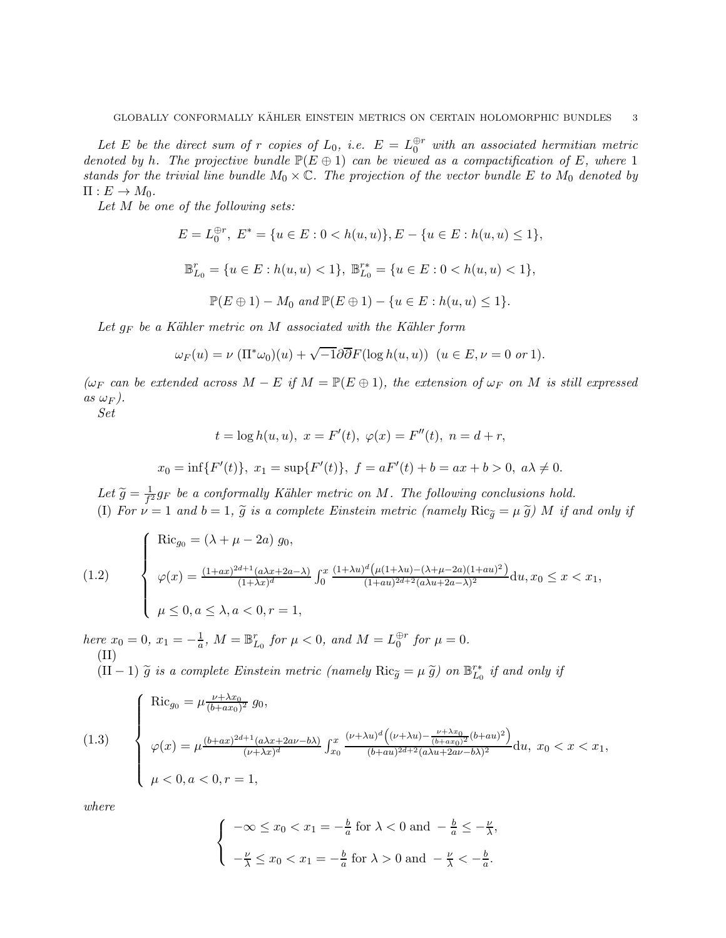Let E be the direct sum of r copies of  $L_0$ , i.e.  $E = L_0^{\oplus r}$  with an associated hermitian metric *denoted by* h. The projective bundle  $\mathbb{P}(E \oplus 1)$  can be viewed as a compactification of E, where 1 *stands for the trivial line bundle*  $M_0 \times \mathbb{C}$ *. The projection of the vector bundle* E *to*  $M_0$  *denoted by*  $\Pi: E \to M_0$ .

*Let* M *be one of the following sets:*

$$
E = L_0^{\oplus r}, \ E^* = \{u \in E : 0 < h(u, u)\}, E - \{u \in E : h(u, u) \le 1\},\
$$

$$
\mathbb{B}^r_{L_0}=\{u\in E: h(u,u)<1\},\ \mathbb{B}^{r*}_{L_0}=\{u\in E: 0
$$

$$
\mathbb{P}(E \oplus 1) - M_0 \text{ and } \mathbb{P}(E \oplus 1) - \{u \in E : h(u, u) \le 1\}.
$$

*Let* g<sup>F</sup> *be a K¨ahler metric on* M *associated with the K¨ahler form*

$$
\omega_F(u) = \nu \left( \Pi^* \omega_0 \right)(u) + \sqrt{-1} \partial \overline{\partial} F(\log h(u, u)) \ \ (u \in E, \nu = 0 \text{ or } 1).
$$

 $(\omega_F \text{ can be extended across } M - E \text{ if } M = \mathbb{P}(E \oplus 1), \text{ the extension of } \omega_F \text{ on } M \text{ is still expressed}$  $as \omega_F$ ).

*Set*

$$
t = \log h(u, u), \ x = F'(t), \ \varphi(x) = F''(t), \ n = d + r,
$$
  

$$
x_0 = \inf\{F'(t)\}, \ x_1 = \sup\{F'(t)\}, \ f = aF'(t) + b = ax + b > 0, \ a\lambda \neq 0.
$$

Let  $\widetilde{g} = \frac{1}{f^2}$  $\frac{1}{f^2}g_F$  be a conformally Kähler metric on M. The following conclusions hold. (I) For  $\nu = 1$  and  $b = 1$ ,  $\widetilde{g}$  is a complete Einstein metric (namely  $\text{Ric}_{\widetilde{g}} = \mu \widetilde{g}$ ) M if and only if

(1.2) 
$$
\begin{cases}\n\text{Ric}_{g_0} = (\lambda + \mu - 2a) g_0, \\
\varphi(x) = \frac{(1+ax)^{2d+1}(a\lambda x + 2a - \lambda)}{(1+\lambda x)^d} \int_0^x \frac{(1+\lambda u)^d (\mu(1+\lambda u) - (\lambda + \mu - 2a)(1+au)^2)}{(1+au)^{2d+2}(a\lambda u + 2a - \lambda)^2} du, x_0 \leq x < x_1, \\
\mu \leq 0, a \leq \lambda, a < 0, r = 1,\n\end{cases}
$$

*here*  $x_0 = 0$ ,  $x_1 = -\frac{1}{a}$ ,  $M = \mathbb{B}_{L_0}^r$  for  $\mu < 0$ , and  $M = L_0^{\oplus r}$  for  $\mu = 0$ . (II)  $(II-1) \tilde{g}$  *is a complete Einstein metric (namely*  $\text{Ric}_{\tilde{g}} = \mu \tilde{g}$ ) *on*  $\mathbb{B}_{L_0}^{r*}$  *if and only if* 

(1.3) 
$$
\begin{cases}\n\text{Ric}_{g_0} = \mu \frac{\nu + \lambda x_0}{(b + ax_0)^2} g_0, \\
\varphi(x) = \mu \frac{(b + ax)^{2d + 1} (a\lambda x + 2a\nu - b\lambda)}{(\nu + \lambda x)^d} \int_{x_0}^x \frac{(\nu + \lambda u)^d \left((\nu + \lambda u) - \frac{\nu + \lambda x_0}{(b + ax_0)^2} (b + au)^2\right)}{(b + au)^{2d + 2} (a\lambda u + 2a\nu - b\lambda)^2} du, & x_0 < x < x_1, \\
\mu < 0, a < 0, r = 1,\n\end{cases}
$$

*where*

$$
\begin{cases}\n-\infty \le x_0 < x_1 = -\frac{b}{a} \text{ for } \lambda < 0 \text{ and } -\frac{b}{a} \le -\frac{\nu}{\lambda}, \\
-\frac{\nu}{\lambda} \le x_0 < x_1 = -\frac{b}{a} \text{ for } \lambda > 0 \text{ and } -\frac{\nu}{\lambda} < -\frac{b}{a}.\n\end{cases}
$$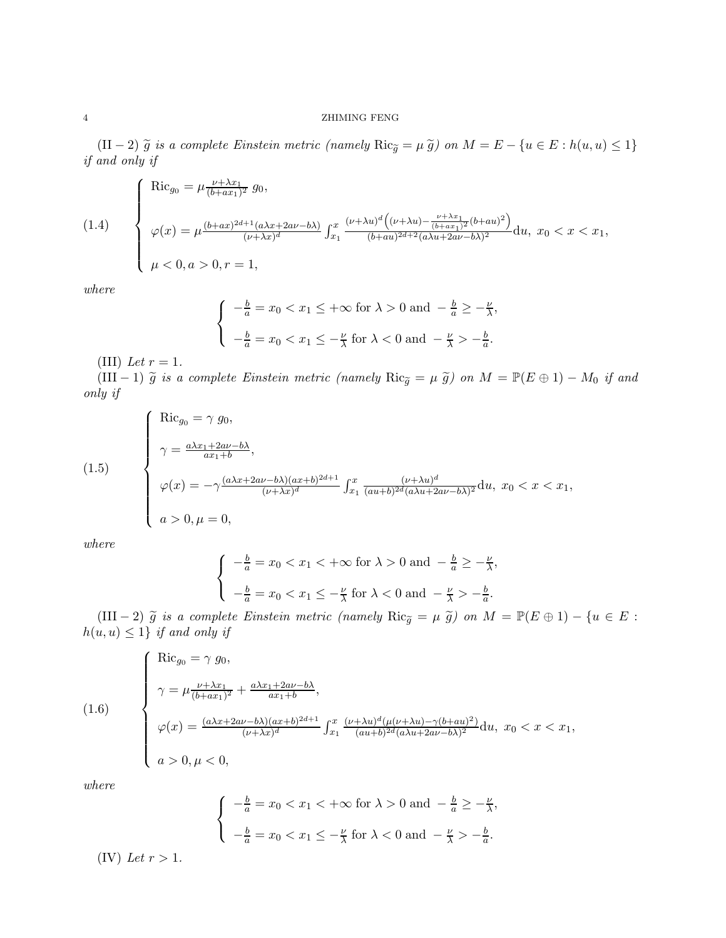### 4 ZHIMING FENG

 $(I<sup>I</sup> - 2)$   $\widetilde{g}$  *is a complete Einstein metric (namely* Ric $\widetilde{g} = \mu \widetilde{g}$ ) *on*  $M = E - \{u \in E : h(u, u) \leq 1\}$ *if and only if*

(1.4)  
\n
$$
\begin{cases}\n\text{Ric}_{g_0} = \mu \frac{\nu + \lambda x_1}{(b + ax_1)^2} g_0, \\
\varphi(x) = \mu \frac{(b + ax)^{2d + 1} (a\lambda x + 2av - b\lambda)}{(\nu + \lambda x)^d} \int_{x_1}^x \frac{(\nu + \lambda u)^d ((\nu + \lambda u) - \frac{\nu + \lambda x_1}{(b + ax_1)^2} (b + au)^2)}{(b + au)^{2d + 2} (a\lambda u + 2av - b\lambda)^2} du, \ x_0 < x < x_1, \\
\mu < 0, a > 0, r = 1,\n\end{cases}
$$

*where*

$$
\begin{cases}\n-\frac{b}{a} = x_0 < x_1 \leq +\infty \text{ for } \lambda > 0 \text{ and } -\frac{b}{a} \geq -\frac{\nu}{\lambda}, \\
-\frac{b}{a} = x_0 < x_1 \leq -\frac{\nu}{\lambda} \text{ for } \lambda < 0 \text{ and } -\frac{\nu}{\lambda} > -\frac{b}{a}.\n\end{cases}
$$

(III) *Let*  $r = 1$ *.* 

(III − 1)  $\tilde{g}$  *is a complete Einstein metric (namely* Ric $_{\tilde{g}} = \mu \tilde{g}$ ) on  $M = \mathbb{P}(E \oplus 1) - M_0$  *if and only if*

(1.5)  
\n
$$
\begin{cases}\n\text{Ric}_{g_0} = \gamma g_0, \\
\gamma = \frac{a\lambda x_1 + 2a\nu - b\lambda}{ax_1 + b}, \\
\varphi(x) = -\gamma \frac{(a\lambda x + 2a\nu - b\lambda)(ax + b)^{2d+1}}{(\nu + \lambda x)^d} \int_{x_1}^x \frac{(\nu + \lambda u)^d}{(au + b)^{2d}(a\lambda u + 2a\nu - b\lambda)^2} \mathrm{d}u, \ x_0 < x < x_1, \\
a > 0, \mu = 0,\n\end{cases}
$$

*where*

$$
\begin{cases}\n-\frac{b}{a} = x_0 < x_1 < +\infty \text{ for } \lambda > 0 \text{ and } -\frac{b}{a} \ge -\frac{\nu}{\lambda}, \\
-\frac{b}{a} = x_0 < x_1 \le -\frac{\nu}{\lambda} \text{ for } \lambda < 0 \text{ and } -\frac{\nu}{\lambda} > -\frac{b}{a}.\n\end{cases}
$$

(III − 2)  $\tilde{g}$  *is a complete Einstein metric (namely*  $\text{Ric}_{\tilde{g}} = \mu \tilde{g}$ ) *on*  $M = \mathbb{P}(E \oplus 1) - \{u \in E :$  $h(u, u) \leq 1$ *} if and only if* 

(1.6)  
\n
$$
\begin{cases}\n\operatorname{Ric}_{g_0} = \gamma g_0, \\
\gamma = \mu \frac{\nu + \lambda x_1}{(b + ax_1)^2} + \frac{a\lambda x_1 + 2a\nu - b\lambda}{ax_1 + b}, \\
\varphi(x) = \frac{(a\lambda x + 2a\nu - b\lambda)(ax + b)^{2d+1}}{(\nu + \lambda x)^d} \int_{x_1}^x \frac{(\nu + \lambda u)^d (\mu(\nu + \lambda u) - \gamma(b + au)^2)}{(au + b)^{2d}(a\lambda u + 2av - b\lambda)^2} du, \ x_0 < x < x_1, \\
a > 0, \mu < 0,\n\end{cases}
$$

*where*

$$
\begin{cases}\n-\frac{b}{a} = x_0 < x_1 < +\infty \text{ for } \lambda > 0 \text{ and } -\frac{b}{a} \ge -\frac{\nu}{\lambda}, \\
-\frac{b}{a} = x_0 < x_1 \le -\frac{\nu}{\lambda} \text{ for } \lambda < 0 \text{ and } -\frac{\nu}{\lambda} > -\frac{b}{a}.\n\end{cases}
$$
\n(IV) Let  $r > 1$ .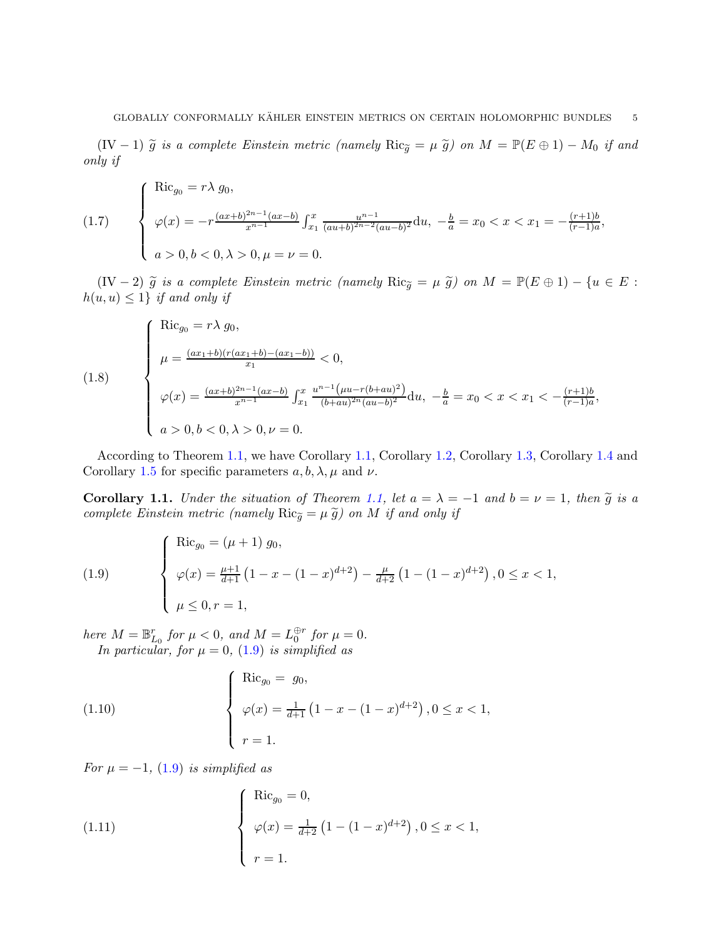(IV − 1)  $\tilde{g}$  *is a complete Einstein metric (namely* Ric $_{\tilde{g}} = \mu \tilde{g}$ ) on  $M = \mathbb{P}(E \oplus 1) - M_0$  *if and only if*

(1.7) 
$$
\begin{cases} \text{Ric}_{g_0} = r\lambda g_0, \\ \varphi(x) = -r \frac{(ax+b)^{2n-1}(ax-b)}{x^{n-1}} \int_{x_1}^x \frac{u^{n-1}}{(au+b)^{2n-2}(au-b)^2} du, \ -\frac{b}{a} = x_0 < x < x_1 = -\frac{(r+1)b}{(r-1)a}, \\ a > 0, b < 0, \lambda > 0, \mu = \nu = 0. \end{cases}
$$

(IV − 2)  $\tilde{g}$  *is a complete Einstein metric (namely* Ric<sub> $\tilde{g} = \mu \tilde{g}$ ) on  $M = \mathbb{P}(E \oplus 1) - \{u \in E :$ </sub>  $h(u, u) \leq 1$  *if and only if* 

(1.8)  
\n
$$
\begin{cases}\n\text{Ric}_{g_0} = r\lambda g_0, \\
\mu = \frac{(ax_1 + b)(r(ax_1 + b) - (ax_1 - b))}{x_1} < 0, \\
\varphi(x) = \frac{(ax + b)^{2n - 1}(ax - b)}{x^{n - 1}} \int_{x_1}^x \frac{u^{n - 1}(\mu u - r(b + au)^2)}{(b + au)^{2n}(au - b)^2} du, \ -\frac{b}{a} = x_0 < x < x_1 < -\frac{(r + 1)b}{(r - 1)a}, \\
a > 0, b < 0, \lambda > 0, \nu = 0.\n\end{cases}
$$

According to Theorem [1.1,](#page-1-0) we have Corollary [1.1,](#page-4-0) Corollary [1.2,](#page-5-0) Corollary [1.3,](#page-5-1) Corollary [1.4](#page-6-0) and Corollary [1.5](#page-6-1) for specific parameters  $a, b, \lambda, \mu$  and  $\nu$ .

<span id="page-4-0"></span>**Corollary 1.1.** *Under the situation of Theorem [1.1,](#page-1-0) let*  $a = \lambda = -1$  *and*  $b = \nu = 1$ *, then*  $\tilde{g}$  *is a complete Einstein metric (namely*  $\text{Ric}_{\tilde{q}} = \mu \tilde{g}$ ) on M *if and only if* 

<span id="page-4-1"></span>(1.9) 
$$
\begin{cases} \text{Ric}_{g_0} = (\mu + 1) g_0, \\ \varphi(x) = \frac{\mu + 1}{d + 1} \left( 1 - x - (1 - x)^{d + 2} \right) - \frac{\mu}{d + 2} \left( 1 - (1 - x)^{d + 2} \right), 0 \le x < 1, \\ \mu \le 0, r = 1, \end{cases}
$$

*here*  $M = \mathbb{B}_{L_0}^r$  *for*  $\mu < 0$ *, and*  $M = L_0^{\oplus r}$  *for*  $\mu = 0$ *. In particular, for*  $\mu = 0$ , [\(1.9\)](#page-4-1) *is simplified as* 

(1.10) 
$$
\begin{cases} \text{Ric}_{g_0} = g_0, \\ \varphi(x) = \frac{1}{d+1} \left( 1 - x - (1-x)^{d+2} \right), 0 \le x < 1, \\ r = 1. \end{cases}
$$

*For*  $\mu = -1$ *,* (1.9*) is simplified as* 

(1.11) 
$$
\begin{cases} \text{Ric}_{g_0} = 0, \\ \varphi(x) = \frac{1}{d+2} (1 - (1-x)^{d+2}), 0 \le x < 1, \\ r = 1. \end{cases}
$$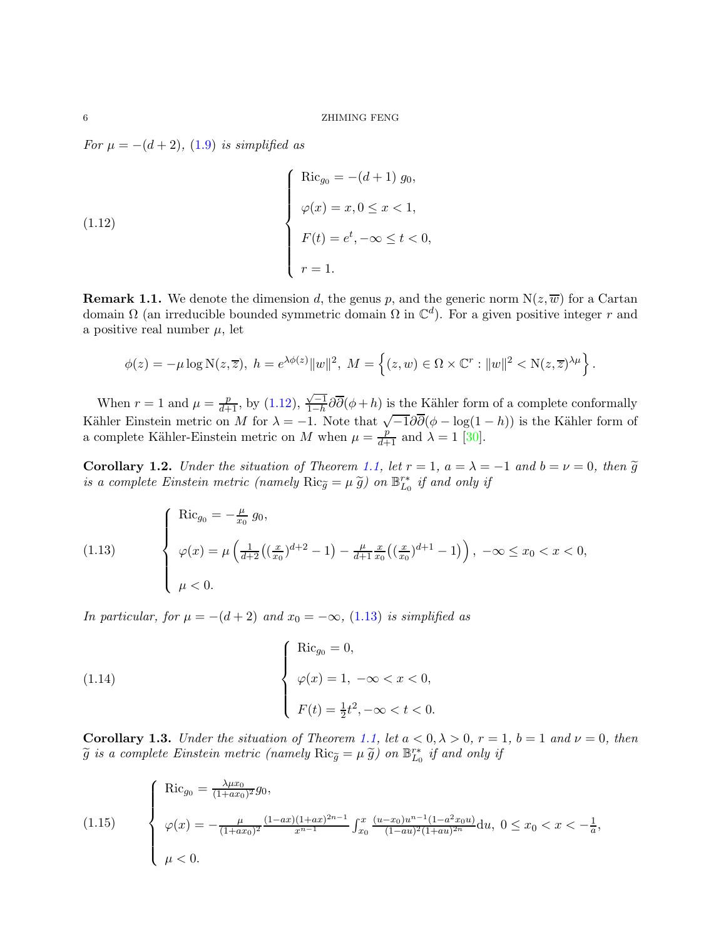*For*  $\mu = -(d+2)$ *,* [\(1.9\)](#page-4-1) *is simplified as* 

<span id="page-5-2"></span>(1.12) 
$$
\begin{cases}\n\text{Ric}_{g_0} = -(d+1) g_0, \\
\varphi(x) = x, 0 \le x < 1, \\
F(t) = e^t, -\infty \le t < 0, \\
r = 1.\n\end{cases}
$$

**Remark 1.1.** We denote the dimension d, the genus p, and the generic norm  $N(z, \overline{w})$  for a Cartan domain  $\Omega$  (an irreducible bounded symmetric domain  $\Omega$  in  $\mathbb{C}^d$ ). For a given positive integer r and a positive real number  $\mu$ , let

$$
\phi(z) = -\mu \log \mathcal{N}(z, \overline{z}), \ h = e^{\lambda \phi(z)} \|w\|^2, \ M = \left\{ (z, w) \in \Omega \times \mathbb{C}^r : \|w\|^2 < \mathcal{N}(z, \overline{z})^{\lambda \mu} \right\}
$$

.

When  $r = 1$  and  $\mu = \frac{p}{d+1}$ , by [\(1.12\)](#page-5-2),  $\frac{\sqrt{-1}}{1-h}$  $\frac{\sqrt{1-h}}{1-h}\partial\bar{\partial}(\phi+h)$  is the Kähler form of a complete conformally Kähler Einstein metric on M for  $\lambda = -1$ . Note that  $\sqrt{-1} \partial \overline{\partial} (\phi - \log(1 - h))$  is the Kähler form of a complete Kähler-Einstein metric on M when  $\mu = \frac{p}{d+1}$  and  $\lambda = 1$  [\[30\]](#page-47-18).

<span id="page-5-0"></span>**Corollary 1.2.** *Under the situation of Theorem [1.1,](#page-1-0) let*  $r = 1$ *,*  $a = \lambda = -1$  *and*  $b = v = 0$ *, then*  $\tilde{g}$ *is a complete Einstein metric (namely*  $\text{Ric}_{\tilde{g}} = \mu \, \tilde{g}$ ) on  $\mathbb{B}_{L_0}^{r*}$  *if and only if* 

<span id="page-5-3"></span>(1.13) 
$$
\begin{cases} \text{Ric}_{g_0} = -\frac{\mu}{x_0} g_0, \\ \varphi(x) = \mu \left( \frac{1}{d+2} \left( \left( \frac{x}{x_0} \right)^{d+2} - 1 \right) - \frac{\mu}{d+1} \frac{x}{x_0} \left( \left( \frac{x}{x_0} \right)^{d+1} - 1 \right) \right), -\infty \le x_0 < x < 0, \\ \mu < 0. \end{cases}
$$

*In particular, for*  $\mu = -(d+2)$  *and*  $x_0 = -\infty$ *,* [\(1.13\)](#page-5-3) *is simplified as* 

<span id="page-5-5"></span>(1.14) 
$$
\begin{cases} \text{Ric}_{g_0} = 0, \\ \varphi(x) = 1, -\infty < x < 0, \\ F(t) = \frac{1}{2}t^2, -\infty < t < 0. \end{cases}
$$

<span id="page-5-1"></span>Corollary 1.3. *Under the situation of Theorem [1.1,](#page-1-0) let*  $a < 0, \lambda > 0, r = 1, b = 1$  *and*  $\nu = 0$ *, then*  $\widetilde{g}$  is a complete Einstein metric (namely  $\text{Ric}_{\widetilde{g}} = \mu \widetilde{g}$ ) on  $\mathbb{B}_{L_0}^{r*}$  if and only if

<span id="page-5-4"></span>(1.15) 
$$
\begin{cases}\n\operatorname{Ric}_{g_0} = \frac{\lambda \mu x_0}{(1 + ax_0)^2} g_0, \\
\varphi(x) = -\frac{\mu}{(1 + ax_0)^2} \frac{(1 - ax)(1 + ax)^{2n - 1}}{x^{n - 1}} \int_{x_0}^x \frac{(u - x_0)u^{n - 1}(1 - a^2 x_0 u)}{(1 - au)^2(1 + au)^{2n}} du, \ 0 \le x_0 < x < -\frac{1}{a}, \\
\mu < 0.\n\end{cases}
$$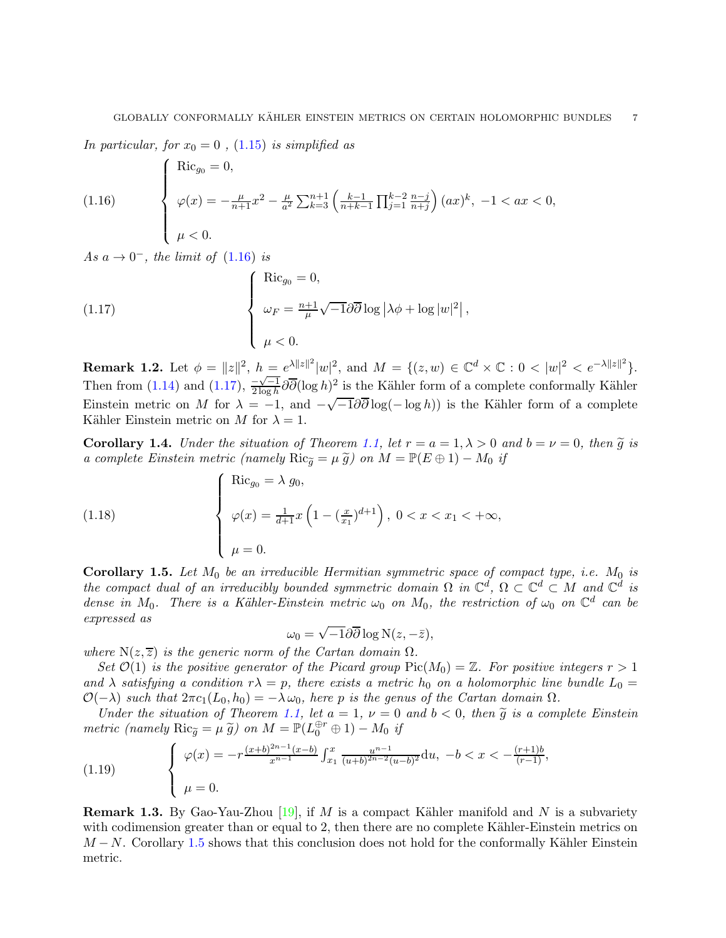*In particular, for*  $x_0 = 0$ , [\(1.15\)](#page-5-4) *is simplified as* 

<span id="page-6-2"></span>(1.16) 
$$
\begin{cases} \text{Ric}_{g_0} = 0, \\ \varphi(x) = -\frac{\mu}{n+1}x^2 - \frac{\mu}{a^2} \sum_{k=3}^{n+1} \left( \frac{k-1}{n+k-1} \prod_{j=1}^{k-2} \frac{n-j}{n+j} \right) (ax)^k, -1 < ax < 0, \\ \mu < 0. \end{cases}
$$

 $As a \rightarrow 0^-$ , the limit of  $(1.16)$  is

<span id="page-6-3"></span>(1.17) 
$$
\begin{cases} \text{Ric}_{g_0} = 0, \\ \omega_F = \frac{n+1}{\mu} \sqrt{-1} \partial \overline{\partial} \log |\lambda \phi + \log |w|^2, \\ \mu < 0. \end{cases}
$$

**Remark 1.2.** Let  $\phi = ||z||^2$ ,  $h = e^{\lambda ||z||^2} |w|^2$ , and  $M = \{(z, w) \in \mathbb{C}^d \times \mathbb{C} : 0 < |w|^2 < e^{-\lambda ||z||^2} \}$ . Then from [\(1.14\)](#page-5-5) and [\(1.17\)](#page-6-3),  $\frac{-\sqrt{-1}}{2 \log h} \partial \overline{\partial} (\log h)^2$  is the Kähler form of a complete conformally Kähler Einstein metric on M for  $\lambda = -1$ , and  $-\sqrt{-1} \partial \overline{\partial} \log(- \log h)$  is the Kähler form of a complete Kähler Einstein metric on M for  $\lambda = 1$ .

<span id="page-6-0"></span>**Corollary 1.4.** *Under the situation of Theorem [1.1,](#page-1-0) let*  $r = a = 1, \lambda > 0$  *and*  $b = \nu = 0$ *, then*  $\tilde{g}$  *is a complete Einstein metric (namely*  $\text{Ric}_{\tilde{q}} = \mu \tilde{g}$ ) *on*  $M = \mathbb{P}(E \oplus 1) - M_0$  *if* 

(1.18) 
$$
\begin{cases}\n\operatorname{Ric}_{g_0} = \lambda g_0, \\
\varphi(x) = \frac{1}{d+1} x \left(1 - \left(\frac{x}{x_1}\right)^{d+1}\right), \ 0 < x < x_1 < +\infty, \\
\mu = 0.\n\end{cases}
$$

<span id="page-6-1"></span>Corollary 1.5. Let  $M_0$  be an irreducible Hermitian symmetric space of compact type, i.e.  $M_0$  is *the compact dual of an irreducibly bounded symmetric domain*  $\Omega$  *in*  $\mathbb{C}^d$ ,  $\Omega \subset \mathbb{C}^d \subset M$  and  $\mathbb{C}^d$  is *dense in*  $M_0$ . There is a Kähler-Einstein metric  $\omega_0$  on  $M_0$ , the restriction of  $\omega_0$  on  $\mathbb{C}^d$  can be *expressed as*

$$
\omega_0 = \sqrt{-1}\partial\overline{\partial}\log N(z, -\overline{z}),
$$

*where*  $N(z, \overline{z})$  *is the generic norm of the Cartan domain*  $\Omega$ *.* 

*Set*  $\mathcal{O}(1)$  *is the positive generator of the Picard group*  $Pic(M_0) = \mathbb{Z}$ *. For positive integers*  $r > 1$ and  $\lambda$  *satisfying* a condition  $r\lambda = p$ , there exists a metric  $h_0$  on a holomorphic line bundle  $L_0 =$  $\mathcal{O}(-\lambda)$  *such that*  $2\pi c_1(L_0, h_0) = -\lambda \omega_0$ *, here* p *is the genus of the Cartan domain*  $\Omega$ *.* 

*Under the situation of Theorem [1.1,](#page-1-0) let*  $a = 1$ ,  $\nu = 0$  and  $b < 0$ , then  $\tilde{g}$  is a complete Einstein *metric (namely*  $\text{Ric}_{\tilde{g}} = \mu \, \tilde{g}$ ) on  $M = \mathbb{P}(L_0^{\oplus r} \oplus 1) - M_0$  *if* 

(1.19) 
$$
\begin{cases} \varphi(x) = -r \frac{(x+b)^{2n-1}(x-b)}{x^{n-1}} \int_{x_1}^x \frac{u^{n-1}}{(u+b)^{2n-2}(u-b)^2} \mathrm{d}u, \ -b < x < -\frac{(r+1)b}{(r-1)},\\ \mu = 0. \end{cases}
$$

**Remark 1.3.** By Gao-Yau-Zhou  $[19]$ , if M is a compact Kähler manifold and N is a subvariety with codimension greater than or equal to 2, then there are no complete Kähler-Einstein metrics on  $M - N$ . Corollary [1.5](#page-6-1) shows that this conclusion does not hold for the conformally Kähler Einstein metric.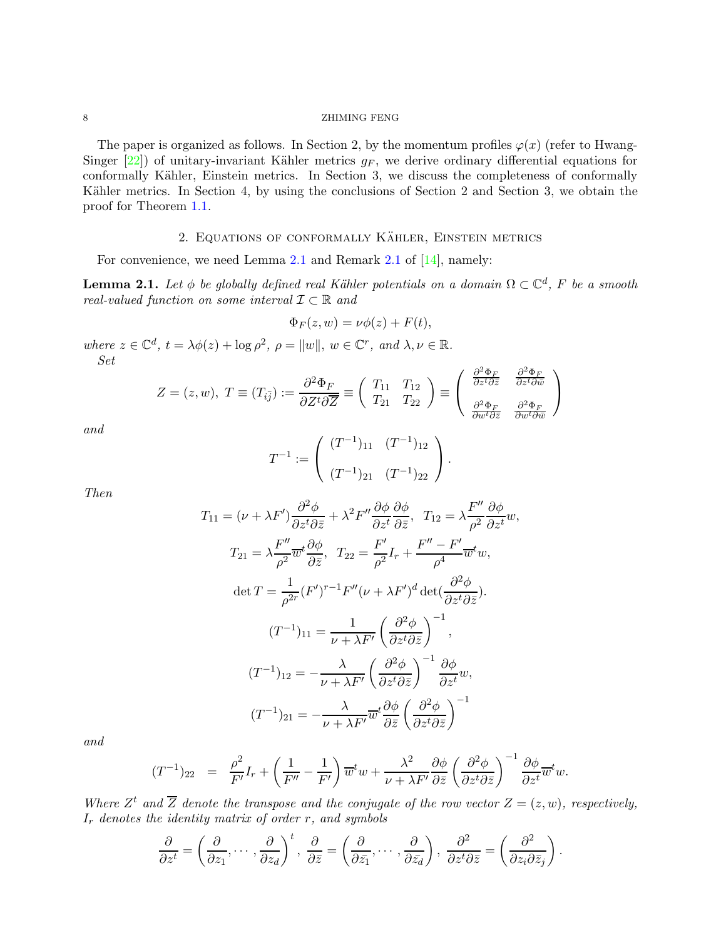8 ZHIMING FENG

The paper is organized as follows. In Section 2, by the momentum profiles  $\varphi(x)$  (refer to Hwang-Singer  $[22]$ ) of unitary-invariant Kähler metrics  $g_F$ , we derive ordinary differential equations for conformally Kähler, Einstein metrics. In Section 3, we discuss the completeness of conformally Kähler metrics. In Section 4, by using the conclusions of Section 2 and Section 3, we obtain the proof for Theorem [1.1.](#page-1-0)

# 2. EQUATIONS OF CONFORMALLY KÄHLER, EINSTEIN METRICS

For convenience, we need Lemma [2.1](#page-7-0) and Remark [2.1](#page-8-0) of [\[14\]](#page-47-20), namely:

<span id="page-7-0"></span>**Lemma 2.1.** Let  $\phi$  be globally defined real Kähler potentials on a domain  $\Omega \subset \mathbb{C}^d$ , F be a smooth *real-valued function on some interval* I ⊂ <sup>R</sup> *and*

$$
\Phi_F(z, w) = \nu \phi(z) + F(t),
$$

*where*  $z \in \mathbb{C}^d$ ,  $t = \lambda \phi(z) + \log \rho^2$ ,  $\rho = ||w||$ ,  $w \in \mathbb{C}^r$ , and  $\lambda, \nu \in \mathbb{R}$ . *Set*

$$
Z = (z, w), \ T \equiv (T_{i\bar{j}}) := \frac{\partial^2 \Phi_F}{\partial Z^t \partial \overline{Z}} \equiv \begin{pmatrix} T_{11} & T_{12} \\ T_{21} & T_{22} \end{pmatrix} \equiv \begin{pmatrix} \frac{\partial^2 \Phi_F}{\partial z^t \partial \overline{z}} & \frac{\partial^2 \Phi_F}{\partial z^t \partial \overline{w}} \\ \frac{\partial^2 \Phi_F}{\partial w^t \partial \overline{z}} & \frac{\partial^2 \Phi_F}{\partial w^t \partial \overline{w}} \end{pmatrix}
$$

*and*

$$
T^{-1} := \begin{pmatrix} (T^{-1})_{11} & (T^{-1})_{12} \\ (T^{-1})_{21} & (T^{-1})_{22} \end{pmatrix}.
$$

*Then*

$$
T_{11} = (\nu + \lambda F') \frac{\partial^2 \phi}{\partial z^t \partial \bar{z}} + \lambda^2 F'' \frac{\partial \phi}{\partial z^t} \frac{\partial \phi}{\partial \bar{z}}, \quad T_{12} = \lambda \frac{F''}{\rho^2} \frac{\partial \phi}{\partial z^t} w,
$$
  
\n
$$
T_{21} = \lambda \frac{F''}{\rho^2} \overline{w}^t \frac{\partial \phi}{\partial \bar{z}}, \quad T_{22} = \frac{F'}{\rho^2} I_r + \frac{F'' - F'}{\rho^4} \overline{w}^t w,
$$
  
\n
$$
\det T = \frac{1}{\rho^{2r}} (F')^{r-1} F''(\nu + \lambda F')^d \det(\frac{\partial^2 \phi}{\partial z^t \partial \bar{z}}).
$$
  
\n
$$
(T^{-1})_{11} = \frac{1}{\nu + \lambda F'} \left(\frac{\partial^2 \phi}{\partial z^t \partial \bar{z}}\right)^{-1},
$$
  
\n
$$
(T^{-1})_{12} = -\frac{\lambda}{\nu + \lambda F'} \left(\frac{\partial^2 \phi}{\partial z^t \partial \bar{z}}\right)^{-1} \frac{\partial \phi}{\partial z^t} w,
$$
  
\n
$$
(T^{-1})_{21} = -\frac{\lambda}{\nu + \lambda F'} \overline{w}^t \frac{\partial \phi}{\partial \bar{z}} \left(\frac{\partial^2 \phi}{\partial z^t \partial \bar{z}}\right)^{-1}
$$

*and*

$$
(T^{-1})_{22} = \frac{\rho^2}{F'}I_r + \left(\frac{1}{F''} - \frac{1}{F'}\right)\overline{w}^tw + \frac{\lambda^2}{\nu + \lambda F'}\frac{\partial \phi}{\partial \overline{z}}\left(\frac{\partial^2 \phi}{\partial z^t \partial \overline{z}}\right)^{-1} \frac{\partial \phi}{\partial z^t}\overline{w}^tw.
$$

Where  $Z^t$  and  $\overline{Z}$  denote the transpose and the conjugate of the row vector  $Z = (z, w)$ , respectively, I<sup>r</sup> *denotes the identity matrix of order* r*, and symbols*

$$
\frac{\partial}{\partial z^t} = \left(\frac{\partial}{\partial z_1}, \cdots, \frac{\partial}{\partial z_d}\right)^t, \frac{\partial}{\partial \bar{z}} = \left(\frac{\partial}{\partial \bar{z_1}}, \cdots, \frac{\partial}{\partial \bar{z_d}}\right), \frac{\partial^2}{\partial z^t \partial \bar{z}} = \left(\frac{\partial^2}{\partial z_i \partial \bar{z}_j}\right).
$$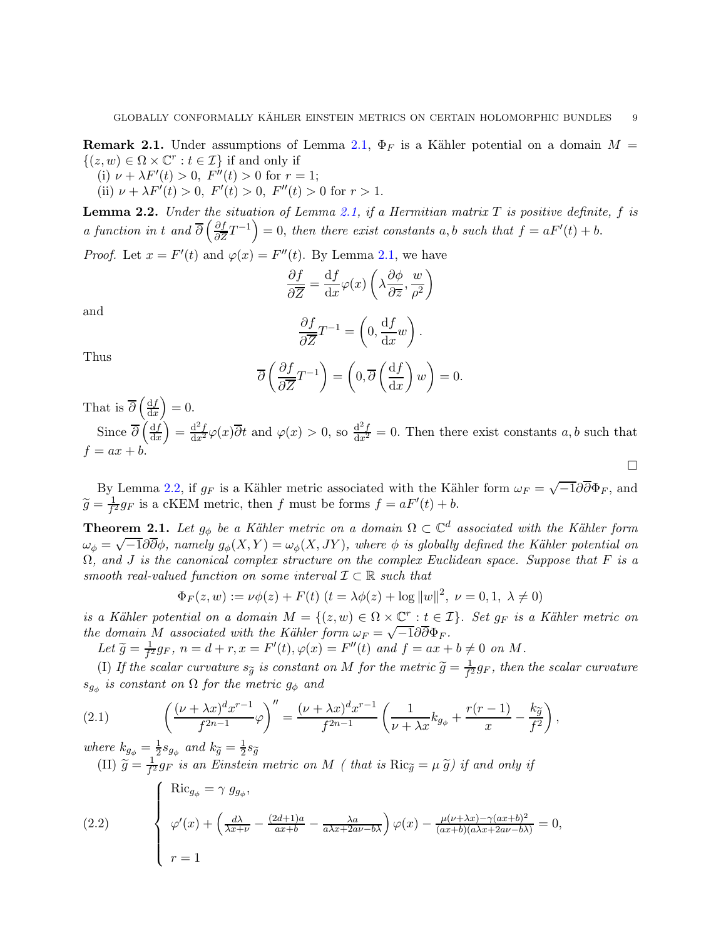<span id="page-8-0"></span>**Remark 2.1.** Under assumptions of Lemma [2.1,](#page-7-0)  $\Phi_F$  is a Kähler potential on a domain  $M =$  $\{(z,w) \in \Omega \times \mathbb{C}^r : t \in \mathcal{I}\}\)$  if and only if

(i)  $\nu + \lambda F'(t) > 0$ ,  $F''(t) > 0$  for  $r = 1$ ;

(ii)  $\nu + \lambda F'(t) > 0$ ,  $F'(t) > 0$ ,  $F''(t) > 0$  for  $r > 1$ .

<span id="page-8-1"></span>Lemma 2.2. *Under the situation of Lemma [2.1,](#page-7-0) if a Hermitian matrix* T *is positive definite,* f *is a function in* t *and*  $\overline{\partial}$   $\left(\frac{\partial f}{\partial \overline{z}}\right)$  $\frac{\partial f}{\partial \overline{z}}T^{-1}$  = 0, *then there exist constants* a, b *such that*  $f = aF'(t) + b$ .

*Proof.* Let  $x = F'(t)$  and  $\varphi(x) = F''(t)$ . By Lemma [2.1,](#page-7-0) we have

$$
\frac{\partial f}{\partial \overline{Z}} = \frac{\mathrm{d}f}{\mathrm{d}x} \varphi(x) \left( \lambda \frac{\partial \phi}{\partial \overline{z}}, \frac{w}{\rho^2} \right)
$$

and

$$
\frac{\partial f}{\partial \overline{Z}}T^{-1} = \left(0, \frac{\mathrm{d}f}{\mathrm{d}x}w\right).
$$

Thus

$$
\overline{\partial}\left(\frac{\partial f}{\partial \overline{Z}}T^{-1}\right) = \left(0, \overline{\partial}\left(\frac{\mathrm{d}f}{\mathrm{d}x}\right)w\right) = 0.
$$

That is  $\overline{\partial}\left(\frac{\mathrm{d}f}{\mathrm{d}\tau}\right)$  $dx$  $= 0.$ Since  $\overline{\partial} \left( \frac{\mathrm{d} f}{\mathrm{d} x} \right)$ 

 $dx$  $=\frac{d^2f}{dx^2}\varphi(x)\overline{\partial}t$  and  $\varphi(x)>0$ , so  $\frac{d^2f}{dx^2}=0$ . Then there exist constants a, b such that  $f = ax + b$ .  $\Box$ 

By Lemma [2.2,](#page-8-1) if  $g_F$  is a Kähler metric associated with the Kähler form  $\omega_F = \sqrt{-1} \partial \overline{\partial} \Phi_F$ , and  $\widetilde{g} = \frac{1}{f^2} g_F$  is a cKEM metric, then f must be forms  $f = aF'(t) + b$ .

<span id="page-8-4"></span>**Theorem 2.1.** Let  $g_{\phi}$  be a Kähler metric on a domain  $\Omega \subset \mathbb{C}^d$  associated with the Kähler form  $\omega_{\phi} = \sqrt{-1} \partial \overline{\partial} \phi$ *, namely*  $g_{\phi}(X, Y) = \omega_{\phi}(X, JY)$ *, where*  $\phi$  *is globally defined the Kähler potential on* Ω*, and* J *is the canonical complex structure on the complex Euclidean space. Suppose that* F *is a smooth real-valued function on some interval* I ⊂ <sup>R</sup> *such that*

$$
\Phi_F(z, w) := \nu \phi(z) + F(t) \ (t = \lambda \phi(z) + \log ||w||^2, \ \nu = 0, 1, \ \lambda \neq 0)
$$

*is a Kähler potential on a domain*  $M = \{(z, w) \in \Omega \times \mathbb{C}^r : \underline{t} \in \mathcal{I}\}\)$ . Set  $g_F$  *is a Kähler metric on the domain* M *associated with the Kähler form*  $\omega_F = \sqrt{-1} \partial \overline{\partial} \Phi_F$ .

Let  $\widetilde{g} = \frac{1}{f^2}$  $\frac{1}{f^2}g_F$ ,  $n = d + r$ ,  $x = F'(t)$ ,  $\varphi(x) = F''(t)$  and  $f = ax + b \neq 0$  on M.

(I) If the scalar curvature  $s_{\tilde{g}}$  is constant on M for the metric  $\tilde{g} = \frac{1}{f^2}$  $\frac{1}{f^2}$ g<sub>F</sub>, then the scalar curvature  $s_{g_\phi}$  *is constant on*  $\Omega$  *for the metric*  $g_\phi$  *and* 

<span id="page-8-2"></span>(2.1) 
$$
\left(\frac{(\nu + \lambda x)^d x^{r-1}}{f^{2n-1}} \varphi\right)^{\prime\prime} = \frac{(\nu + \lambda x)^d x^{r-1}}{f^{2n-1}} \left(\frac{1}{\nu + \lambda x} k_{g_{\phi}} + \frac{r(r-1)}{x} - \frac{k_{\widetilde{g}}}{f^2}\right),
$$

*where*  $k_{g_{\phi}} = \frac{1}{2}$  $\frac{1}{2} s_{g_{\phi}}$  and  $k_{\widetilde{g}} = \frac{1}{2}$  $rac{1}{2} s_{\widetilde{g}}$ (II)  $\widetilde{g} = \frac{1}{f^2}$  $\frac{1}{f^2}g_F$  *is an Einstein metric on* M *( that is*  $\text{Ric}_{\widetilde{g}} = \mu \widetilde{g}$ *) if and only if* 

<span id="page-8-3"></span>(2.2) 
$$
\begin{cases}\n\operatorname{Ric}_{g_{\phi}} = \gamma g_{g_{\phi}}, \\
\varphi'(x) + \left(\frac{d\lambda}{\lambda x + \nu} - \frac{(2d+1)a}{ax+b} - \frac{\lambda a}{a\lambda x + 2a\nu - b\lambda}\right) \varphi(x) - \frac{\mu(\nu + \lambda x) - \gamma(ax+b)^2}{(ax+b)(a\lambda x + 2a\nu - b\lambda)} = 0, \\
r = 1\n\end{cases}
$$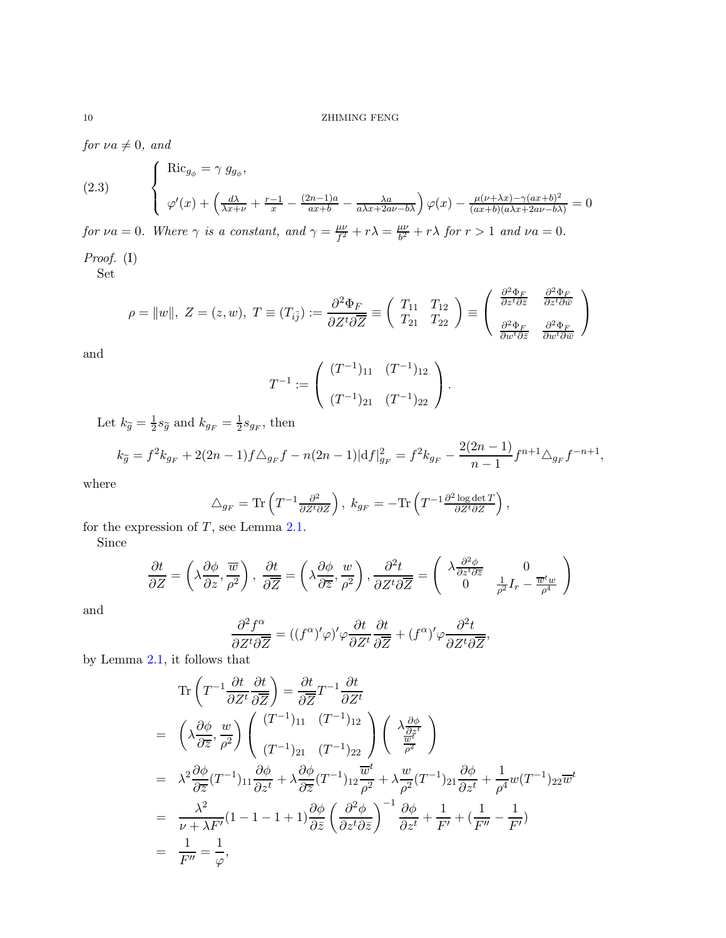*for*  $\nu a \neq 0$ *, and* 

<span id="page-9-0"></span>(2.3) 
$$
\begin{cases} \text{Ric}_{g_{\phi}} = \gamma g_{g_{\phi}}, \\ \varphi'(x) + \left(\frac{d\lambda}{\lambda x + \nu} + \frac{r-1}{x} - \frac{(2n-1)a}{ax+b} - \frac{\lambda a}{a\lambda x + 2a\nu - b\lambda}\right) \varphi(x) - \frac{\mu(\nu + \lambda x) - \gamma(ax+b)^2}{(ax+b)(a\lambda x + 2a\nu - b\lambda)} = 0 \end{cases}
$$

*for*  $\nu a = 0$ *. Where*  $\gamma$  *is a constant, and*  $\gamma = \frac{\mu \nu}{f^2}$  $\frac{\mu\nu}{f^2} + r\lambda = \frac{\mu\nu}{b^2}$  $\frac{d\omega}{b^2} + r\lambda$  *for*  $r > 1$  *and*  $\nu a = 0$ *.* 

*Proof.* (I)

Set

$$
\rho = ||w||, Z = (z, w), T \equiv (T_{i\bar{j}}) := \frac{\partial^2 \Phi_F}{\partial Z^t \partial \overline{Z}} \equiv \begin{pmatrix} T_{11} & T_{12} \\ T_{21} & T_{22} \end{pmatrix} \equiv \begin{pmatrix} \frac{\partial^2 \Phi_F}{\partial z^t \partial \overline{z}} & \frac{\partial^2 \Phi_F}{\partial z^t \partial \overline{w}} \\ \frac{\partial^2 \Phi_F}{\partial w^t \partial \overline{z}} & \frac{\partial^2 \Phi_F}{\partial w^t \partial \overline{w}} \end{pmatrix}
$$

and

$$
T^{-1} := \left( \begin{array}{cc} (T^{-1})_{11} & (T^{-1})_{12} \\ (T^{-1})_{21} & (T^{-1})_{22} \end{array} \right).
$$

Let  $k_{\widetilde{g}} = \frac{1}{2}$  $\frac{1}{2} s_{\widetilde{g}}$  and  $k_{g_F} = \frac{1}{2}$  $\frac{1}{2} s_{g_F}$ , then

$$
k_{\tilde{g}} = f^2 k_{g_F} + 2(2n - 1)f \triangle_{g_F} f - n(2n - 1)|df|_{g_F}^2 = f^2 k_{g_F} - \frac{2(2n - 1)}{n - 1} f^{n+1} \triangle_{g_F} f^{-n+1},
$$

where

$$
\triangle_{g_F} = \text{Tr}\left(T^{-1}\frac{\partial^2}{\partial Z^t \partial \bar{Z}}\right), \ k_{g_F} = -\text{Tr}\left(T^{-1}\frac{\partial^2 \log \det T}{\partial Z^t \partial \bar{Z}}\right),
$$

for the expression of  $T$ , see Lemma [2.1.](#page-7-0)

Since

$$
\frac{\partial t}{\partial Z} = \left(\lambda \frac{\partial \phi}{\partial z}, \frac{\overline{w}}{\rho^2}\right), \frac{\partial t}{\partial \overline{Z}} = \left(\lambda \frac{\partial \phi}{\partial \overline{z}}, \frac{w}{\rho^2}\right), \frac{\partial^2 t}{\partial Z^t \partial \overline{Z}} = \left(\begin{array}{cc} \lambda \frac{\partial^2 \phi}{\partial z^t \partial \overline{z}} & 0\\ 0 & \frac{1}{\rho^2} I_r - \frac{\overline{w}^t w}{\rho^4} \end{array}\right)
$$

and

$$
\frac{\partial^2 f^{\alpha}}{\partial Z^t \partial \overline{Z}} = ((f^{\alpha})' \varphi)' \varphi \frac{\partial t}{\partial Z^t} \frac{\partial t}{\partial \overline{Z}} + (f^{\alpha})' \varphi \frac{\partial^2 t}{\partial Z^t \partial \overline{Z}},
$$

by Lemma [2.1,](#page-7-0) it follows that

$$
\operatorname{Tr}\left(T^{-1}\frac{\partial t}{\partial Z^t}\frac{\partial t}{\partial \overline{Z}}\right) = \frac{\partial t}{\partial \overline{Z}}T^{-1}\frac{\partial t}{\partial Z^t}
$$
\n
$$
= \left(\lambda \frac{\partial \phi}{\partial \overline{z}}, \frac{w}{\rho^2}\right) \left(\frac{(T^{-1})_{11}}{(T^{-1})_{21}}\frac{(T^{-1})_{12}}{(T^{-1})_{22}}\right) \left(\lambda \frac{\frac{\partial \phi}{\partial \overline{z}}}{\frac{\overline{w}^t}{\rho^2}}\right)
$$
\n
$$
= \lambda^2 \frac{\partial \phi}{\partial \overline{z}}(T^{-1})_{11} \frac{\partial \phi}{\partial z^t} + \lambda \frac{\partial \phi}{\partial \overline{z}}(T^{-1})_{12} \frac{\overline{w}^t}{\rho^2} + \lambda \frac{w}{\rho^2}(T^{-1})_{21} \frac{\partial \phi}{\partial z^t} + \frac{1}{\rho^4} w(T^{-1})_{22} \overline{w}^t
$$
\n
$$
= \frac{\lambda^2}{\nu + \lambda F'} (1 - 1 - 1 + 1) \frac{\partial \phi}{\partial \overline{z}} \left(\frac{\partial^2 \phi}{\partial z^t \partial \overline{z}}\right)^{-1} \frac{\partial \phi}{\partial z^t} + \frac{1}{F'} + \left(\frac{1}{F''} - \frac{1}{F'}\right)
$$
\n
$$
= \frac{1}{F''} = \frac{1}{\varphi},
$$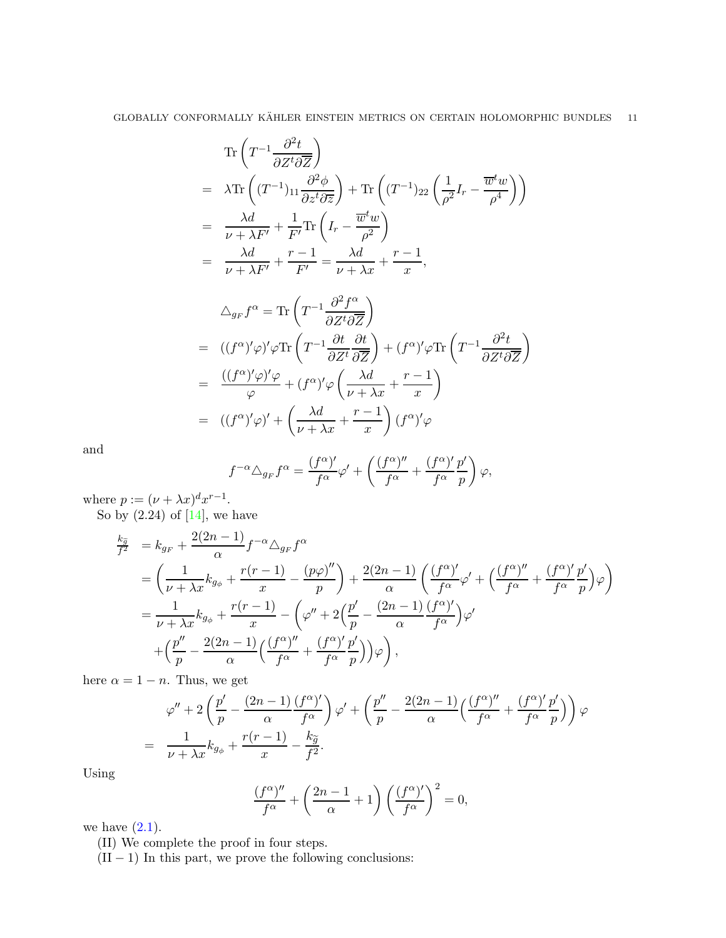$$
\operatorname{Tr}\left(T^{-1}\frac{\partial^2 t}{\partial Z^t \partial \overline{Z}}\right)
$$
\n
$$
= \lambda \operatorname{Tr}\left((T^{-1})_{11} \frac{\partial^2 \phi}{\partial z^t \partial \overline{z}}\right) + \operatorname{Tr}\left((T^{-1})_{22} \left(\frac{1}{\rho^2} I_r - \frac{\overline{w}^t w}{\rho^4}\right)\right)
$$
\n
$$
= \frac{\lambda d}{\nu + \lambda F'} + \frac{1}{F'} \operatorname{Tr}\left(I_r - \frac{\overline{w}^t w}{\rho^2}\right)
$$
\n
$$
= \frac{\lambda d}{\nu + \lambda F'} + \frac{r - 1}{F'} = \frac{\lambda d}{\nu + \lambda x} + \frac{r - 1}{x},
$$
\n
$$
\Delta_{g_F} f^{\alpha} = \operatorname{Tr}\left(T^{-1} \frac{\partial^2 f^{\alpha}}{\partial Z^t \partial \overline{Z}}\right)
$$
\n
$$
= ((f^{\alpha})' \varphi)' \varphi \operatorname{Tr}\left(T^{-1} \frac{\partial t}{\partial Z^t} \frac{\partial t}{\partial \overline{Z}}\right) + (f^{\alpha})' \varphi \operatorname{Tr}\left(T^{-1} \frac{\partial^2 t}{\partial Z^t \partial \overline{Z}}\right)
$$
\n
$$
= \frac{((f^{\alpha})' \varphi)' \varphi}{\varphi} + (f^{\alpha})' \varphi \left(\frac{\lambda d}{\nu + \lambda x} + \frac{r - 1}{x}\right)
$$
\n
$$
= ((f^{\alpha})' \varphi)' + \left(\frac{\lambda d}{\nu + \lambda x} + \frac{r - 1}{x}\right) (f^{\alpha})' \varphi
$$

and

$$
f^{-\alpha} \triangle_{g_F} f^{\alpha} = \frac{(f^{\alpha})'}{f^{\alpha}} \varphi' + \left( \frac{(f^{\alpha})''}{f^{\alpha}} + \frac{(f^{\alpha})'}{f^{\alpha}} \frac{p'}{p} \right) \varphi,
$$

 $\boldsymbol{x}$ 

where  $p := (\nu + \lambda x)^d x^{r-1}$ .

So by  $(2.24)$  of  $[14]$ , we have

$$
\frac{k_{\tilde{g}}}{f^2} = k_{gF} + \frac{2(2n-1)}{\alpha} f^{-\alpha} \Delta_{gF} f^{\alpha}
$$
\n
$$
= \left( \frac{1}{\nu + \lambda x} k_{g_{\phi}} + \frac{r(r-1)}{x} - \frac{(p\varphi)''}{p} \right) + \frac{2(2n-1)}{\alpha} \left( \frac{(f^{\alpha})'}{f^{\alpha}} \varphi' + \left( \frac{(f^{\alpha})''}{f^{\alpha}} + \frac{(f^{\alpha})'}{f^{\alpha}} \frac{p'}{p} \right) \varphi \right)
$$
\n
$$
= \frac{1}{\nu + \lambda x} k_{g_{\phi}} + \frac{r(r-1)}{x} - \left( \varphi'' + 2\left( \frac{p'}{p} - \frac{(2n-1)}{\alpha} \frac{(f^{\alpha})'}{f^{\alpha}} \right) \varphi' + \left( \frac{p''}{p} - \frac{2(2n-1)}{\alpha} \left( \frac{(f^{\alpha})''}{f^{\alpha}} + \frac{(f^{\alpha})'}{f^{\alpha}} \frac{p'}{p} \right) \right) \varphi \right),
$$

here  $\alpha = 1 - n$ . Thus, we get

$$
\varphi'' + 2\left(\frac{p'}{p} - \frac{(2n-1)}{\alpha} \frac{(f^{\alpha})'}{f^{\alpha}}\right) \varphi' + \left(\frac{p''}{p} - \frac{2(2n-1)}{\alpha} \left(\frac{(f^{\alpha})''}{f^{\alpha}} + \frac{(f^{\alpha})'}{f^{\alpha}} \frac{p'}{p'}\right)\right) \varphi
$$
  
= 
$$
\frac{1}{\nu + \lambda x} k_{g_{\phi}} + \frac{r(r-1)}{x} - \frac{k_{\widetilde{g}}}{f^2}.
$$

Using

$$
\frac{(f^{\alpha})''}{f^{\alpha}} + \left(\frac{2n-1}{\alpha} + 1\right) \left(\frac{(f^{\alpha})'}{f^{\alpha}}\right)^2 = 0,
$$

we have  $(2.1)$ .

(II) We complete the proof in four steps.

 $(II - 1)$  In this part, we prove the following conclusions: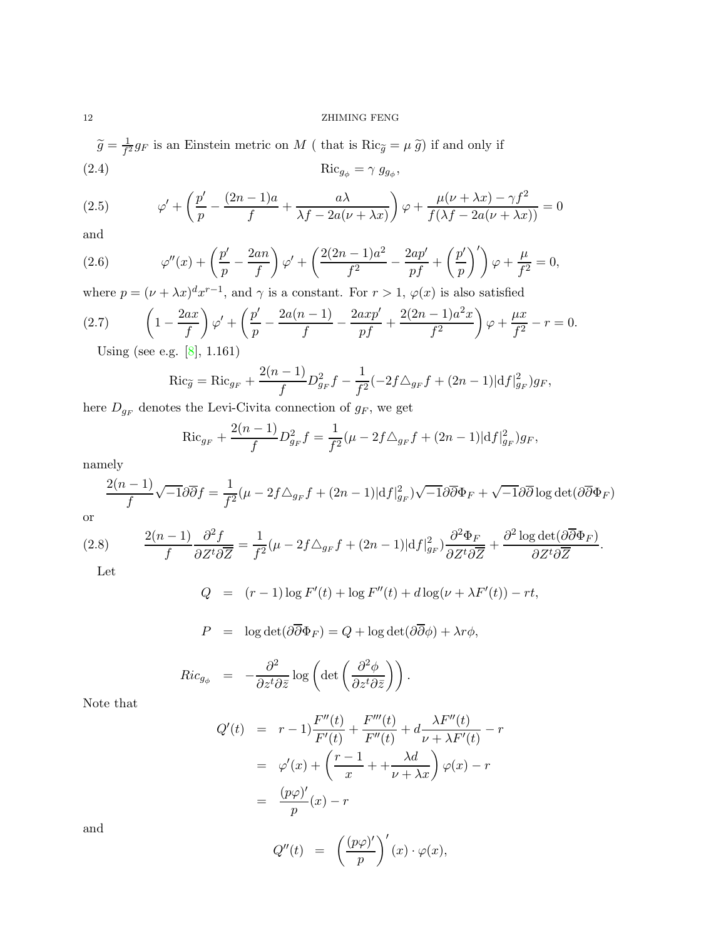# 12 ZHIMING FENG

<span id="page-11-4"></span> $\widetilde{g} = \frac{1}{f^2}$  $\frac{1}{f^2}g_F$  is an Einstein metric on M (that is  $Ric_{\widetilde{g}} = \mu \widetilde{g}$ ) if and only if (2.4)  $\operatorname{Ric}_{g_{\phi}} = \gamma g_{g_{\phi}},$ 

<span id="page-11-0"></span>(2.5) 
$$
\varphi' + \left(\frac{p'}{p} - \frac{(2n-1)a}{f} + \frac{a\lambda}{\lambda f - 2a(\nu + \lambda x)}\right)\varphi + \frac{\mu(\nu + \lambda x) - \gamma f^2}{f(\lambda f - 2a(\nu + \lambda x))} = 0
$$

and

<span id="page-11-2"></span>(2.6) 
$$
\varphi''(x) + \left(\frac{p'}{p} - \frac{2an}{f}\right)\varphi' + \left(\frac{2(2n-1)a^2}{f^2} - \frac{2ap'}{pf} + \left(\frac{p'}{p}\right)'\right)\varphi + \frac{\mu}{f^2} = 0,
$$

where  $p = (\nu + \lambda x)^d x^{r-1}$ , and  $\gamma$  is a constant. For  $r > 1$ ,  $\varphi(x)$  is also satisfied

$$
(2.7) \qquad \left(1 - \frac{2ax}{f}\right)\varphi' + \left(\frac{p'}{p} - \frac{2a(n-1)}{f} - \frac{2axp'}{pf} + \frac{2(2n-1)a^2x}{f^2}\right)\varphi + \frac{\mu x}{f^2} - r = 0.
$$

Using (see e.g. [\[8\]](#page-47-21), 1.161)

<span id="page-11-3"></span>
$$
\operatorname{Ric}_{\widetilde{g}} = \operatorname{Ric}_{g_F} + \frac{2(n-1)}{f} D_{g_F}^2 f - \frac{1}{f^2} (-2f \triangle_{g_F} f + (2n-1)|df|_{g_F}^2)g_F,
$$

here  ${\cal D}_{g_F}$  denotes the Levi-Civita connection of  $g_F,$  we get

$$
\operatorname{Ric}_{g_F} + \frac{2(n-1)}{f} D_{g_F}^2 f = \frac{1}{f^2} (\mu - 2f \triangle_{g_F} f + (2n-1) |\mathrm{d} f|_{g_F}^2) g_F,
$$

namely

$$
\frac{2(n-1)}{f}\sqrt{-1}\partial\overline{\partial}f = \frac{1}{f^2}(\mu - 2f\triangle_{g_F}f + (2n-1)|df|_{g_F}^2)\sqrt{-1}\partial\overline{\partial}\Phi_F + \sqrt{-1}\partial\overline{\partial}\log\det(\partial\overline{\partial}\Phi_F)
$$

or

(2.8) 
$$
\frac{2(n-1)}{f} \frac{\partial^2 f}{\partial Z^t \partial \overline{Z}} = \frac{1}{f^2} (\mu - 2f \triangle_{g_F} f + (2n-1) |\mathrm{d} f|_{g_F}^2) \frac{\partial^2 \Phi_F}{\partial Z^t \partial \overline{Z}} + \frac{\partial^2 \log \det(\partial \overline{\partial} \Phi_F)}{\partial Z^t \partial \overline{Z}}.
$$

<span id="page-11-1"></span>Let

$$
Q = (r-1)\log F'(t) + \log F''(t) + d\log(\nu + \lambda F'(t)) - rt,
$$

$$
P = \log \det(\partial \overline{\partial} \Phi_F) = Q + \log \det(\partial \overline{\partial} \phi) + \lambda r \phi,
$$

$$
Ric_{g_{\phi}} = -\frac{\partial^2}{\partial z^t \partial \bar{z}} \log \left( \det \left( \frac{\partial^2 \phi}{\partial z^t \partial \bar{z}} \right) \right).
$$

Note that

$$
Q'(t) = r - 1 \frac{F''(t)}{F'(t)} + \frac{F'''(t)}{F''(t)} + d \frac{\lambda F''(t)}{\nu + \lambda F'(t)} - r
$$
  

$$
= \varphi'(x) + \left(\frac{r - 1}{x} + \frac{\lambda d}{\nu + \lambda x}\right) \varphi(x) - r
$$
  

$$
= \frac{(p\varphi)'}{p}(x) - r
$$

and

$$
Q''(t) = \left(\frac{(p\varphi)'}{p}\right)'(x) \cdot \varphi(x),
$$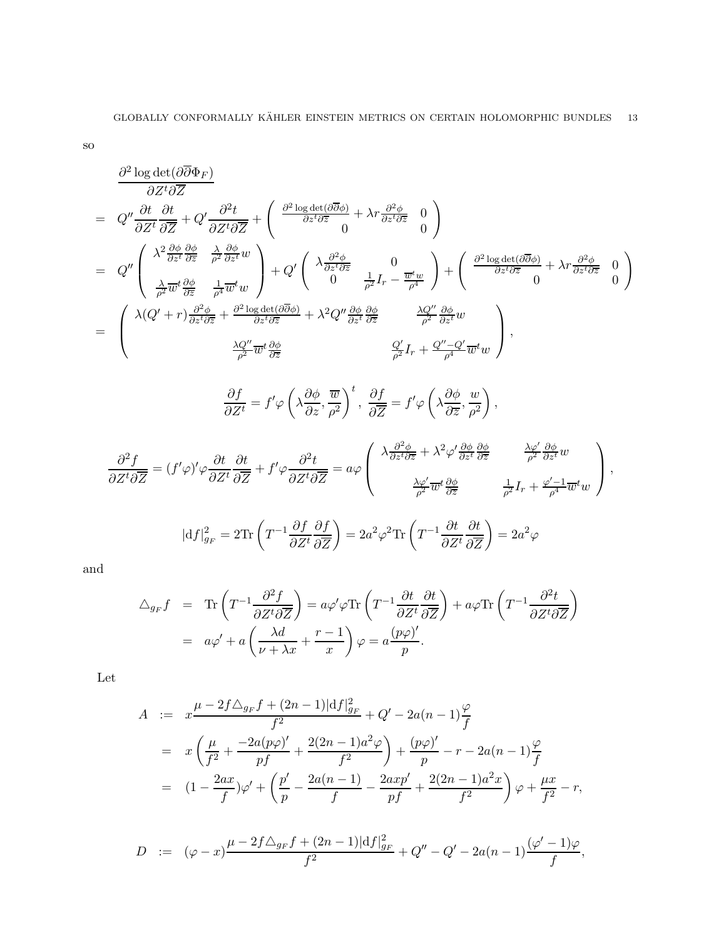so

$$
\frac{\partial^2 \log \det(\partial \overline{\partial} \Phi_F)}{\partial Z^t \partial \overline{Z}} = Q^{\prime \prime} \frac{\partial t}{\partial Z^t} \frac{\partial t}{\partial \overline{Z}} + Q^{\prime} \frac{\partial^2 t}{\partial Z^t \partial \overline{Z}} + \left( \frac{\partial^2 \log \det(\partial \overline{\partial} \phi)}{\partial z^t \partial \overline{z}} + \lambda r \frac{\partial^2 \phi}{\partial z^t \partial \overline{z}} 0 \right)
$$
\n
$$
= Q^{\prime \prime} \left( \begin{array}{ccc} \lambda^2 \frac{\partial \phi}{\partial z^t} \frac{\partial \phi}{\partial \overline{z}} & \frac{\lambda}{\rho^2} \frac{\partial \phi}{\partial z^t} \\ \frac{\lambda}{\rho^2} \overline{w}^t \frac{\partial \phi}{\partial \overline{z}} & \frac{1}{\rho^2} \overline{w}^t w \end{array} \right) + Q^{\prime} \left( \begin{array}{ccc} \lambda \frac{\partial^2 \phi}{\partial z^t \partial \overline{z}} & 0 \\ 0 & \frac{\lambda}{\rho^2} I_r - \frac{\overline{w}^t w}{\rho^4} \end{array} \right) + \left( \begin{array}{ccc} \frac{\partial^2 \log \det(\partial \overline{\partial} \phi)}{\partial z^t \partial \overline{z}} + \lambda r \frac{\partial^2 \phi}{\partial z^t \partial \overline{z}} & 0 \end{array} \right)
$$
\n
$$
= \left( \begin{array}{ccc} \lambda(Q^{\prime} + r) \frac{\partial^2 \phi}{\partial z^t \partial \overline{z}} & \frac{\partial \log \det(\partial \overline{\partial} \phi)}{\partial z^t \partial \overline{z}} + \lambda^2 Q^{\prime \prime} \frac{\partial \phi}{\partial z^t} \frac{\partial \phi}{\partial \overline{z}} & \frac{\lambda Q^{\prime \prime}}{\rho^2} \frac{\partial \phi}{\partial z^t} w \end{array} \right),
$$
\n
$$
\frac{\partial f}{\partial Z^t} = f^{\prime} \varphi \left( \lambda \frac{\partial \phi}{\partial z}, \frac{\overline{w}}{\rho^2} \right),
$$
\n
$$
\frac{\partial^2 f}{\partial Z^t \partial \overline{Z}} = (f^{\prime} \varphi)^{\prime} \varphi \frac{\partial t}{\partial Z^
$$

and

$$
\Delta_{g_F} f = \text{Tr}\left(T^{-1} \frac{\partial^2 f}{\partial Z^t \partial \overline{Z}}\right) = a\varphi' \varphi \text{Tr}\left(T^{-1} \frac{\partial t}{\partial Z^t} \frac{\partial t}{\partial \overline{Z}}\right) + a\varphi \text{Tr}\left(T^{-1} \frac{\partial^2 t}{\partial Z^t \partial \overline{Z}}\right)
$$

$$
= a\varphi' + a\left(\frac{\lambda d}{\nu + \lambda x} + \frac{r - 1}{x}\right)\varphi = a\frac{(p\varphi)'}{p}.
$$

Let

$$
A := x \frac{\mu - 2f \Delta_{gF} f + (2n - 1)|df|_{gF}^2}{f^2} + Q' - 2a(n - 1) \frac{\varphi}{f}
$$
  
=  $x \left( \frac{\mu}{f^2} + \frac{-2a(p\varphi)'}{pf} + \frac{2(2n - 1)a^2 \varphi}{f^2} \right) + \frac{(p\varphi)'}{p} - r - 2a(n - 1) \frac{\varphi}{f}$   
=  $(1 - \frac{2ax}{f})\varphi' + \left( \frac{p'}{p} - \frac{2a(n - 1)}{f} - \frac{2axp'}{pf} + \frac{2(2n - 1)a^2 x}{f^2} \right) \varphi + \frac{\mu x}{f^2} - r,$ 

$$
D := (\varphi - x) \frac{\mu - 2f \triangle_{g_F} f + (2n - 1)|df|_{g_F}^2}{f^2} + Q'' - Q' - 2a(n - 1) \frac{(\varphi' - 1)\varphi}{f},
$$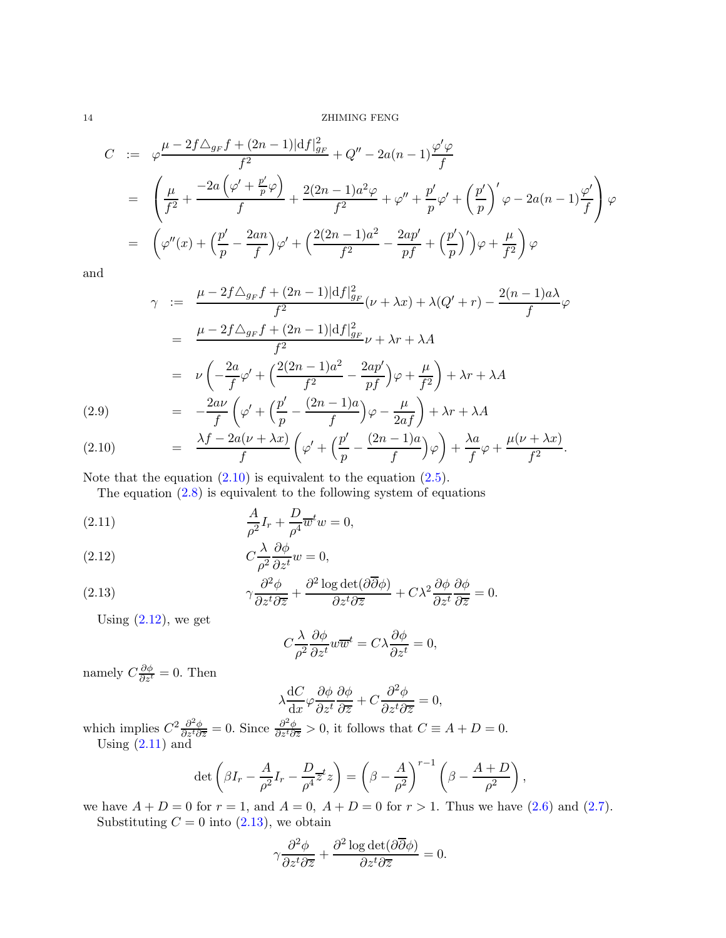$$
C := \varphi \frac{\mu - 2f \Delta_{g_F} f + (2n - 1)|df|_{g_F}^2}{f^2} + Q'' - 2a(n - 1) \frac{\varphi' \varphi}{f}
$$
  
=  $\left( \frac{\mu}{f^2} + \frac{-2a(\varphi' + \frac{p'}{p}\varphi)}{f} + \frac{2(2n - 1)a^2 \varphi}{f^2} + \varphi'' + \frac{p'}{p}\varphi' + \left(\frac{p'}{p}\right)' \varphi - 2a(n - 1) \frac{\varphi'}{f} \right) \varphi$   
=  $\left( \varphi''(x) + \left( \frac{p'}{p} - \frac{2an}{f} \right) \varphi' + \left( \frac{2(2n - 1)a^2}{f^2} - \frac{2ap'}{pf} + \left(\frac{p'}{p}\right)' \right) \varphi + \frac{\mu}{f^2} \right) \varphi$ 

and

<span id="page-13-0"></span>
$$
\gamma := \frac{\mu - 2f\Delta_{g_F}f + (2n - 1)|df|_{g_F}^2}{f^2}(\nu + \lambda x) + \lambda(Q' + r) - \frac{2(n - 1)a\lambda}{f}\varphi
$$

$$
= \frac{\mu - 2f\Delta_{g_F}f + (2n - 1)|df|_{g_F}^2}{f^2}\nu + \lambda r + \lambda A
$$

$$
= \nu \left(-\frac{2a}{f}\varphi' + \left(\frac{2(2n - 1)a^2}{f^2} - \frac{2ap'}{pf}\right)\varphi + \frac{\mu}{f^2}\right) + \lambda r + \lambda A
$$

$$
= -\frac{2a\nu}{f}\left(\varphi' + \left(\frac{p'}{p} - \frac{(2n - 1)a}{f}\right)\varphi - \frac{\mu}{2af}\right) + \lambda r + \lambda A
$$

(2.10) 
$$
= \frac{\lambda f - 2a(\nu + \lambda x)}{f} \left( \varphi' + \left( \frac{p'}{p} - \frac{(2n-1)a}{f} \right) \varphi \right) + \frac{\lambda a}{f} \varphi + \frac{\mu(\nu + \lambda x)}{f^2}.
$$

Note that the equation  $(2.10)$  is equivalent to the equation  $(2.5)$ .

The equation  $(2.8)$  is equivalent to the following system of equations

(2.11) 
$$
\frac{A}{\rho^2}I_r + \frac{D}{\rho^4}\overline{w}^tw = 0,
$$

(2.12) 
$$
C \frac{\lambda}{\rho^2} \frac{\partial \phi}{\partial z^t} w = 0,
$$

(2.13) 
$$
\gamma \frac{\partial^2 \phi}{\partial z^t \partial \overline{z}} + \frac{\partial^2 \log \det(\partial \overline{\partial} \phi)}{\partial z^t \partial \overline{z}} + C\lambda^2 \frac{\partial \phi}{\partial z^t} \frac{\partial \phi}{\partial \overline{z}} = 0.
$$

Using  $(2.12)$ , we get

<span id="page-13-1"></span>
$$
C\frac{\lambda}{\rho^2}\frac{\partial\phi}{\partial z^t}w\overline{w}^t = C\lambda\frac{\partial\phi}{\partial z^t} = 0,
$$

namely  $C\frac{\partial \phi}{\partial z^t} = 0$ . Then

$$
\lambda \frac{\mathrm{d}C}{\mathrm{d}x} \varphi \frac{\partial \phi}{\partial z^t} \frac{\partial \phi}{\partial \overline{z}} + C \frac{\partial^2 \phi}{\partial z^t \partial \overline{z}} = 0,
$$

which implies  $C^2 \frac{\partial^2 \phi}{\partial z^t \partial \overline{z}} = 0$ . Since  $\frac{\partial^2 \phi}{\partial z^t \partial \overline{z}} > 0$ , it follows that  $C \equiv A + D = 0$ . Using  $(2.11)$  and

$$
\det\left(\beta I_r - \frac{A}{\rho^2}I_r - \frac{D}{\rho^4}\overline{z}^t z\right) = \left(\beta - \frac{A}{\rho^2}\right)^{r-1} \left(\beta - \frac{A+D}{\rho^2}\right),
$$

we have  $A + D = 0$  for  $r = 1$ , and  $A = 0$ ,  $A + D = 0$  for  $r > 1$ . Thus we have  $(2.6)$  and  $(2.7)$ . Substituting  $C = 0$  into  $(2.13)$ , we obtain

$$
\gamma \frac{\partial^2 \phi}{\partial z^t \partial \overline{z}} + \frac{\partial^2 \log \det(\partial \overline{\partial} \phi)}{\partial z^t \partial \overline{z}} = 0.
$$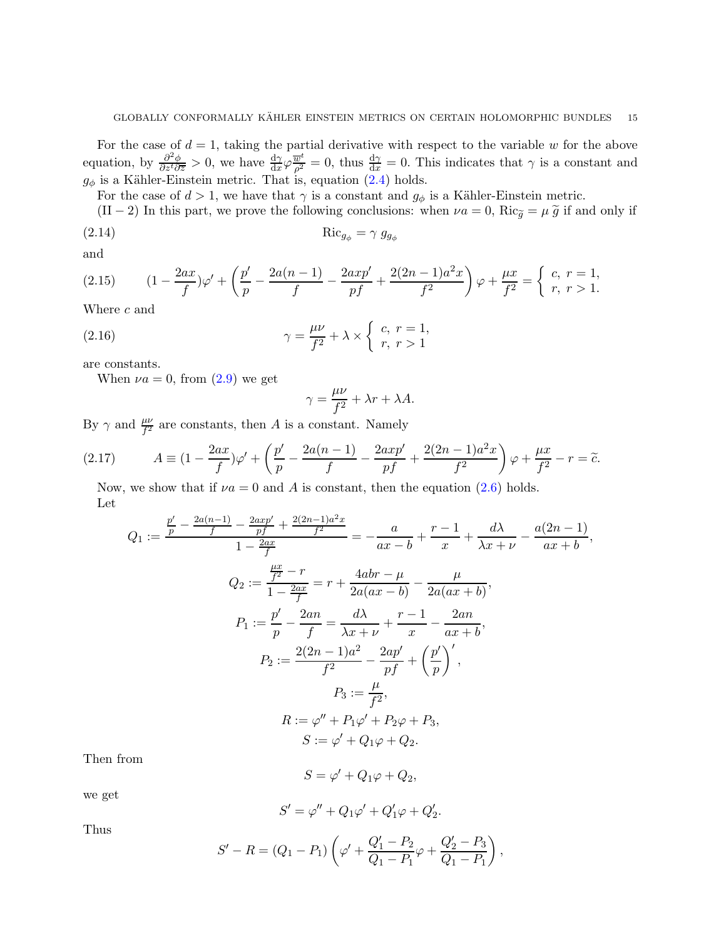For the case of  $d = 1$ , taking the partial derivative with respect to the variable w for the above equation, by  $\frac{\partial^2 \phi}{\partial z^t \partial \overline{z}} > 0$ , we have  $\frac{d\gamma}{dx} \varphi \frac{\overline{w}^t}{\rho^2} = 0$ , thus  $\frac{d\gamma}{dx} = 0$ . This indicates that  $\gamma$  is a constant and  $g_{\phi}$  is a Kähler-Einstein metric. That is, equation [\(2.4\)](#page-11-4) holds.

For the case of  $d > 1$ , we have that  $\gamma$  is a constant and  $g_{\phi}$  is a Kähler-Einstein metric.

(II − 2) In this part, we prove the following conclusions: when  $\nu a = 0$ , Ric $\tilde{g} = \mu \tilde{g}$  if and only if (2.14)  $\operatorname{Ric}_{g_{\phi}} = \gamma g_{g_{\phi}}$ 

and

<span id="page-14-1"></span>(2.15) 
$$
(1 - \frac{2ax}{f})\varphi' + \left(\frac{p'}{p} - \frac{2a(n-1)}{f} - \frac{2axp'}{pf} + \frac{2(2n-1)a^2x}{f^2}\right)\varphi + \frac{\mu x}{f^2} = \begin{cases} c, & r = 1, \\ r, & r > 1. \end{cases}
$$

Where c and

(2.16) 
$$
\gamma = \frac{\mu\nu}{f^2} + \lambda \times \begin{cases} c, r = 1, \\ r, r > 1 \end{cases}
$$

are constants.

When  $\nu a = 0$ , from  $(2.9)$  we get

<span id="page-14-3"></span><span id="page-14-2"></span>
$$
\gamma = \frac{\mu \nu}{f^2} + \lambda r + \lambda A.
$$

By  $\gamma$  and  $\frac{\mu\nu}{f^2}$  are constants, then A is a constant. Namely

(2.17) 
$$
A = (1 - \frac{2ax}{f})\varphi' + \left(\frac{p'}{p} - \frac{2a(n-1)}{f} - \frac{2axp'}{pf} + \frac{2(2n-1)a^2x}{f^2}\right)\varphi + \frac{\mu x}{f^2} - r = \tilde{c}.
$$

<span id="page-14-0"></span>Now, we show that if  $\nu a = 0$  and A is constant, then the equation [\(2.6\)](#page-11-2) holds. Let

$$
Q_1 := \frac{\frac{p'}{p} - \frac{2a(n-1)}{f} - \frac{2axy'}{pf} + \frac{2(2n-1)a^2x}{f^2}}{1 - \frac{2ax}{f}} = -\frac{a}{ax - b} + \frac{r - 1}{x} + \frac{d\lambda}{\lambda x + \nu} - \frac{a(2n - 1)}{ax + b},
$$
  
\n
$$
Q_2 := \frac{\frac{\mu x}{f^2} - r}{1 - \frac{2ax}{f}} = r + \frac{4abr - \mu}{2a(ax - b)} - \frac{\mu}{2a(ax + b)},
$$
  
\n
$$
P_1 := \frac{p'}{p} - \frac{2an}{f} = \frac{d\lambda}{\lambda x + \nu} + \frac{r - 1}{x} - \frac{2an}{ax + b},
$$
  
\n
$$
P_2 := \frac{2(2n - 1)a^2}{f^2} - \frac{2ap'}{pf} + \left(\frac{p'}{p}\right)',
$$
  
\n
$$
P_3 := \frac{\mu}{f^2},
$$
  
\n
$$
R := \varphi'' + P_1\varphi' + P_2\varphi + P_3,
$$
  
\n
$$
S := \varphi' + Q_1\varphi + Q_2.
$$

Then from

$$
S = \varphi' + Q_1\varphi + Q_2,
$$

we get

$$
S' = \varphi'' + Q_1 \varphi' + Q_1' \varphi + Q_2'.
$$

Thus

$$
S' - R = (Q_1 - P_1) \left( \varphi' + \frac{Q_1' - P_2}{Q_1 - P_1} \varphi + \frac{Q_2' - P_3}{Q_1 - P_1} \right),
$$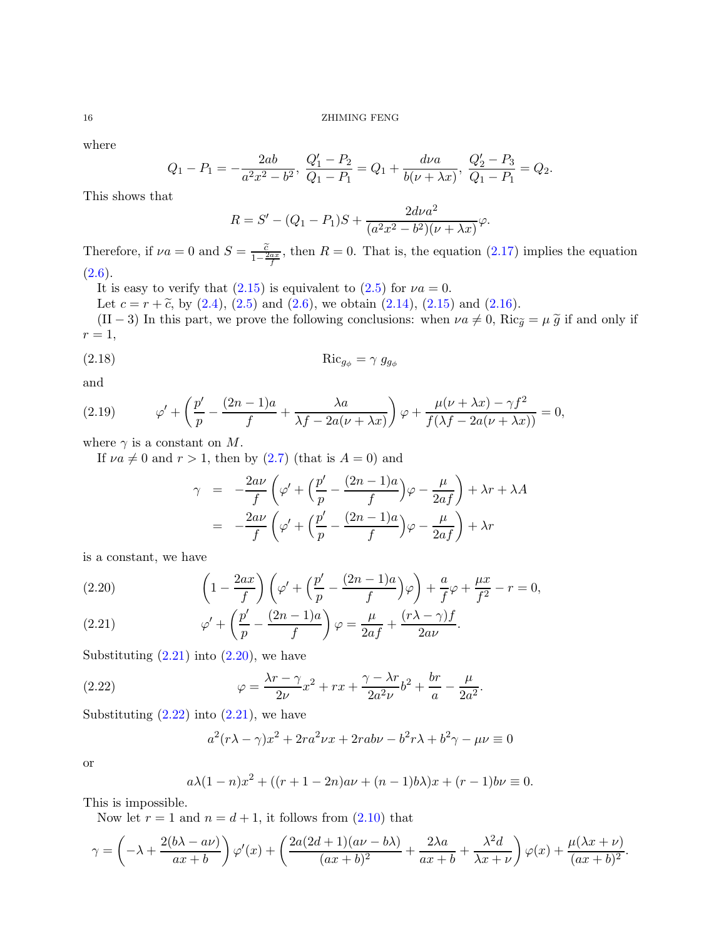where

$$
Q_1 - P_1 = -\frac{2ab}{a^2x^2 - b^2}, \ \frac{Q_1' - P_2}{Q_1 - P_1} = Q_1 + \frac{d\nu a}{b(\nu + \lambda x)}, \ \frac{Q_2' - P_3}{Q_1 - P_1} = Q_2.
$$

This shows that

$$
R = S' - (Q_1 - P_1)S + \frac{2d\nu a^2}{(a^2x^2 - b^2)(\nu + \lambda x)}\varphi.
$$

Therefore, if  $\nu a = 0$  and  $S = \frac{\tilde{c}}{1-\frac{2ax}{f}}$ , then  $R = 0$ . That is, the equation [\(2.17\)](#page-14-0) implies the equation  $(2.6).$  $(2.6).$ 

It is easy to verify that  $(2.15)$  is equivalent to  $(2.5)$  for  $\nu a = 0$ .

Let  $c = r + \tilde{c}$ , by [\(2.4\)](#page-11-4), [\(2.5\)](#page-11-0) and [\(2.6\)](#page-11-2), we obtain [\(2.14\)](#page-14-2), [\(2.15\)](#page-14-1) and [\(2.16\)](#page-14-3).

(II − 3) In this part, we prove the following conclusions: when  $\nu a \neq 0$ , Ric $\tilde{g} = \mu \tilde{g}$  if and only if  $r=1$ ,

$$
\operatorname{Ric}_{g_{\phi}} = \gamma \ g_{g_{\phi}}
$$

and

<span id="page-15-2"></span>(2.19) 
$$
\varphi' + \left(\frac{p'}{p} - \frac{(2n-1)a}{f} + \frac{\lambda a}{\lambda f - 2a(\nu + \lambda x)}\right)\varphi + \frac{\mu(\nu + \lambda x) - \gamma f^2}{f(\lambda f - 2a(\nu + \lambda x))} = 0,
$$

where  $\gamma$  is a constant on M.

If  $\nu a \neq 0$  and  $r > 1$ , then by [\(2.7\)](#page-11-3) (that is  $A = 0$ ) and

$$
\gamma = -\frac{2a\nu}{f} \left( \varphi' + \left( \frac{p'}{p} - \frac{(2n-1)a}{f} \right) \varphi - \frac{\mu}{2af} \right) + \lambda r + \lambda A
$$

$$
= -\frac{2a\nu}{f} \left( \varphi' + \left( \frac{p'}{p} - \frac{(2n-1)a}{f} \right) \varphi - \frac{\mu}{2af} \right) + \lambda r
$$

is a constant, we have

<span id="page-15-0"></span>(2.20) 
$$
\left(1 - \frac{2ax}{f}\right)\left(\varphi' + \left(\frac{p'}{p} - \frac{(2n-1)a}{f}\right)\varphi\right) + \frac{a}{f}\varphi + \frac{\mu x}{f^2} - r = 0,
$$

(2.21) 
$$
\varphi' + \left(\frac{p'}{p} - \frac{(2n-1)a}{f}\right)\varphi = \frac{\mu}{2af} + \frac{(r\lambda - \gamma)f}{2a\nu}.
$$

Substituting  $(2.21)$  into  $(2.20)$ , we have

(2.22) 
$$
\varphi = \frac{\lambda r - \gamma}{2\nu} x^2 + rx + \frac{\gamma - \lambda r}{2a^2\nu} b^2 + \frac{br}{a} - \frac{\mu}{2a^2}.
$$

Substituting  $(2.22)$  into  $(2.21)$ , we have

<span id="page-15-1"></span>
$$
a^{2}(r\lambda - \gamma)x^{2} + 2ra^{2}\nu x + 2rab\nu - b^{2}r\lambda + b^{2}\gamma - \mu\nu \equiv 0
$$

or

$$
a\lambda(1 - n)x^{2} + ((r + 1 - 2n)a\nu + (n - 1)b\lambda)x + (r - 1)b\nu \equiv 0.
$$

This is impossible.

Now let  $r = 1$  and  $n = d + 1$ , it follows from  $(2.10)$  that

$$
\gamma = \left(-\lambda + \frac{2(b\lambda - a\nu)}{ax + b}\right)\varphi'(x) + \left(\frac{2a(2d + 1)(a\nu - b\lambda)}{(ax + b)^2} + \frac{2\lambda a}{ax + b} + \frac{\lambda^2 d}{\lambda x + \nu}\right)\varphi(x) + \frac{\mu(\lambda x + \nu)}{(ax + b)^2}.
$$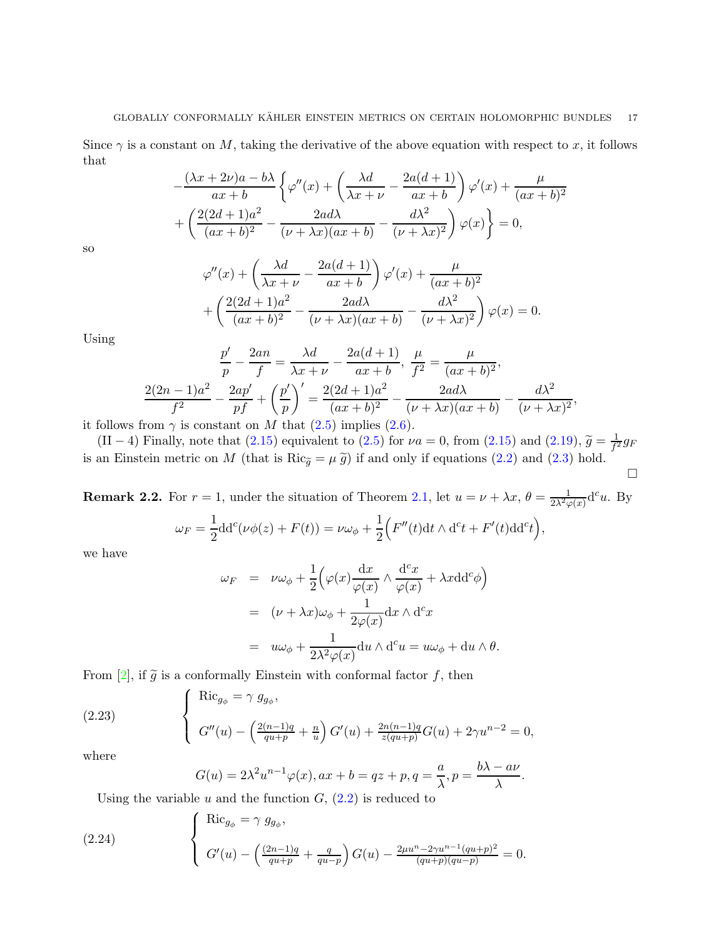Since  $\gamma$  is a constant on M, taking the derivative of the above equation with respect to x, it follows that

$$
-\frac{(\lambda x + 2\nu)a - b\lambda}{ax + b} \left\{ \varphi''(x) + \left(\frac{\lambda d}{\lambda x + \nu} - \frac{2a(d+1)}{ax + b}\right) \varphi'(x) + \frac{\mu}{(ax + b)^2} + \left(\frac{2(2d+1)a^2}{(ax+b)^2} - \frac{2ad\lambda}{(\nu+\lambda x)(ax+b)} - \frac{d\lambda^2}{(\nu+\lambda x)^2} \right) \varphi(x) \right\} = 0,
$$

so

$$
\varphi''(x) + \left(\frac{\lambda d}{\lambda x + \nu} - \frac{2a(d+1)}{ax + b}\right)\varphi'(x) + \frac{\mu}{(ax + b)^2} + \left(\frac{2(2d+1)a^2}{(ax + b)^2} - \frac{2ad\lambda}{(\nu + \lambda x)(ax + b)} - \frac{d\lambda^2}{(\nu + \lambda x)^2}\right)\varphi(x) = 0.
$$

Using

$$
\frac{p'}{p} - \frac{2an}{f} = \frac{\lambda d}{\lambda x + \nu} - \frac{2a(d+1)}{ax + b}, \ \frac{\mu}{f^2} = \frac{\mu}{(ax + b)^2},
$$

$$
\frac{2(2n-1)a^2}{f^2} - \frac{2ap'}{pf} + \left(\frac{p'}{p}\right)' = \frac{2(2d+1)a^2}{(ax + b)^2} - \frac{2ad\lambda}{(\nu + \lambda x)(ax + b)} - \frac{d\lambda^2}{(\nu + \lambda x)^2},
$$

it follows from  $\gamma$  is constant on M that [\(2.5\)](#page-11-0) implies [\(2.6\)](#page-11-2).

(II − 4) Finally, note that [\(2.15\)](#page-14-1) equivalent to [\(2.5\)](#page-11-0) for  $\nu a = 0$ , from (2.15) and [\(2.19\)](#page-15-2),  $\tilde{g} = \frac{1}{f}$ .  $\frac{1}{f^2}g_F$ is an Einstein metric on M (that is  $\text{Ric}_{\tilde{g}} = \mu \tilde{g}$ ) if and only if equations [\(2.2\)](#page-8-3) and [\(2.3\)](#page-9-0) hold.  $\Box$ 

**Remark 2.2.** For  $r = 1$ , under the situation of Theorem [2.1,](#page-8-4) let  $u = \nu + \lambda x$ ,  $\theta = \frac{1}{2\lambda^2 \varphi(x)} d^c u$ . By  $\omega_F = \frac{1}{2}$  $\frac{1}{2}$ dd<sup>c</sup>( $\nu\phi(z) + F(t)$ ) =  $\nu\omega_{\phi} + \frac{1}{2}$ 2  $\Big( F''(t) \mathrm{d} t \wedge \mathrm{d}^c t + F'(t) \mathrm{d} \mathrm{d}^c t \Big) ,$ 

we have

$$
\omega_F = \nu \omega_{\phi} + \frac{1}{2} \Big( \varphi(x) \frac{dx}{\varphi(x)} \wedge \frac{d^c x}{\varphi(x)} + \lambda x \mathrm{d} d^c \phi \Big)
$$
  
= 
$$
(\nu + \lambda x) \omega_{\phi} + \frac{1}{2\varphi(x)} \mathrm{d} x \wedge d^c x
$$
  
= 
$$
u \omega_{\phi} + \frac{1}{2\lambda^2 \varphi(x)} \mathrm{d} u \wedge d^c u = u \omega_{\phi} + \mathrm{d} u \wedge \theta.
$$

From [\[2\]](#page-46-3), if  $\tilde{g}$  is a conformally Einstein with conformal factor f, then

(2.23) 
$$
\begin{cases}\n\operatorname{Ric}_{g_{\phi}} = \gamma g_{g_{\phi}}, \\
G''(u) - \left(\frac{2(n-1)q}{qu+p} + \frac{n}{u}\right)G'(u) + \frac{2n(n-1)q}{z(qu+p)}G(u) + 2\gamma u^{n-2} = 0,\n\end{cases}
$$

where

<span id="page-16-1"></span><span id="page-16-0"></span>
$$
G(u) = 2\lambda^2 u^{n-1} \varphi(x), ax + b = qz + p, q = \frac{a}{\lambda}, p = \frac{b\lambda - a\nu}{\lambda}.
$$

Using the variable u and the function  $G_1(2.2)$  is reduced to

(2.24) 
$$
\begin{cases}\n\operatorname{Ric}_{g_{\phi}} = \gamma g_{g_{\phi}}, \\
G'(u) - \left(\frac{(2n-1)q}{qu+p} + \frac{q}{qu-p}\right)G(u) - \frac{2\mu u^{n} - 2\gamma u^{n-1}(qu+p)^2}{(qu+p)(qu-p)} = 0.\n\end{cases}
$$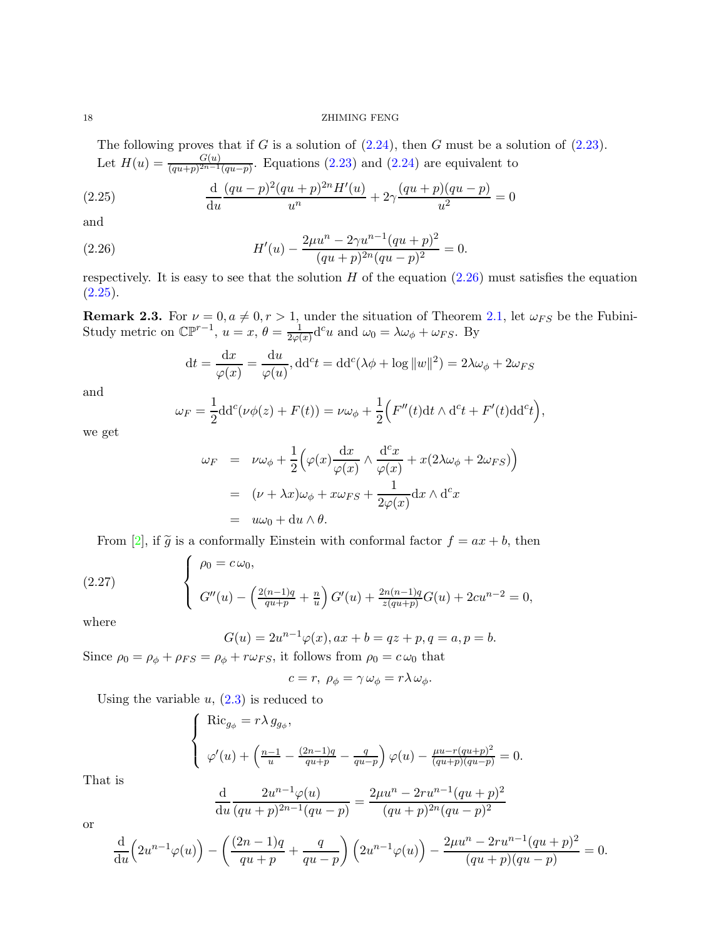#### 18 ZHIMING FENG

<span id="page-17-1"></span>The following proves that if  $G$  is a solution of  $(2.24)$ , then  $G$  must be a solution of  $(2.23)$ . Let  $H(u) = \frac{G(u)}{(qu+p)^{2n-1}(qu-p)}$ . Equations [\(2.23\)](#page-16-1) and [\(2.24\)](#page-16-0) are equivalent to

(2.25) 
$$
\frac{d}{du} \frac{(qu-p)^2 (qu+p)^{2n} H'(u)}{u^n} + 2\gamma \frac{(qu+p)(qu-p)}{u^2} = 0
$$

and

(2.26) 
$$
H'(u) - \frac{2\mu u^n - 2\gamma u^{n-1} (qu+p)^2}{(qu+p)^{2n} (qu-p)^2} = 0.
$$

respectively. It is easy to see that the solution  $H$  of the equation  $(2.26)$  must satisfies the equation  $(2.25).$  $(2.25).$ 

**Remark 2.3.** For  $\nu = 0, a \neq 0, r > 1$ , under the situation of Theorem [2.1,](#page-8-4) let  $\omega_{FS}$  be the Fubini-Study metric on  $\mathbb{CP}^{r-1}$ ,  $u=x, \theta=\frac{1}{2\omega}$  $\frac{1}{2\varphi(x)}$ d<sup>c</sup>u and  $\omega_0 = \lambda \omega_\phi + \omega_{FS}$ . By

<span id="page-17-0"></span>
$$
dt = \frac{dx}{\varphi(x)} = \frac{du}{\varphi(u)}, dd^c t = dd^c(\lambda \phi + \log ||w||^2) = 2\lambda \omega_{\phi} + 2\omega_{FS}
$$

and

$$
\omega_F = \frac{1}{2} \mathrm{d} \mathrm{d}^c(\nu \phi(z) + F(t)) = \nu \omega_{\phi} + \frac{1}{2} \Big( F''(t) \mathrm{d} t \wedge \mathrm{d}^c t + F'(t) \mathrm{d} \mathrm{d}^c t \Big),
$$

we get

$$
\omega_F = \nu \omega_{\phi} + \frac{1}{2} \Big( \varphi(x) \frac{dx}{\varphi(x)} \wedge \frac{d^c x}{\varphi(x)} + x (2\lambda \omega_{\phi} + 2\omega_{FS}) \Big)
$$
  
=  $(\nu + \lambda x) \omega_{\phi} + x \omega_{FS} + \frac{1}{2\varphi(x)} dx \wedge d^c x$   
=  $u\omega_0 + du \wedge \theta$ .

From [\[2\]](#page-46-3), if  $\tilde{g}$  is a conformally Einstein with conformal factor  $f = ax + b$ , then

(2.27) 
$$
\begin{cases} \rho_0 = c \omega_0, \\ G''(u) - \left(\frac{2(n-1)q}{qu+p} + \frac{n}{u}\right) G'(u) + \frac{2n(n-1)q}{z(qu+p)} G(u) + 2cu^{n-2} = 0, \end{cases}
$$

where

<span id="page-17-2"></span>
$$
G(u) = 2u^{n-1}\varphi(x), ax + b = qz + p, q = a, p = b.
$$

Since  $\rho_0 = \rho_\phi + \rho_{FS} = \rho_\phi + r\omega_{FS}$ , it follows from  $\rho_0 = c\omega_0$  that

$$
c = r, \ \rho_{\phi} = \gamma \,\omega_{\phi} = r\lambda \,\omega_{\phi}.
$$

Using the variable  $u$ ,  $(2.3)$  is reduced to

$$
\begin{cases}\n\operatorname{Ric}_{g_{\phi}} = r \lambda g_{g_{\phi}}, \\
\varphi'(u) + \left(\frac{n-1}{u} - \frac{(2n-1)q}{qu+p} - \frac{q}{qu-p}\right) \varphi(u) - \frac{\mu u - r (qu+p)^2}{(qu+p)(qu-p)} = 0.\n\end{cases}
$$

That is

$$
\frac{\mathrm{d}}{\mathrm{d}u} \frac{2u^{n-1}\varphi(u)}{(qu+p)^{2n-1}(qu-p)} = \frac{2\mu u^n - 2ru^{n-1}(qu+p)^2}{(qu+p)^{2n}(qu-p)^2}
$$

or

$$
\frac{d}{du}\left(2u^{n-1}\varphi(u)\right) - \left(\frac{(2n-1)q}{qu+p} + \frac{q}{qu-p}\right)\left(2u^{n-1}\varphi(u)\right) - \frac{2\mu u^n - 2ru^{n-1}(qu+p)^2}{(qu+p)(qu-p)} = 0.
$$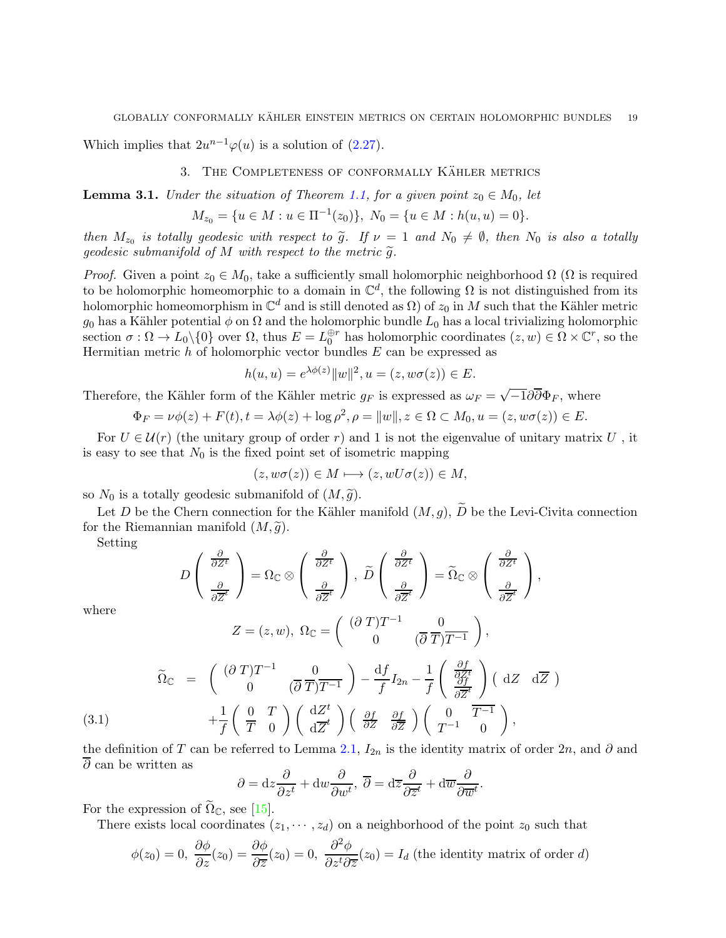Which implies that  $2u^{n-1}\varphi(u)$  is a solution of [\(2.27\)](#page-17-2).

#### 3. THE COMPLETENESS OF CONFORMALLY KÄHLER METRICS

<span id="page-18-1"></span>**Lemma 3.1.** *Under the situation of Theorem [1.1,](#page-1-0) for a given point*  $z_0 \in M_0$ *, let* 

$$
M_{z_0} = \{u \in M : u \in \Pi^{-1}(z_0)\}, \ N_0 = \{u \in M : h(u, u) = 0\}.
$$

*then*  $M_{z_0}$  is totally geodesic with respect to  $\tilde{g}$ . If  $\nu = 1$  and  $N_0 \neq \emptyset$ , then  $N_0$  is also a totally *geodesic submanifold of*  $M$  *with respect to the metric*  $\widetilde{q}$ *.* 

*Proof.* Given a point  $z_0 \in M_0$ , take a sufficiently small holomorphic neighborhood  $\Omega$  ( $\Omega$  is required to be holomorphic homeomorphic to a domain in  $\mathbb{C}^d$ , the following  $\Omega$  is not distinguished from its holomorphic homeomorphism in  $\mathbb{C}^d$  and is still denoted as  $\Omega)$  of  $z_0$  in  $M$  such that the Kähler metric  $g_0$  has a Kähler potential  $\phi$  on  $\Omega$  and the holomorphic bundle  $L_0$  has a local trivializing holomorphic section  $\sigma : \Omega \to L_0 \setminus \{0\}$  over  $\Omega$ , thus  $E = L_0^{\oplus r}$  has holomorphic coordinates  $(z, w) \in \Omega \times \mathbb{C}^r$ , so the Hermitian metric  $h$  of holomorphic vector bundles  $E$  can be expressed as

$$
h(u, u) = e^{\lambda \phi(z)} ||w||^2, u = (z, w\sigma(z)) \in E.
$$

Therefore, the Kähler form of the Kähler metric  $g_F$  is expressed as  $\omega_F = \sqrt{-1}\partial\overline{\partial}\Phi_F$ , where

$$
\Phi_F = \nu \phi(z) + F(t), t = \lambda \phi(z) + \log \rho^2, \rho = ||w||, z \in \Omega \subset M_0, u = (z, w\sigma(z)) \in E.
$$

For  $U \in \mathcal{U}(r)$  (the unitary group of order r) and 1 is not the eigenvalue of unitary matrix U, it is easy to see that  $N_0$  is the fixed point set of isometric mapping

$$
(z, w\sigma(z)) \in M \longmapsto (z, wU\sigma(z)) \in M,
$$

so  $N_0$  is a totally geodesic submanifold of  $(M, \tilde{g})$ .

Let D be the Chern connection for the Kähler manifold  $(M, g)$ ,  $\widetilde{D}$  be the Levi-Civita connection for the Riemannian manifold  $(M, \tilde{g})$ .

Setting

$$
D\left(\begin{array}{c}\frac{\partial}{\partial Z^t} \\ \frac{\partial}{\partial \overline{Z}^t}\end{array}\right) = \Omega_{\mathbb{C}} \otimes \left(\begin{array}{c}\frac{\partial}{\partial Z^t} \\ \frac{\partial}{\partial \overline{Z}^t}\end{array}\right), \ \widetilde{D}\left(\begin{array}{c}\frac{\partial}{\partial Z^t} \\ \frac{\partial}{\partial \overline{Z}^t}\end{array}\right) = \widetilde{\Omega}_{\mathbb{C}} \otimes \left(\begin{array}{c}\frac{\partial}{\partial Z^t} \\ \frac{\partial}{\partial \overline{Z}^t}\end{array}\right),
$$

where

<span id="page-18-0"></span>
$$
Z = (z, w), \ \Omega_{\mathbb{C}} = \begin{pmatrix} (\partial T)T^{-1} & 0 \\ 0 & (\overline{\partial T})T^{-1} \end{pmatrix},
$$

$$
\widetilde{\Omega}_{\mathbb{C}} = \begin{pmatrix} (\partial T)T^{-1} & 0 \\ 0 & (\overline{\partial T})T^{-1} \end{pmatrix} - \frac{df}{f}I_{2n} - \frac{1}{f} \begin{pmatrix} \frac{\partial f}{\partial Z^t} \\ \frac{\partial f}{\partial Z^t} \end{pmatrix} (dZ \ d\overline{Z})
$$

$$
+ \frac{1}{f} \begin{pmatrix} 0 & T \\ \overline{T} & 0 \end{pmatrix} \begin{pmatrix} dZ^t \\ d\overline{Z}^t \end{pmatrix} \begin{pmatrix} \frac{\partial f}{\partial Z} & \frac{\partial f}{\partial \overline{Z}} \\ \frac{\partial f}{\partial Z} & \frac{\partial f}{\partial \overline{Z}} \end{pmatrix} \begin{pmatrix} 0 & T^{-1} \\ T^{-1} & 0 \end{pmatrix},
$$

the definition of T can be referred to Lemma [2.1,](#page-7-0)  $I_{2n}$  is the identity matrix of order 2n, and  $\partial$  and  $\overline{\partial}$  can be written as

$$
\partial = dz \frac{\partial}{\partial z^t} + dw \frac{\partial}{\partial w^t}, \overline{\partial} = d\overline{z} \frac{\partial}{\partial \overline{z}^t} + d\overline{w} \frac{\partial}{\partial \overline{w}^t}
$$

.

For the expression of  $\Omega_{\mathbb{C}}$ , see [\[15\]](#page-47-15).

There exists local coordinates  $(z_1, \dots, z_d)$  on a neighborhood of the point  $z_0$  such that

$$
\phi(z_0) = 0, \ \frac{\partial \phi}{\partial z}(z_0) = \frac{\partial \phi}{\partial \overline{z}}(z_0) = 0, \ \frac{\partial^2 \phi}{\partial z^t \partial \overline{z}}(z_0) = I_d \text{ (the identity matrix of order } d\text{)}
$$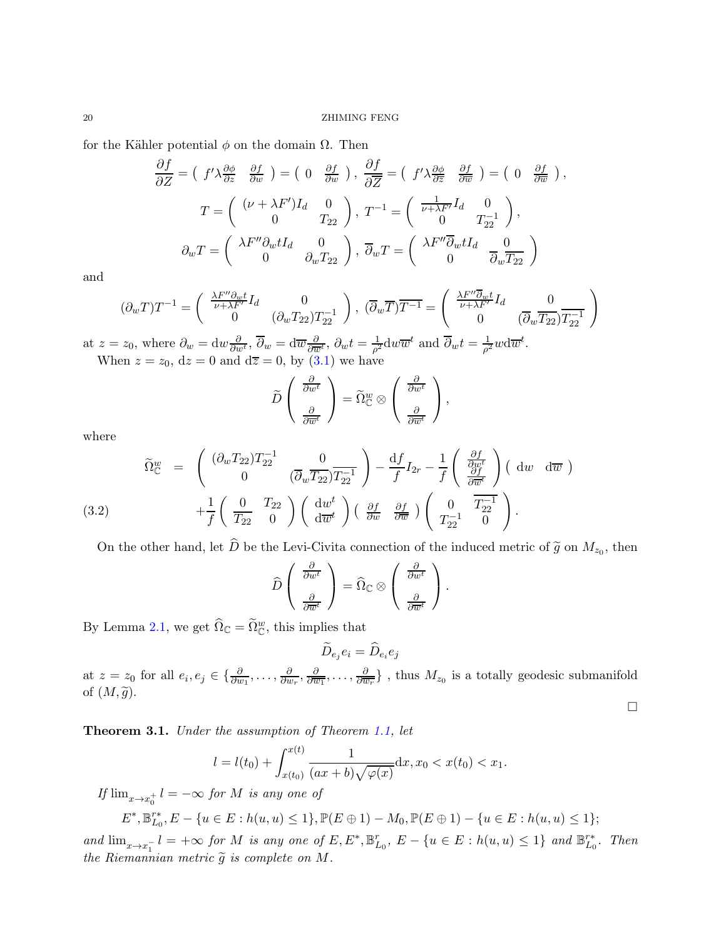for the Kähler potential  $\phi$  on the domain  $\Omega$ . Then

$$
\frac{\partial f}{\partial Z} = \begin{pmatrix} f' \lambda \frac{\partial \phi}{\partial z} & \frac{\partial f}{\partial w} \end{pmatrix} = \begin{pmatrix} 0 & \frac{\partial f}{\partial w} \end{pmatrix}, \frac{\partial f}{\partial \overline{Z}} = \begin{pmatrix} f' \lambda \frac{\partial \phi}{\partial \overline{z}} & \frac{\partial f}{\partial \overline{w}} \end{pmatrix} = \begin{pmatrix} 0 & \frac{\partial f}{\partial w} \end{pmatrix},
$$
  
\n
$$
T = \begin{pmatrix} (\nu + \lambda F') I_d & 0 \\ 0 & T_{22} \end{pmatrix}, T^{-1} = \begin{pmatrix} \frac{1}{\nu + \lambda F'} I_d & 0 \\ 0 & T_{22}^{-1} \end{pmatrix},
$$
  
\n
$$
\partial_w T = \begin{pmatrix} \lambda F'' \partial_w t I_d & 0 \\ 0 & \partial_w T_{22} \end{pmatrix}, \overline{\partial}_w T = \begin{pmatrix} \lambda F'' \overline{\partial}_w t I_d & 0 \\ 0 & \overline{\partial}_w \overline{T_{22}} \end{pmatrix}
$$

and

$$
(\partial_w T)T^{-1} = \begin{pmatrix} \frac{\lambda F'' \partial_w t}{\nu + \lambda F'} I_d & 0\\ 0 & (\partial_w T_{22}) T_{22}^{-1} \end{pmatrix}, \; (\overline{\partial}_w \overline{T}) \overline{T^{-1}} = \begin{pmatrix} \frac{\lambda F'' \overline{\partial}_w t}{\nu + \lambda F'} I_d & 0\\ 0 & (\overline{\partial}_w \overline{T_{22}}) \overline{T_{22}^{-1}} \end{pmatrix}
$$

at  $z = z_0$ , where  $\partial_w = \mathrm{d}w \frac{\partial}{\partial w^t}$ ,  $\overline{\partial}_w = \mathrm{d}\overline{w} \frac{\partial}{\partial \overline{w}^t}$ ,  $\partial_w t = \frac{1}{\rho^2}$  $\frac{1}{\rho^2}$ dw $\overline{w}^t$  and  $\overline{\partial}_w t = \frac{1}{\rho^2}$  $\frac{1}{\rho^2}w\mathrm{d}\overline{w}^t.$ When  $z = z_0$ ,  $dz = 0$  and  $d\overline{z} = 0$ , by  $(3.1)$  we have

$$
\widetilde{D}\left(\begin{array}{c}\frac{\partial}{\partial w^t} \\ \frac{\partial}{\partial \overline{w}^t}\end{array}\right) = \widetilde{\Omega}^w_{\mathbb{C}} \otimes \left(\begin{array}{c}\frac{\partial}{\partial w^t} \\ \frac{\partial}{\partial \overline{w}^t}\end{array}\right),
$$

where

(3.2) 
$$
\widetilde{\Omega}_{\mathbb{C}}^{w} = \begin{pmatrix} (\partial_{w} T_{22}) T_{22}^{-1} & 0 \\ 0 & (\overline{\partial}_{w} \overline{T_{22}}) T_{22}^{-1} \end{pmatrix} - \frac{df}{f} I_{2r} - \frac{1}{f} \begin{pmatrix} \frac{\partial f}{\partial w^{t}} \\ \frac{\partial f}{\partial w^{t}} \end{pmatrix} (\mathrm{d} w \ \mathrm{d} \overline{w}) + \frac{1}{f} \begin{pmatrix} 0 & T_{22} \\ \overline{T_{22}} & 0 \end{pmatrix} \begin{pmatrix} \mathrm{d} w^{t} \\ \mathrm{d} \overline{w}^{t} \end{pmatrix} (\frac{\partial f}{\partial w} \ \frac{\partial f}{\partial \overline{w}}) \begin{pmatrix} 0 & \overline{T_{22}^{-1}} \\ T_{22}^{-1} & 0 \end{pmatrix}.
$$

On the other hand, let D be the Levi-Civita connection of the induced metric of  $\tilde{g}$  on  $M_{z_0}$ , then

$$
\widehat{D}\left(\begin{array}{c}\frac{\partial}{\partial w^t} \\ \frac{\partial}{\partial \overline{w}^t}\end{array}\right) = \widehat{\Omega}_{\mathbb{C}} \otimes \left(\begin{array}{c}\frac{\partial}{\partial w^t} \\ \frac{\partial}{\partial \overline{w}^t}\end{array}\right).
$$

By Lemma [2.1,](#page-7-0) we get  $\widehat{\Omega}_{\mathbb{C}} = \widetilde{\Omega}^w_{\mathbb{C}}$ , this implies that

$$
\widetilde{D}_{e_j}e_i=\widehat{D}_{e_i}e_j
$$

at  $z = z_0$  for all  $e_i, e_j \in \{\frac{\partial}{\partial w_1}, \dots, \frac{\partial}{\partial w_n}\}$  $\frac{\partial}{\partial w_r}, \frac{\partial}{\partial \overline{u}}$  $\frac{\partial}{\partial \overline{w_1}}, \ldots, \frac{\partial}{\partial \overline{u}}$  $\frac{\partial}{\partial \overline{w_r}}\}$ , thus  $M_{z_0}$  is a totally geodesic submanifold of  $(M, \tilde{g})$ .  $\Box$ 

<span id="page-19-0"></span>Theorem 3.1. *Under the assumption of Theorem [1.1,](#page-1-0) let*

$$
l = l(t_0) + \int_{x(t_0)}^{x(t)} \frac{1}{(ax+b)\sqrt{\varphi(x)}} dx, x_0 < x(t_0) < x_1.
$$

 $If \lim_{x \to x_0^+} l = -\infty$  for M is any one of

$$
E^*, \mathbb{B}_{L_0}^{r*}, E - \{u \in E : h(u, u) \le 1\}, \mathbb{P}(E \oplus 1) - M_0, \mathbb{P}(E \oplus 1) - \{u \in E : h(u, u) \le 1\};
$$

 $\text{and } \lim_{x \to x_1^{-}} l = +\infty \text{ for } M \text{ is any one of } E, E^*, \mathbb{B}_{L_0}^r, E - \{u \in E : h(u, u) \leq 1\} \text{ and } \mathbb{B}_{L_0}^{r*}.$  Then *the Riemannian metric*  $\widetilde{g}$  *is complete on*  $M$ *.*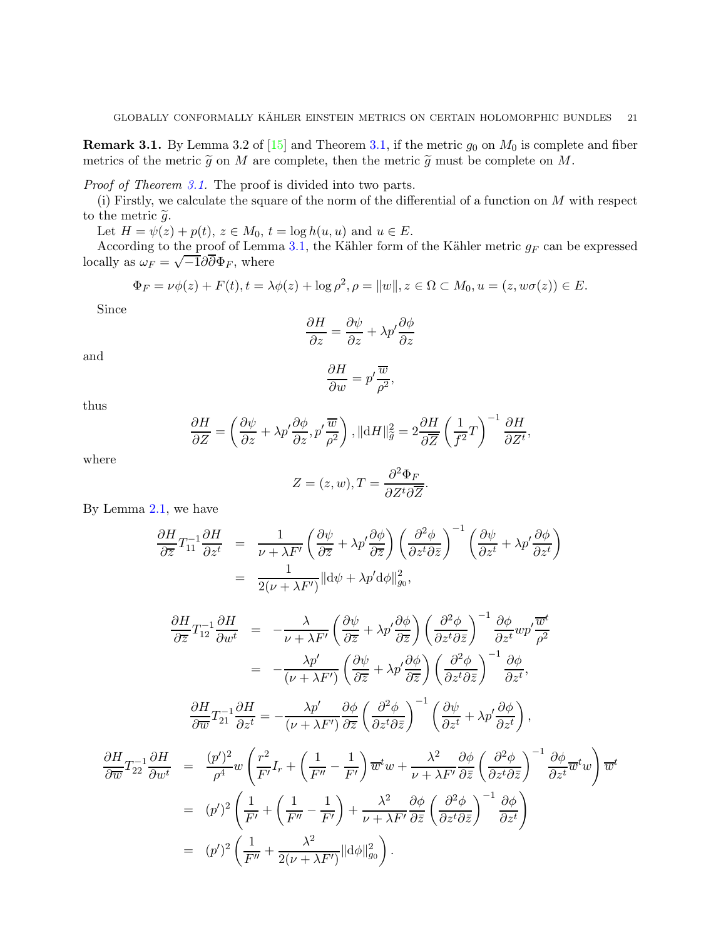**Remark 3.1.** By Lemma 3.2 of [\[15\]](#page-47-15) and Theorem [3.1,](#page-19-0) if the metric  $g_0$  on  $M_0$  is complete and fiber metrics of the metric  $\tilde{g}$  on M are complete, then the metric  $\tilde{g}$  must be complete on M.

*Proof of Theorem [3.1.](#page-19-0)* The proof is divided into two parts.

(i) Firstly, we calculate the square of the norm of the differential of a function on  $M$  with respect to the metric  $\tilde{g}$ .

Let  $H = \psi(z) + p(t), z \in M_0, t = \log h(u, u)$  and  $u \in E$ .

According to the proof of Lemma [3.1,](#page-18-1) the Kähler form of the Kähler metric  $g_F$  can be expressed locally as  $\omega_F = \sqrt{-1}\partial\overline{\partial}\Phi_F$ , where

$$
\Phi_F = \nu \phi(z) + F(t), t = \lambda \phi(z) + \log \rho^2, \rho = ||w||, z \in \Omega \subset M_0, u = (z, w\sigma(z)) \in E.
$$

Since

$$
\frac{\partial H}{\partial z} = \frac{\partial \psi}{\partial z} + \lambda p' \frac{\partial \phi}{\partial z}
$$

and

$$
\frac{\partial H}{\partial w} = p' \frac{\overline{w}}{\rho^2},
$$

thus

$$
\frac{\partial H}{\partial Z} = \left(\frac{\partial \psi}{\partial z} + \lambda p' \frac{\partial \phi}{\partial z}, p' \frac{\overline{w}}{\rho^2}\right), \|\mathrm{d}H\|_{\tilde{g}}^2 = 2 \frac{\partial H}{\partial \overline{Z}} \left(\frac{1}{f^2} T\right)^{-1} \frac{\partial H}{\partial Z^t},
$$

where

$$
Z = (z, w), T = \frac{\partial^2 \Phi_F}{\partial Z^t \partial \overline{Z}}.
$$

By Lemma [2.1,](#page-7-0) we have

$$
\frac{\partial H}{\partial \overline{z}} T_{11}^{-1} \frac{\partial H}{\partial z^t} = \frac{1}{\nu + \lambda F'} \left( \frac{\partial \psi}{\partial \overline{z}} + \lambda p' \frac{\partial \phi}{\partial \overline{z}} \right) \left( \frac{\partial^2 \phi}{\partial z^t \partial \overline{z}} \right)^{-1} \left( \frac{\partial \psi}{\partial z^t} + \lambda p' \frac{\partial \phi}{\partial z^t} \right)
$$

$$
= \frac{1}{2(\nu + \lambda F')} ||d\psi + \lambda p' d\phi||_{g_0}^2,
$$

$$
\frac{\partial H}{\partial \overline{z}} T_{12}^{-1} \frac{\partial H}{\partial w^t} = -\frac{\lambda}{\nu + \lambda F'} \left( \frac{\partial \psi}{\partial \overline{z}} + \lambda p' \frac{\partial \phi}{\partial \overline{z}} \right) \left( \frac{\partial^2 \phi}{\partial z^t \partial \overline{z}} \right)^{-1} \frac{\partial \phi}{\partial z^t} w p' \frac{\overline{w}^t}{\rho^2}
$$
\n
$$
= -\frac{\lambda p'}{(\nu + \lambda F')} \left( \frac{\partial \psi}{\partial \overline{z}} + \lambda p' \frac{\partial \phi}{\partial \overline{z}} \right) \left( \frac{\partial^2 \phi}{\partial z^t \partial \overline{z}} \right)^{-1} \frac{\partial \phi}{\partial z^t},
$$
\n
$$
\frac{\partial H}{\partial \overline{w}} T_{21}^{-1} \frac{\partial H}{\partial z^t} = -\frac{\lambda p'}{(\nu + \lambda F')} \frac{\partial \phi}{\partial \overline{z}} \left( \frac{\partial^2 \phi}{\partial z^t \partial \overline{z}} \right)^{-1} \left( \frac{\partial \psi}{\partial z^t} + \lambda p' \frac{\partial \phi}{\partial z^t} \right),
$$
\n
$$
\frac{\partial H}{\partial \overline{w}} T_{22}^{-1} \frac{\partial H}{\partial w^t} = \frac{(p')^2}{\rho^4} w \left( \frac{r^2}{F'} I_r + \left( \frac{1}{F''} - \frac{1}{F'} \right) \overline{w}^t w + \frac{\lambda^2}{\nu + \lambda F'} \frac{\partial \phi}{\partial \overline{z}} \left( \frac{\partial^2 \phi}{\partial z^t \partial \overline{z}} \right)^{-1} \frac{\partial \phi}{\partial z^t} \overline{w}^t w \right) \overline{w}^t
$$
\n
$$
= (p')^2 \left( \frac{1}{F'} + \left( \frac{1}{F''} - \frac{1}{F'} \right) + \frac{\lambda^2}{\nu + \lambda F'} \frac{\partial \phi}{\partial \overline{z}} \left( \frac{\partial^2 \phi}{\partial z^t \partial \overline{z}} \right)^{-1} \frac{\partial \phi}{\partial z^t} \right)
$$
\n
$$
= (p')^2 \left( \frac{1}{F''} + \frac{\lambda^
$$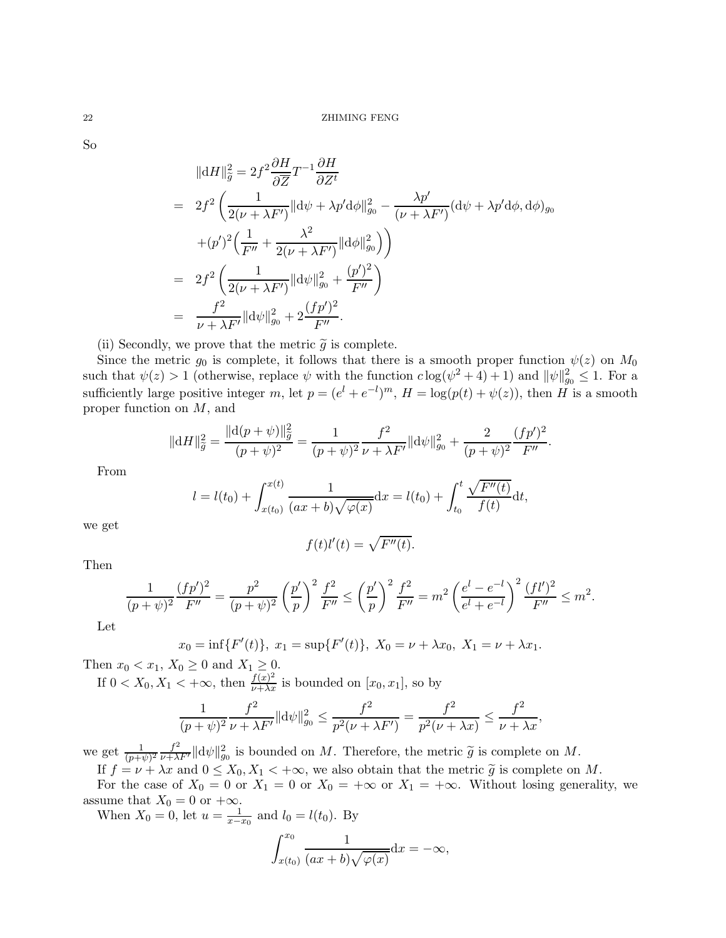So

$$
\|\mathrm{d}H\|_{\tilde{g}}^{2} = 2f^{2} \frac{\partial H}{\partial \overline{Z}} T^{-1} \frac{\partial H}{\partial Z^{t}}
$$
  
\n
$$
= 2f^{2} \left( \frac{1}{2(\nu + \lambda F')} \|\mathrm{d}\psi + \lambda p' \mathrm{d}\phi\|_{g_{0}}^{2} - \frac{\lambda p'}{(\nu + \lambda F')} (\mathrm{d}\psi + \lambda p' \mathrm{d}\phi, \mathrm{d}\phi)_{g_{0}} + (p')^{2} \left( \frac{1}{F''} + \frac{\lambda^{2}}{2(\nu + \lambda F')} \|\mathrm{d}\phi\|_{g_{0}}^{2} \right) \right)
$$
  
\n
$$
= 2f^{2} \left( \frac{1}{2(\nu + \lambda F')} \|\mathrm{d}\psi\|_{g_{0}}^{2} + \frac{(p')^{2}}{F''} \right)
$$
  
\n
$$
= \frac{f^{2}}{\nu + \lambda F'} \|\mathrm{d}\psi\|_{g_{0}}^{2} + 2 \frac{(fp')^{2}}{F''}.
$$

(ii) Secondly, we prove that the metric  $\tilde{g}$  is complete.

Since the metric  $g_0$  is complete, it follows that there is a smooth proper function  $\psi(z)$  on  $M_0$ such that  $\psi(z) > 1$  (otherwise, replace  $\psi$  with the function  $c \log(\psi^2 + 4) + 1$ ) and  $\|\psi\|_{g_0}^2 \leq 1$ . For a sufficiently large positive integer m, let  $p = (e^l + e^{-l})^m$ ,  $H = \log(p(t) + \psi(z))$ , then H is a smooth proper function on M, and

$$
\|\mathrm{d}H\|_{\widetilde{g}}^2 = \frac{\|\mathrm{d}(p+\psi)\|_{\widetilde{g}}^2}{(p+\psi)^2} = \frac{1}{(p+\psi)^2} \frac{f^2}{\nu + \lambda F'} \|\mathrm{d}\psi\|_{g_0}^2 + \frac{2}{(p+\psi)^2} \frac{(fp')^2}{F''}.
$$

From

$$
l = l(t_0) + \int_{x(t_0)}^{x(t)} \frac{1}{(ax+b)\sqrt{\varphi(x)}} dx = l(t_0) + \int_{t_0}^{t} \frac{\sqrt{F''(t)}}{f(t)} dt,
$$

we get

$$
f(t)l'(t) = \sqrt{F''(t)}.
$$

Then

$$
\frac{1}{(p+\psi)^2}\frac{(fp')^2}{F''} = \frac{p^2}{(p+\psi)^2}\left(\frac{p'}{p}\right)^2\frac{f^2}{F''} \le \left(\frac{p'}{p}\right)^2\frac{f^2}{F''} = m^2\left(\frac{e^l-e^{-l}}{e^l+e^{-l}}\right)^2\frac{(fl')^2}{F''} \le m^2.
$$

Let

$$
x_0 = \inf\{F'(t)\}, \ x_1 = \sup\{F'(t)\}, \ X_0 = \nu + \lambda x_0, \ X_1 = \nu + \lambda x_1.
$$

Then  $x_0 < x_1, X_0 \geq 0$  and  $X_1 \geq 0$ . If  $0 < X_0, X_1 < +\infty$ , then  $\frac{f(x)^2}{\nu + \lambda x}$  is bounded on  $[x_0, x_1]$ , so by

$$
\frac{1}{(p+\psi)^2} \frac{f^2}{\nu + \lambda F'} \|\mathrm{d}\psi\|_{g_0}^2 \le \frac{f^2}{p^2(\nu + \lambda F')} = \frac{f^2}{p^2(\nu + \lambda x)} \le \frac{f^2}{\nu + \lambda x},
$$

we get  $\frac{1}{(p+\psi)^2} \frac{f^2}{\nu+\lambda F'} ||d\psi||_{g_0}^2$  is bounded on M. Therefore, the metric  $\tilde{g}$  is complete on M.

If  $f = \nu + \lambda x$  and  $0 \le X_0, X_1 < +\infty$ , we also obtain that the metric  $\tilde{g}$  is complete on M. For the case of  $X_0 = 0$  or  $X_1 = 0$  or  $X_0 = +\infty$  or  $X_1 = +\infty$ . Without losing generality, we assume that  $X_0 = 0$  or  $+\infty$ .

When  $X_0 = 0$ , let  $u = \frac{1}{x - x_0}$  and  $l_0 = l(t_0)$ . By

$$
\int_{x(t_0)}^{x_0} \frac{1}{(ax+b)\sqrt{\varphi(x)}} dx = -\infty,
$$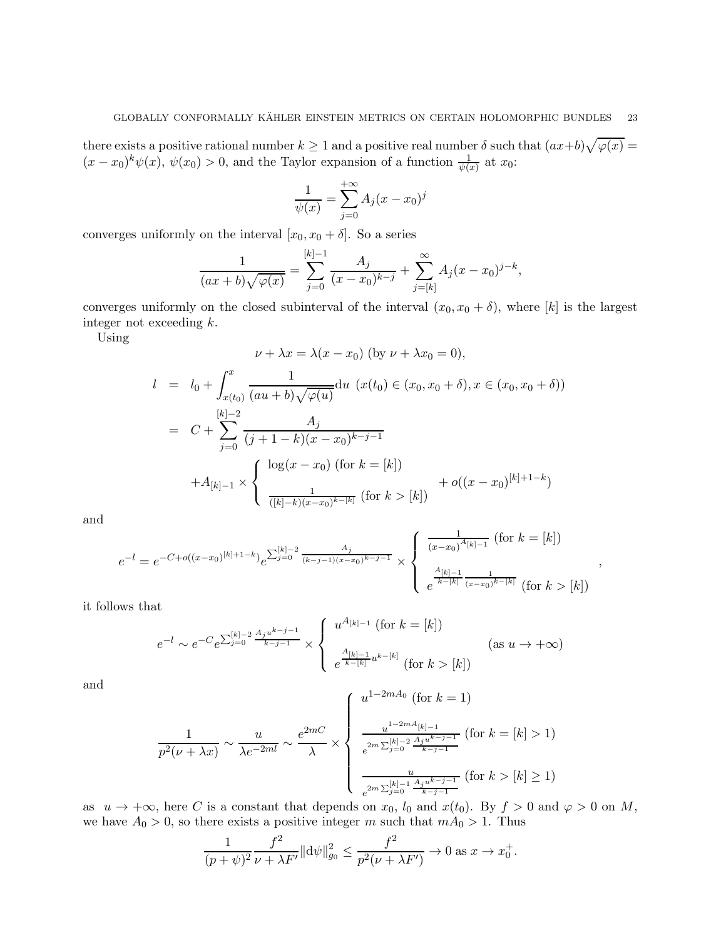there exists a positive rational number  $k \ge 1$  and a positive real number  $\delta$  such that  $(ax+b)\sqrt{\varphi(x)} =$  $(x-x_0)^k \psi(x)$ ,  $\psi(x_0) > 0$ , and the Taylor expansion of a function  $\frac{1}{\psi(x)}$  at  $x_0$ :

$$
\frac{1}{\psi(x)} = \sum_{j=0}^{+\infty} A_j (x - x_0)^j
$$

converges uniformly on the interval  $[x_0, x_0 + \delta]$ . So a series

$$
\frac{1}{(ax+b)\sqrt{\varphi(x)}} = \sum_{j=0}^{[k]-1} \frac{A_j}{(x-x_0)^{k-j}} + \sum_{j=[k]}^{\infty} A_j (x-x_0)^{j-k},
$$

converges uniformly on the closed subinterval of the interval  $(x_0, x_0 + \delta)$ , where [k] is the largest integer not exceeding k.

Using

$$
\nu + \lambda x = \lambda(x - x_0) \text{ (by } \nu + \lambda x_0 = 0),
$$
\n
$$
l = l_0 + \int_{x(t_0)}^x \frac{1}{(au + b)\sqrt{\varphi(u)}} du \ (x(t_0) \in (x_0, x_0 + \delta), x \in (x_0, x_0 + \delta))
$$
\n
$$
= C + \sum_{j=0}^{[k]-2} \frac{A_j}{(j+1-k)(x - x_0)^{k-j-1}}
$$
\n
$$
+ A_{[k]-1} \times \begin{cases} \log(x - x_0) \text{ (for } k = [k]) \\ \frac{1}{([k]-k)(x - x_0)^{k-[k]}} \text{ (for } k > [k]) \end{cases} + o((x - x_0)^{[k]+1-k})
$$

and

$$
e^{-l} = e^{-C + o((x - x_0)^{[k]+1-k})} e^{\sum_{j=0}^{[k]-2} \frac{A_j}{(k-j-1)(x-x_0)^{k-j-1}}} \times \begin{cases} \frac{1}{(x-x_0)^{A_{[k]-1}}} \text{ (for } k = [k])\\ \frac{A_{[k]-1}}{k-[k]} \frac{A_{[k]-1}}{(x-x_0)^{k-[k]}} \text{ (for } k > [k]) \end{cases}
$$

,

it follows that

$$
e^{-l} \sim e^{-C} e^{\sum_{j=0}^{[k]-2} \frac{A_j u^{k-j-1}}{k-j-1}} \times \begin{cases} u^{A_{[k]-1}} \text{ (for } k = [k])\\ e^{\frac{A_{[k]-1}}{k-[k]} u^{k-[k]}} \text{ (for } k > [k]) \end{cases} \text{ (as } u \to +\infty)
$$

and

$$
\frac{1}{p^2(\nu + \lambda x)} \sim \frac{u}{\lambda e^{-2ml}} \sim \frac{e^{2mC}}{\lambda} \times \begin{cases} u^{1-2mA_0} \text{ (for } k=1) \\ \frac{u^{1-2mA_{[k]-1}}}{e^{2m\sum_{j=0}^{[k]-2} \frac{A_j u^{k-j-1}}{k-j-1}}} \text{ (for } k=[k]>1) \\ \frac{u}{e^{2m\sum_{j=0}^{[k]-1} \frac{A_j u^{k-j-1}}{k-j-1}}} \text{ (for } k>[k]\geq 1) \end{cases}
$$

as  $u \to +\infty$ , here C is a constant that depends on  $x_0$ ,  $l_0$  and  $x(t_0)$ . By  $f > 0$  and  $\varphi > 0$  on M, we have  $A_0 > 0$ , so there exists a positive integer m such that  $mA_0 > 1$ . Thus

$$
\frac{1}{(p+\psi)^2} \frac{f^2}{\nu + \lambda F'} \|\mathrm{d}\psi\|_{g_0}^2 \le \frac{f^2}{p^2(\nu + \lambda F')} \to 0 \text{ as } x \to x_0^+.
$$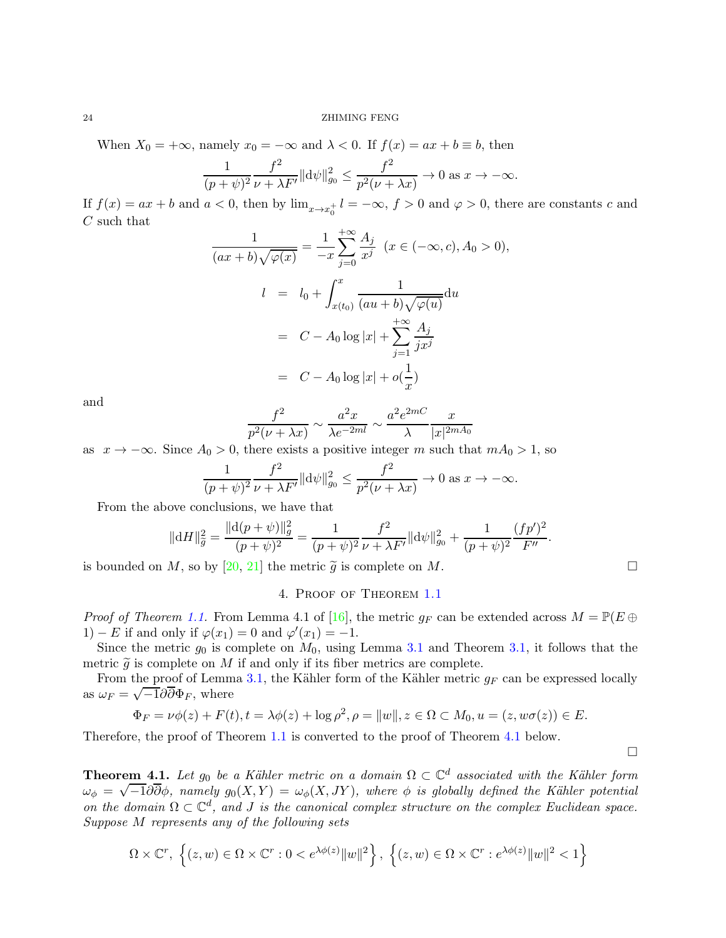#### 24 ZHIMING FENG

When  $X_0 = +\infty$ , namely  $x_0 = -\infty$  and  $\lambda < 0$ . If  $f(x) = ax + b \equiv b$ , then

$$
\frac{1}{(p+\psi)^2} \frac{f^2}{\nu + \lambda F'} \|\mathrm{d}\psi\|_{g_0}^2 \le \frac{f^2}{p^2(\nu + \lambda x)} \to 0 \text{ as } x \to -\infty.
$$

If  $f(x) = ax + b$  and  $a < 0$ , then by  $\lim_{x \to x_0^+} l = -\infty$ ,  $f > 0$  and  $\varphi > 0$ , there are constants c and C such that

$$
\frac{1}{(ax+b)\sqrt{\varphi(x)}} = \frac{1}{-x} \sum_{j=0}^{+\infty} \frac{A_j}{x^j} \quad (x \in (-\infty, c), A_0 > 0),
$$
  

$$
l = l_0 + \int_{x(t_0)}^x \frac{1}{(au+b)\sqrt{\varphi(u)}} du
$$
  

$$
= C - A_0 \log|x| + \sum_{j=1}^{+\infty} \frac{A_j}{jx^j}
$$
  

$$
= C - A_0 \log|x| + o(\frac{1}{x})
$$

and

$$
\frac{f^2}{p^2(\nu+\lambda x)} \sim \frac{a^2x}{\lambda e^{-2ml}} \sim \frac{a^2e^{2mC}}{\lambda} \frac{x}{|x|^{2mA_0}}
$$

as  $x \to -\infty$ . Since  $A_0 > 0$ , there exists a positive integer m such that  $mA_0 > 1$ , so

$$
\frac{1}{(p+\psi)^2} \frac{f^2}{\nu + \lambda F'} \|\mathrm{d}\psi\|_{g_0}^2 \le \frac{f^2}{p^2(\nu + \lambda x)} \to 0 \text{ as } x \to -\infty.
$$

From the above conclusions, we have that

$$
\|\mathrm{d}H\|_{\widetilde{g}}^2 = \frac{\|\mathrm{d}(p+\psi)\|_{g}^2}{(p+\psi)^2} = \frac{1}{(p+\psi)^2} \frac{f^2}{\nu + \lambda F'} \|\mathrm{d}\psi\|_{g_0}^2 + \frac{1}{(p+\psi)^2} \frac{(fp')^2}{F''}.
$$

is bounded on M, so by [\[20,](#page-47-22) [21\]](#page-47-23) the metric  $\tilde{g}$  is complete on M.

#### 4. Proof of Theorem [1.1](#page-1-0)

*Proof of Theorem [1.1.](#page-1-0)* From Lemma 4.1 of [\[16\]](#page-47-24), the metric  $g_F$  can be extended across  $M = \mathbb{P}(E \oplus E)$ 1) – E if and only if  $\varphi(x_1) = 0$  and  $\varphi'(x_1) = -1$ .

Since the metric  $g_0$  is complete on  $M_0$ , using Lemma [3.1](#page-18-1) and Theorem [3.1,](#page-19-0) it follows that the metric  $\tilde{g}$  is complete on M if and only if its fiber metrics are complete.

From the proof of Lemma [3.1,](#page-18-1) the Kähler form of the Kähler metric  $g_F$  can be expressed locally as  $\omega_F = \sqrt{-1} \partial \overline{\partial} \Phi_F$ , where

$$
\Phi_F = \nu \phi(z) + F(t), t = \lambda \phi(z) + \log \rho^2, \rho = ||w||, z \in \Omega \subset M_0, u = (z, w\sigma(z)) \in E.
$$

Therefore, the proof of Theorem [1.1](#page-1-0) is converted to the proof of Theorem [4.1](#page-23-0) below.

 $\Box$ 

<span id="page-23-0"></span>**Theorem 4.1.** Let  $g_0$  be a Kähler metric on a domain  $\Omega \subset \mathbb{C}^d$  associated with the Kähler form  $\omega_{\phi} = \sqrt{-1} \partial \overline{\partial} \phi$ *, namely*  $g_0(X, Y) = \omega_{\phi}(X, JY)$ *, where*  $\phi$  *is globally defined the Kähler potential on the domain*  $\Omega \subset \mathbb{C}^d$ , and *J is the canonical complex structure on the complex Euclidean space. Suppose* M *represents any of the following sets*

$$
\Omega\times\mathbb{C}^r,\;\Big\{(z,w)\in\Omega\times\mathbb{C}^r:0
$$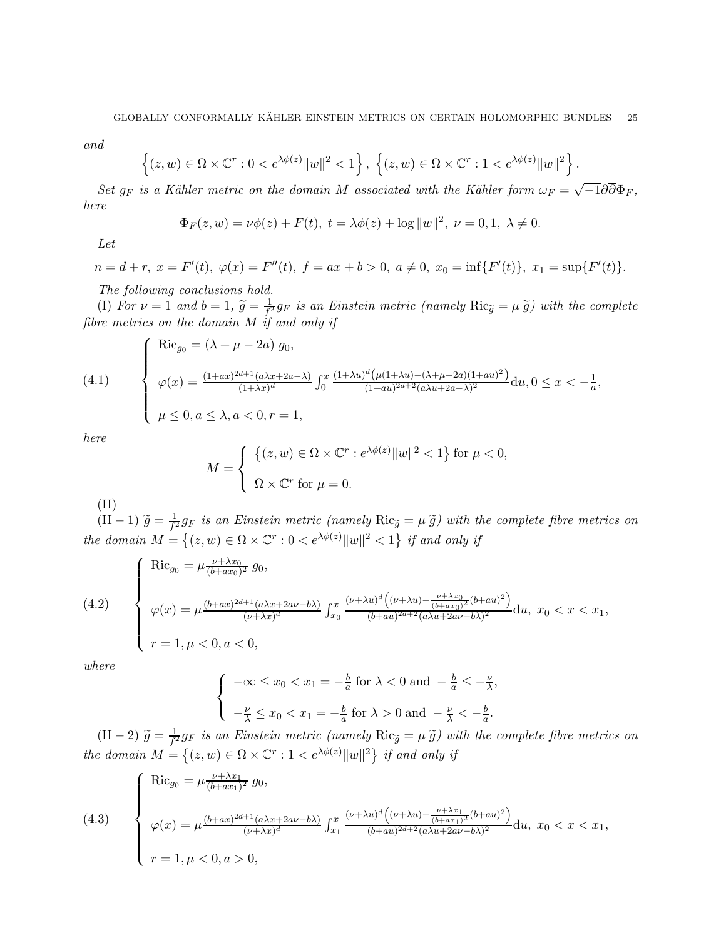*and*

$$
\left\{(z,w)\in\Omega\times\mathbb{C}^r:0
$$

*Set*  $g_F$  *is a Kähler metric on the domain* M *associated with the Kähler form*  $\omega_F = \sqrt{-1} \partial \overline{\partial} \Phi_F$ , *here*

$$
\Phi_F(z, w) = \nu \phi(z) + F(t), \ t = \lambda \phi(z) + \log ||w||^2, \ \nu = 0, 1, \ \lambda \neq 0.
$$

*Let*

$$
n = d + r, \ x = F'(t), \ \varphi(x) = F''(t), \ f = ax + b > 0, \ a \neq 0, \ x_0 = \inf\{F'(t)\}, \ x_1 = \sup\{F'(t)\}.
$$

*The following conclusions hold.*

(I) *For*  $\nu = 1$  *and*  $b = 1$ ,  $\widetilde{g} = \frac{1}{f'}$  $\frac{1}{f_i^2}g_F$  is an Einstein metric (namely  $\text{Ric}_{\widetilde{g}} = \mu \widetilde{g}$ ) with the complete *fibre metrics on the domain* M *if and only if*

(4.1) 
$$
\begin{cases}\n\text{Ric}_{g_0} = (\lambda + \mu - 2a) g_0, \\
\varphi(x) = \frac{(1+ax)^{2d+1}(a\lambda x + 2a - \lambda)}{(1+\lambda x)^d} \int_0^x \frac{(1+\lambda u)^d (\mu(1+\lambda u) - (\lambda + \mu - 2a)(1+au)^2)}{(1+au)^{2d+2}(a\lambda u + 2a - \lambda)^2} du, 0 \le x < -\frac{1}{a}, \\
\mu \le 0, a \le \lambda, a < 0, r = 1,\n\end{cases}
$$

*here*

$$
M = \begin{cases} \left\{ (z, w) \in \Omega \times \mathbb{C}^r : e^{\lambda \phi(z)} ||w||^2 < 1 \right\} & \text{for } \mu < 0, \\ \Omega \times \mathbb{C}^r & \text{for } \mu = 0. \end{cases}
$$

(II)

 $(II-1) \tilde{g} = \frac{1}{f^2}$  $\frac{1}{f^2}g_F$  is an Einstein metric (namely  $\text{Ric}_{\tilde{g}} = \mu \, \tilde{g}$ ) with the complete fibre metrics on *the domain*  $M = \{(z, w) \in \Omega \times \mathbb{C}^r : 0 < e^{\lambda \phi(z)} ||w||^2 < 1\}$  *if and only if* 

(4.2) 
$$
\begin{cases}\n\text{Ric}_{g_0} = \mu \frac{\nu + \lambda x_0}{(b + ax_0)^2} g_0, \\
\varphi(x) = \mu \frac{(b + ax)^{2d + 1} (a\lambda x + 2a\nu - b\lambda)}{(\nu + \lambda x)^d} \int_{x_0}^x \frac{(\nu + \lambda u)^d \left((\nu + \lambda u) - \frac{\nu + \lambda x_0}{(b + ax_0)^2} (b + au)^2\right)}{(b + au)^{2d + 2} (a\lambda u + 2a\nu - b\lambda)^2} du, \ x_0 < x < x_1, \\
r = 1, \mu < 0, a < 0,\n\end{cases}
$$

*where*

$$
\begin{cases}\n-\infty \le x_0 < x_1 = -\frac{b}{a} \text{ for } \lambda < 0 \text{ and } -\frac{b}{a} \le -\frac{\nu}{\lambda}, \\
-\frac{\nu}{\lambda} \le x_0 < x_1 = -\frac{b}{a} \text{ for } \lambda > 0 \text{ and } -\frac{\nu}{\lambda} < -\frac{b}{a}.\n\end{cases}
$$

 $(II-2)$   $\tilde{g} = \frac{1}{f^2}g_F$  is an Einstein metric (namely  $Ric_{\tilde{g}} = \mu \tilde{g}$ ) with the complete fibre metrics on *the domain*  $M = \{(z, w) \in \Omega \times \mathbb{C}^r : 1 < e^{\lambda \phi(z)} ||w||^2 \}$  *if and only if* 

(4.3) 
$$
\begin{cases}\n\text{Ric}_{g_0} = \mu \frac{\nu + \lambda x_1}{(b + ax_1)^2} g_0, \\
\varphi(x) = \mu \frac{(b + ax)^{2d + 1} (a\lambda x + 2a\nu - b\lambda)}{(\nu + \lambda x)^d} \int_{x_1}^x \frac{(\nu + \lambda u)^d ((\nu + \lambda u) - \frac{\nu + \lambda x_1}{(b + ax_1)^2} (b + au)^2)}{(b + au)^{2d + 2} (a\lambda u + 2a\nu - b\lambda)^2} du, \ x_0 < x < x_1, \\
r = 1, \mu < 0, a > 0,\n\end{cases}
$$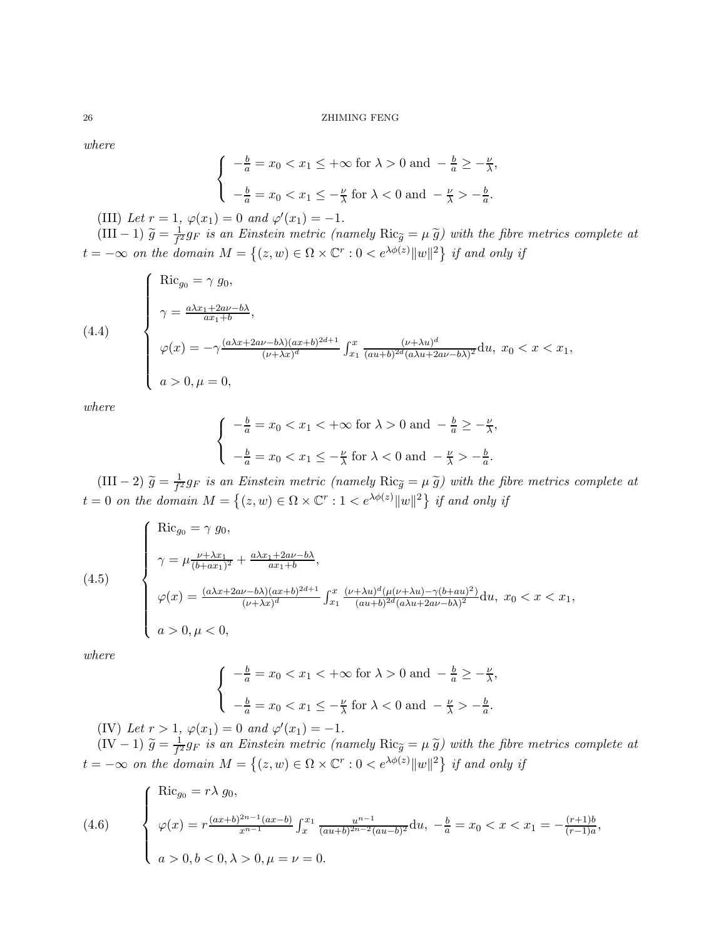*where*

$$
\begin{cases}\n-\frac{b}{a} = x_0 < x_1 \leq +\infty \text{ for } \lambda > 0 \text{ and } -\frac{b}{a} \geq -\frac{\nu}{\lambda}, \\
-\frac{b}{a} = x_0 < x_1 \leq -\frac{\nu}{\lambda} \text{ for } \lambda < 0 \text{ and } -\frac{\nu}{\lambda} > -\frac{b}{a}.\n\end{cases}
$$

(III) Let  $r = 1$ ,  $\varphi(x_1) = 0$  and  $\varphi'(x_1) = -1$ .

(III – 1)  $\tilde{g} = \frac{1}{f^2} g_F$  *is an Einstein metric (namely*  $Ric_{\tilde{g}} = \mu \tilde{g}$ ) with the fibre metrics complete at  $t = -\infty$  *on the domain*  $M = \{(z, w) \in \Omega \times \mathbb{C}^r : 0 < e^{\lambda \phi(z)} ||w||^2 \}$  if and only if

(4.4)  
\n
$$
\begin{cases}\n\text{Ric}_{g_0} = \gamma g_0, \\
\gamma = \frac{a\lambda x_1 + 2a\nu - b\lambda}{ax_1 + b}, \\
\varphi(x) = -\gamma \frac{(a\lambda x + 2a\nu - b\lambda)(ax + b)^{2d+1}}{(\nu + \lambda x)^d} \int_{x_1}^x \frac{(\nu + \lambda u)^d}{(au + b)^{2d}(a\lambda u + 2a\nu - b\lambda)^2} \mathrm{d}u, \ x_0 < x < x_1, \\
a > 0, \mu = 0,\n\end{cases}
$$

*where*

$$
\begin{cases}\n-\frac{b}{a} = x_0 < x_1 < +\infty \text{ for } \lambda > 0 \text{ and } -\frac{b}{a} \ge -\frac{\nu}{\lambda}, \\
-\frac{b}{a} = x_0 < x_1 \le -\frac{\nu}{\lambda} \text{ for } \lambda < 0 \text{ and } -\frac{\nu}{\lambda} > -\frac{b}{a}.\n\end{cases}
$$

 $(III - 2) \tilde{g} = \frac{1}{f^2}$  $\frac{1}{f^2}g_F$  is an Einstein metric (namely  $\text{Ric}_{\tilde{g}} = \mu \tilde{g}$ ) with the fibre metrics complete at  $t = 0$  *on the domain*  $M = \{(z, w) \in \Omega \times \mathbb{C}^r : 1 < e^{\lambda \phi(z)} ||w||^2 \}$  if and only if

(4.5)  
\n
$$
\begin{cases}\n\text{Ric}_{g_0} = \gamma g_0, \\
\gamma = \mu \frac{\nu + \lambda x_1}{(b + ax_1)^2} + \frac{a \lambda x_1 + 2a \nu - b \lambda}{ax_1 + b}, \\
\varphi(x) = \frac{(a \lambda x + 2a \nu - b \lambda)(ax + b)^{2d + 1}}{(\nu + \lambda x)^d} \int_{x_1}^x \frac{(\nu + \lambda u)^d (\mu(\nu + \lambda u) - \gamma (b + au)^2)}{(au + b)^{2d} (a \lambda u + 2av - b \lambda)^2} du, & x_0 < x < x_1, \\
a > 0, \mu < 0,\n\end{cases}
$$

*where*

$$
\begin{cases}\n-\frac{b}{a} = x_0 < x_1 < +\infty \text{ for } \lambda > 0 \text{ and } -\frac{b}{a} \ge -\frac{\nu}{\lambda}, \\
-\frac{b}{a} = x_0 < x_1 \le -\frac{\nu}{\lambda} \text{ for } \lambda < 0 \text{ and } -\frac{\nu}{\lambda} > -\frac{b}{a}.\n\end{cases}
$$

(IV) Let  $r > 1$ ,  $\varphi(x_1) = 0$  and  $\varphi'(x_1) = -1$ .

 $(IV - 1) \tilde{g} = \frac{1}{f^2}$  $\frac{1}{f^2}g_F$  is an Einstein metric (namely  $\text{Ric}_{\widetilde{g}} = \mu \widetilde{g}$ ) with the fibre metrics complete at  $t = -\infty$  *on the domain*  $M = \{(z, w) \in \Omega \times \mathbb{C}^r : 0 < e^{\lambda \phi(z)} ||w||^2 \}$  *if and only if* 

(4.6) 
$$
\begin{cases} \text{Ric}_{g_0} = r\lambda g_0, \\ \varphi(x) = r \frac{(ax+b)^{2n-1}(ax-b)}{x^{n-1}} \int_x^{x_1} \frac{u^{n-1}}{(au+b)^{2n-2}(au-b)^2} du, \ -\frac{b}{a} = x_0 < x < x_1 = -\frac{(r+1)b}{(r-1)a}, \\ a > 0, b < 0, \lambda > 0, \mu = \nu = 0. \end{cases}
$$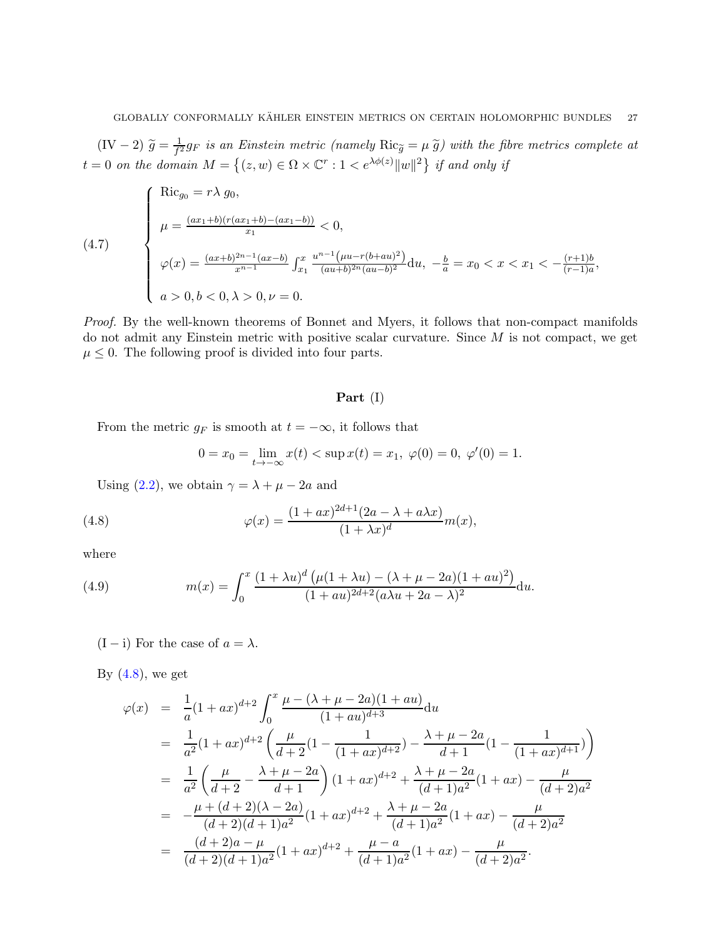$(IV-2) \tilde{g} = \frac{1}{f^2}$  $\frac{1}{f^2}g_F$  is an Einstein metric (namely  $\text{Ric}_{\widetilde{g}} = \mu \widetilde{g}$ ) with the fibre metrics complete at  $t = 0$  *on the domain*  $M = \{(z, w) \in \Omega \times \mathbb{C}^r : 1 < e^{\lambda \phi(z)} ||w||^2 \}$  if and only if

(4.7)  
\n
$$
\begin{cases}\n\text{Ric}_{g_0} = r\lambda g_0, \\
\mu = \frac{(ax_1 + b)(r(ax_1 + b) - (ax_1 - b))}{x_1} < 0, \\
\varphi(x) = \frac{(ax + b)^{2n - 1}(ax - b)}{x^{n - 1}} \int_{x_1}^x \frac{u^{n - 1}(\mu u - r(b + au)^2)}{(au + b)^{2n}(au - b)^2} du, \ -\frac{b}{a} = x_0 < x < x_1 < -\frac{(r + 1)b}{(r - 1)a}, \\
a > 0, b < 0, \lambda > 0, \nu = 0.\n\end{cases}
$$

*Proof.* By the well-known theorems of Bonnet and Myers, it follows that non-compact manifolds do not admit any Einstein metric with positive scalar curvature. Since M is not compact, we get  $\mu \leq 0$ . The following proof is divided into four parts.

### Part (I)

From the metric  $g_F$  is smooth at  $t = -\infty$ , it follows that

<span id="page-26-0"></span>
$$
0 = x_0 = \lim_{t \to -\infty} x(t) < \sup x(t) = x_1, \ \varphi(0) = 0, \ \varphi'(0) = 1.
$$

Using [\(2.2\)](#page-8-3), we obtain  $\gamma = \lambda + \mu - 2a$  and

(4.8) 
$$
\varphi(x) = \frac{(1+ax)^{2d+1}(2a-\lambda+a\lambda x)}{(1+\lambda x)^d}m(x),
$$

where

<span id="page-26-1"></span>(4.9) 
$$
m(x) = \int_0^x \frac{(1+\lambda u)^d (\mu(1+\lambda u) - (\lambda + \mu - 2a)(1 + au)^2)}{(1 + au)^{2d+2}(a\lambda u + 2a - \lambda)^2} du.
$$

(I – i) For the case of  $a = \lambda$ .

By  $(4.8)$ , we get

$$
\varphi(x) = \frac{1}{a}(1+ax)^{d+2} \int_0^x \frac{\mu - (\lambda + \mu - 2a)(1+au)}{(1+au)^{d+3}} du
$$
  
\n
$$
= \frac{1}{a^2}(1+ax)^{d+2} \left(\frac{\mu}{d+2}(1-\frac{1}{(1+ax)^{d+2}}) - \frac{\lambda + \mu - 2a}{d+1}(1-\frac{1}{(1+ax)^{d+1}})\right)
$$
  
\n
$$
= \frac{1}{a^2} \left(\frac{\mu}{d+2} - \frac{\lambda + \mu - 2a}{d+1}\right) (1+ax)^{d+2} + \frac{\lambda + \mu - 2a}{(d+1)a^2}(1+ax) - \frac{\mu}{(d+2)a^2}
$$
  
\n
$$
= -\frac{\mu + (d+2)(\lambda - 2a)}{(d+2)(d+1)a^2}(1+ax)^{d+2} + \frac{\lambda + \mu - 2a}{(d+1)a^2}(1+ax) - \frac{\mu}{(d+2)a^2}
$$
  
\n
$$
= \frac{(d+2)a - \mu}{(d+2)(d+1)a^2}(1+ax)^{d+2} + \frac{\mu - a}{(d+1)a^2}(1+ax) - \frac{\mu}{(d+2)a^2}.
$$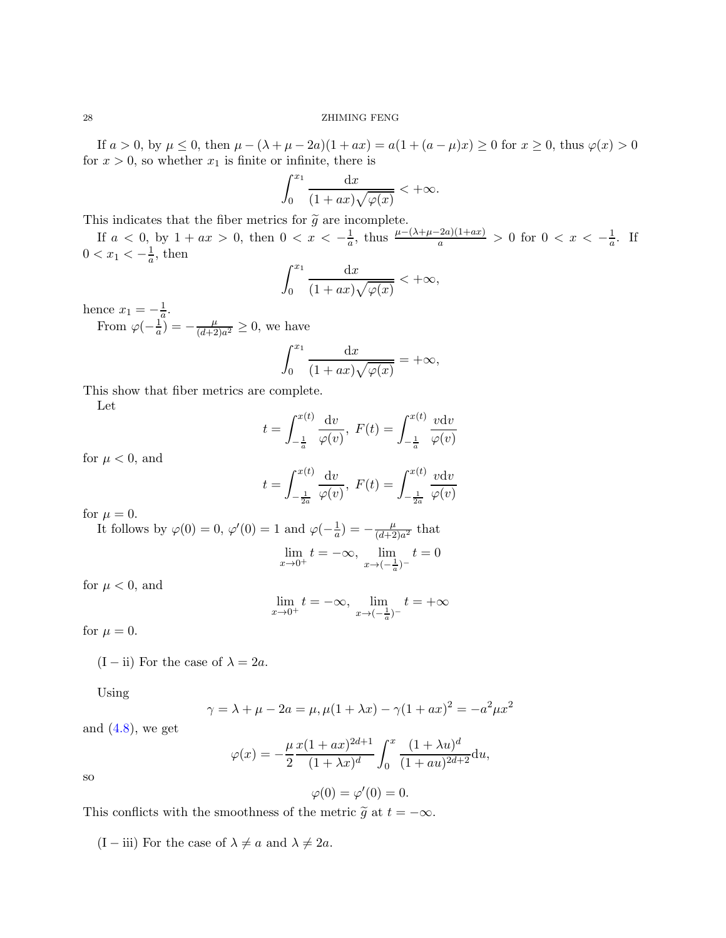If  $a > 0$ , by  $\mu \le 0$ , then  $\mu - (\lambda + \mu - 2a)(1 + ax) = a(1 + (a - \mu)x) \ge 0$  for  $x \ge 0$ , thus  $\varphi(x) > 0$ for  $x > 0$ , so whether  $x_1$  is finite or infinite, there is

$$
\int_0^{x_1} \frac{\mathrm{d}x}{(1+ax)\sqrt{\varphi(x)}} < +\infty.
$$

This indicates that the fiber metrics for  $\tilde{g}$  are incomplete.

If  $a < 0$ , by  $1 + ax > 0$ , then  $0 < x < -\frac{1}{a}$ , thus  $\frac{\mu - (\lambda + \mu - 2a)(1 + ax)}{a} > 0$  for  $0 < x < -\frac{1}{a}$ . If  $0 < x_1 < -\frac{1}{a}$ , then

$$
\int_0^{x_1} \frac{\mathrm{d}x}{(1+ax)\sqrt{\varphi(x)}} < +\infty,
$$

hence  $x_1 = -\frac{1}{a}$ .

From  $\varphi(-\frac{1}{a}) = -\frac{\mu}{(d+2)}$  $\frac{\mu}{(d+2)a^2} \geq 0$ , we have

$$
\int_0^{x_1} \frac{\mathrm{d}x}{(1+ax)\sqrt{\varphi(x)}} = +\infty,
$$

This show that fiber metrics are complete.

Let

$$
t = \int_{-\frac{1}{a}}^{x(t)} \frac{dv}{\varphi(v)}, \ F(t) = \int_{-\frac{1}{a}}^{x(t)} \frac{v dv}{\varphi(v)}
$$

for  $\mu < 0$ , and

$$
t = \int_{-\frac{1}{2a}}^{x(t)} \frac{dv}{\varphi(v)}, \ F(t) = \int_{-\frac{1}{2a}}^{x(t)} \frac{v dv}{\varphi(v)}
$$

for  $\mu = 0$ .

It follows by  $\varphi(0) = 0$ ,  $\varphi'(0) = 1$  and  $\varphi(-\frac{1}{a}) = -\frac{\mu}{(d+2)}$  $\frac{\mu}{(d+2)a^2}$  that lim  $\lim_{x \to 0^+} t = -\infty$ ,  $\lim_{x \to (-\frac{1}{a})^-}$  $t=0$ 

for  $\mu < 0$ , and

$$
\lim_{x \to 0^+} t = -\infty, \ \lim_{x \to (-\frac{1}{a})^-} t = +\infty
$$

for  $\mu = 0$ .

(I – ii) For the case of  $\lambda = 2a$ .

Using

$$
\gamma = \lambda + \mu - 2a = \mu, \mu(1 + \lambda x) - \gamma(1 + ax)^2 = -a^2 \mu x^2
$$

and  $(4.8)$ , we get

$$
\varphi(x) = -\frac{\mu}{2} \frac{x(1+ax)^{2d+1}}{(1+\lambda x)^d} \int_0^x \frac{(1+\lambda u)^d}{(1+au)^{2d+2}} \mathrm{d}u,
$$

so

$$
\varphi(0) = \varphi'(0) = 0.
$$

This conflicts with the smoothness of the metric  $\tilde{g}$  at  $t = -\infty$ .

(I – iii) For the case of  $\lambda \neq a$  and  $\lambda \neq 2a$ .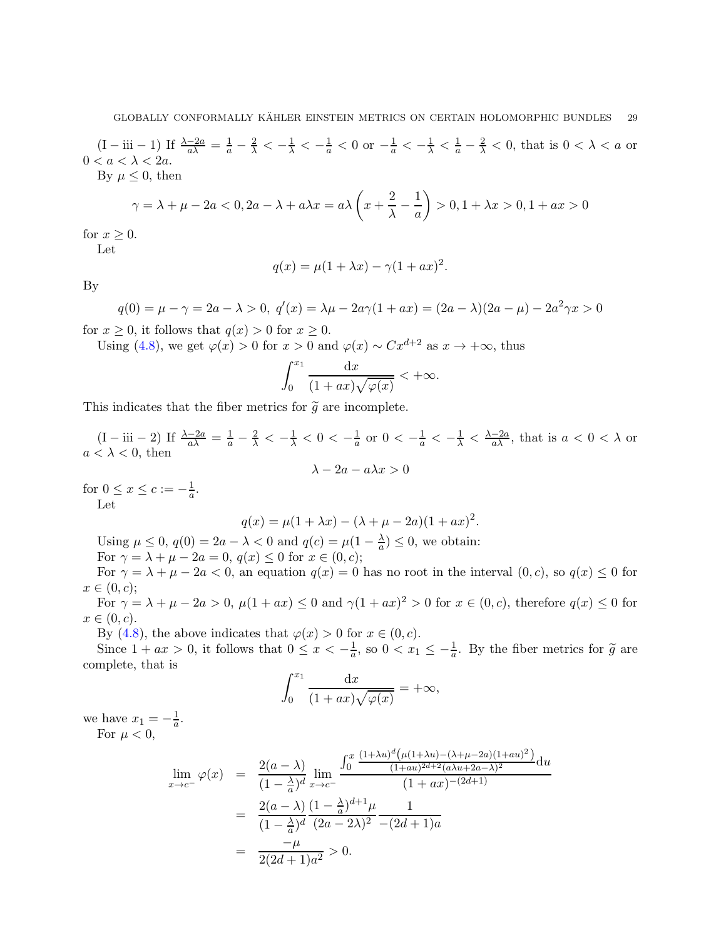$(I - iii - 1)$  If  $\frac{\lambda - 2a}{a\lambda} = \frac{1}{a} - \frac{2}{\lambda} < -\frac{1}{\lambda} < -\frac{1}{a} < 0$  or  $-\frac{1}{a} < -\frac{1}{\lambda} < \frac{1}{a} - \frac{2}{\lambda} < 0$ , that is  $0 < \lambda < a$  or  $0 < a < \lambda < 2a$ .

By  $\mu \leq 0$ , then

$$
\gamma = \lambda + \mu - 2a < 0, 2a - \lambda + a\lambda x = a\lambda \left(x + \frac{2}{\lambda} - \frac{1}{a}\right) > 0, 1 + \lambda x > 0, 1 + ax > 0
$$

for  $x \geq 0$ .

Let

$$
q(x) = \mu(1 + \lambda x) - \gamma(1 + ax)^2.
$$

By

 $q(0) = \mu - \gamma = 2a - \lambda > 0, \ q'(x) = \lambda\mu - 2a\gamma(1 + ax) = (2a - \lambda)(2a - \mu) - 2a^2\gamma x > 0$ 

for  $x \geq 0$ , it follows that  $q(x) > 0$  for  $x \geq 0$ .

Using [\(4.8\)](#page-26-0), we get  $\varphi(x) > 0$  for  $x > 0$  and  $\varphi(x) \sim Cx^{d+2}$  as  $x \to +\infty$ , thus

$$
\int_0^{x_1} \frac{\mathrm{d}x}{(1+ax)\sqrt{\varphi(x)}} < +\infty.
$$

This indicates that the fiber metrics for  $\tilde{g}$  are incomplete.

 $(I - iii - 2)$  If  $\frac{\lambda - 2a}{a\lambda} = \frac{1}{a} - \frac{2}{\lambda} < -\frac{1}{\lambda} < 0 < -\frac{1}{a}$  $\frac{1}{a}$  or  $0 < -\frac{1}{a} < -\frac{1}{\lambda} < \frac{\lambda - 2a}{a\lambda}$ , that is  $a < 0 < \lambda$  or  $a < \lambda < 0$ , then

$$
\lambda - 2a - a\lambda x > 0
$$

for  $0 \le x \le c := -\frac{1}{a}$ . Let

$$
q(x) = \mu(1 + \lambda x) - (\lambda + \mu - 2a)(1 + ax)^2.
$$

Using  $\mu \leq 0$ ,  $q(0) = 2a - \lambda < 0$  and  $q(c) = \mu(1 - \frac{\lambda}{a}) \leq 0$ , we obtain:

For 
$$
\gamma = \lambda + \mu - 2a = 0
$$
,  $q(x) \le 0$  for  $x \in (0, c)$ ;

For  $\gamma = \lambda + \mu - 2a < 0$ , an equation  $q(x) = 0$  has no root in the interval  $(0, c)$ , so  $q(x) \leq 0$  for  $x \in (0, c)$ ;

For  $\gamma = \lambda + \mu - 2a > 0$ ,  $\mu(1 + ax) \le 0$  and  $\gamma(1 + ax)^2 > 0$  for  $x \in (0, c)$ , therefore  $q(x) \le 0$  for  $x \in (0, c).$ 

By [\(4.8\)](#page-26-0), the above indicates that  $\varphi(x) > 0$  for  $x \in (0, c)$ .

Since  $1 + ax > 0$ , it follows that  $0 \le x < -\frac{1}{a}$ , so  $0 < x_1 \le -\frac{1}{a}$ . By the fiber metrics for  $\tilde{g}$  are complete, that is

$$
\int_0^{x_1} \frac{\mathrm{d}x}{(1+ax)\sqrt{\varphi(x)}} = +\infty,
$$

we have  $x_1 = -\frac{1}{a}$ . For  $\mu < 0$ ,

$$
\lim_{x \to c^{-}} \varphi(x) = \frac{2(a - \lambda)}{(1 - \frac{\lambda}{a})^d} \lim_{x \to c^{-}} \frac{\int_0^x \frac{(1 + \lambda u)^d (\mu(1 + \lambda u) - (\lambda + \mu - 2a)(1 + au)^2)}{(1 + au)^{2d + 2}(a\lambda u + 2a - \lambda)^2} du}{(1 + ax)^{-(2d + 1)}}
$$

$$
= \frac{2(a - \lambda)}{(1 - \frac{\lambda}{a})^d} \frac{(1 - \frac{\lambda}{a})^{d + 1} \mu}{(2a - 2\lambda)^2} \frac{1}{-(2d + 1)a}
$$

$$
= \frac{-\mu}{2(2d + 1)a^2} > 0.
$$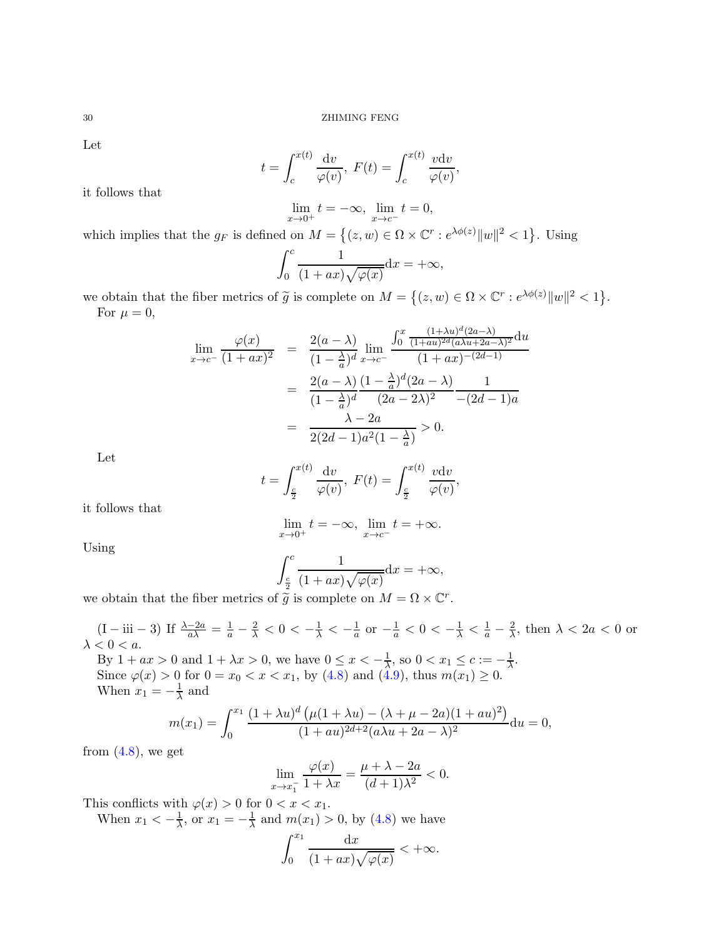Let

$$
t = \int_{c}^{x(t)} \frac{\mathrm{d}v}{\varphi(v)}, \ F(t) = \int_{c}^{x(t)} \frac{v \mathrm{d}v}{\varphi(v)},
$$

it follows that

$$
\lim_{x \to 0^+} t = -\infty, \ \lim_{x \to c^-} t = 0,
$$

which implies that the  $g_F$  is defined on  $M = \{(z, w) \in \Omega \times \mathbb{C}^r : e^{\lambda \phi(z)} ||w||^2 < 1\}$ . Using

$$
\int_0^c \frac{1}{(1+ax)\sqrt{\varphi(x)}} \mathrm{d}x = +\infty,
$$

we obtain that the fiber metrics of  $\tilde{g}$  is complete on  $M = \{(z, w) \in \Omega \times \mathbb{C}^r : e^{\lambda \phi(z)} \|w\|^2 < 1\}.$ For  $\mu = 0$ ,

$$
\lim_{x \to c^{-}} \frac{\varphi(x)}{(1+ax)^2} = \frac{2(a-\lambda)}{(1-\frac{\lambda}{a})^d} \lim_{x \to c^{-}} \frac{\int_0^x \frac{(1+\lambda u)^d (2a-\lambda)}{(1+ax)^{2d} (a\lambda u + 2a-\lambda)^2} du}{(1+ax)^{-(2d-1)}}
$$

$$
= \frac{2(a-\lambda)}{(1-\frac{\lambda}{a})^d} \frac{(1-\frac{\lambda}{a})^d (2a-\lambda)}{(2a-2\lambda)^2} \frac{1}{-(2d-1)a}
$$

$$
= \frac{\lambda - 2a}{2(2d-1)a^2(1-\frac{\lambda}{a})} > 0.
$$

Let

$$
t = \int_{\frac{c}{2}}^{x(t)} \frac{\mathrm{d}v}{\varphi(v)}, \ F(t) = \int_{\frac{c}{2}}^{x(t)} \frac{v \mathrm{d}v}{\varphi(v)},
$$

it follows that

$$
\lim_{x \to 0^+} t = -\infty, \ \lim_{x \to c^-} t = +\infty.
$$

Using

$$
\int_{\frac{c}{2}}^{c} \frac{1}{(1+ax)\sqrt{\varphi(x)}} dx = +\infty,
$$

we obtain that the fiber metrics of  $\widetilde{g}$  is complete on  $M = \Omega \times \mathbb{C}^r$ .

 $(I - \text{iii} - 3)$  If  $\frac{\lambda - 2a}{a\lambda} = \frac{1}{a} - \frac{2}{\lambda} < 0 < -\frac{1}{\lambda} < -\frac{1}{a}$  or  $-\frac{1}{a} < 0 < -\frac{1}{\lambda} < \frac{1}{a} - \frac{2}{\lambda}$ , then  $\lambda < 2a < 0$  or  $\lambda < 0 < a.$ 

By  $1 + ax > 0$  and  $1 + \lambda x > 0$ , we have  $0 \le x < -\frac{1}{\lambda}$ , so  $0 < x_1 \le c := -\frac{1}{\lambda}$ . Since  $\varphi(x) > 0$  for  $0 = x_0 < x < x_1$ , by [\(4.8\)](#page-26-0) and [\(4.9\)](#page-26-1), thus  $m(x_1) \geq 0$ . When  $x_1 = -\frac{1}{\lambda}$  and

$$
m(x_1) = \int_0^{x_1} \frac{(1 + \lambda u)^d \left(\mu(1 + \lambda u) - (\lambda + \mu - 2a)(1 + au)^2\right)}{(1 + au)^{2d+2}(a\lambda u + 2a - \lambda)^2} du = 0,
$$

from  $(4.8)$ , we get

$$
\lim_{x \to x_1^-} \frac{\varphi(x)}{1 + \lambda x} = \frac{\mu + \lambda - 2a}{(d+1)\lambda^2} < 0.
$$

This conflicts with  $\varphi(x) > 0$  for  $0 < x < x_1$ .

When  $x_1 < -\frac{1}{\lambda}$  $\frac{1}{\lambda}$ , or  $x_1 = -\frac{1}{\lambda}$  $\frac{1}{\lambda}$  and  $m(x_1) > 0$ , by  $(4.8)$  we have

$$
\int_0^{x_1} \frac{\mathrm{d}x}{(1+ax)\sqrt{\varphi(x)}} < +\infty.
$$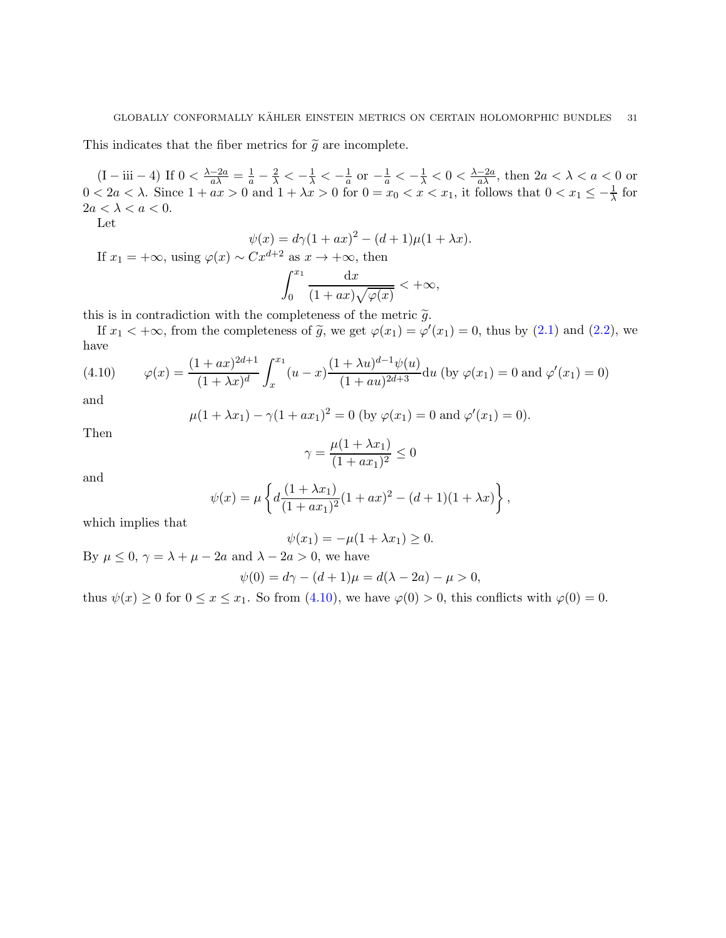This indicates that the fiber metrics for  $\tilde{g}$  are incomplete.

 $(I - iii - 4)$  If  $0 < \frac{\lambda - 2a}{a\lambda} = \frac{1}{a} - \frac{2}{\lambda} < -\frac{1}{\lambda} < -\frac{1}{a}$  or  $-\frac{1}{a} < -\frac{1}{\lambda} < 0 < \frac{\lambda - 2a}{a\lambda}$ , then  $2a < \lambda < a < 0$  or  $0 < 2a < \lambda$ . Since  $1 + ax > 0$  and  $1 + \lambda x > 0$  for  $0 = x_0 < x < x_1$ , it follows that  $0 < x_1 \leq -\frac{1}{\lambda}$  for  $2a < \lambda < a < 0$ .

Let

$$
\psi(x) = d\gamma (1 + ax)^{2} - (d+1)\mu(1 + \lambda x).
$$

If  $x_1 = +\infty$ , using  $\varphi(x) \sim Cx^{d+2}$  as  $x \to +\infty$ , then

$$
\int_0^{x_1} \frac{\mathrm{d}x}{(1+ax)\sqrt{\varphi(x)}} < +\infty,
$$

this is in contradiction with the completeness of the metric  $\tilde{q}$ .

If  $x_1 < +\infty$ , from the completeness of  $\tilde{g}$ , we get  $\varphi(x_1) = \varphi'(x_1) = 0$ , thus by [\(2.1\)](#page-8-2) and [\(2.2\)](#page-8-3), we have

<span id="page-30-0"></span>(4.10) 
$$
\varphi(x) = \frac{(1+ax)^{2d+1}}{(1+\lambda x)^d} \int_x^{x_1} (u-x) \frac{(1+\lambda u)^{d-1} \psi(u)}{(1+au)^{2d+3}} du \text{ (by } \varphi(x_1) = 0 \text{ and } \varphi'(x_1) = 0)
$$

and

$$
\mu(1 + \lambda x_1) - \gamma (1 + ax_1)^2 = 0
$$
 (by  $\varphi(x_1) = 0$  and  $\varphi'(x_1) = 0$ ).

Then

$$
\gamma = \frac{\mu(1 + \lambda x_1)}{(1 + ax_1)^2} \le 0
$$

and

$$
\psi(x) = \mu \left\{ d \frac{(1 + \lambda x_1)}{(1 + ax_1)^2} (1 + ax)^2 - (d + 1)(1 + \lambda x) \right\},\,
$$

which implies that

$$
\psi(x_1) = -\mu(1 + \lambda x_1) \ge 0.
$$

By  $\mu \leq 0$ ,  $\gamma = \lambda + \mu - 2a$  and  $\lambda - 2a > 0$ , we have

$$
\psi(0) = d\gamma - (d+1)\mu = d(\lambda - 2a) - \mu > 0,
$$

thus  $\psi(x) \ge 0$  for  $0 \le x \le x_1$ . So from [\(4.10\)](#page-30-0), we have  $\varphi(0) > 0$ , this conflicts with  $\varphi(0) = 0$ .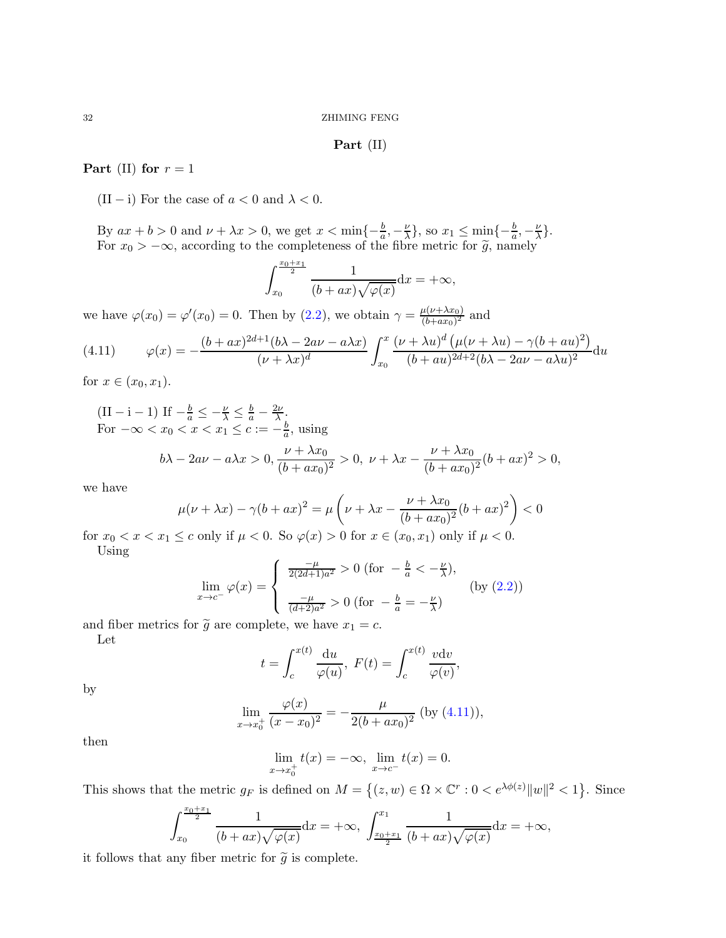#### Part (II)

### Part (II) for  $r = 1$

(II – i) For the case of  $a < 0$  and  $\lambda < 0$ .

By  $ax + b > 0$  and  $\nu + \lambda x > 0$ , we get  $x < \min\{-\frac{b}{a}, -\frac{\nu}{\lambda}\}$  $\frac{\nu}{\lambda}$ , so  $x_1 \leq \min\{-\frac{b}{a}, -\frac{\nu}{\lambda}\}$  $\frac{\nu}{\lambda}\}$ . For  $x_0 > -\infty$ , according to the completeness of the fibre metric for  $\tilde{g}$ , namely

$$
\int_{x_0}^{\frac{x_0+x_1}{2}} \frac{1}{(b+ax)\sqrt{\varphi(x)}} \mathrm{d}x = +\infty,
$$

we have  $\varphi(x_0) = \varphi'(x_0) = 0$ . Then by [\(2.2\)](#page-8-3), we obtain  $\gamma = \frac{\mu(\nu + \lambda x_0)}{(b + ax_0)^2}$  $\frac{\mu(\nu+\lambda x_0)}{(b+ax_0)^2}$  and

<span id="page-31-0"></span>(4.11) 
$$
\varphi(x) = -\frac{(b+ax)^{2d+1}(b\lambda - 2a\nu - a\lambda x)}{(\nu + \lambda x)^d} \int_{x_0}^x \frac{(\nu + \lambda u)^d (\mu(\nu + \lambda u) - \gamma(b + au)^2)}{(b+au)^{2d+2}(b\lambda - 2a\nu - a\lambda u)^2} du
$$

for  $x \in (x_0, x_1)$ .

$$
\begin{aligned} \n\text{(II} - \mathbf{i} - 1) \text{ If } -\frac{b}{a} &\leq -\frac{\nu}{\lambda} \leq \frac{b}{a} - \frac{2\nu}{\lambda},\\ \n\text{For } -\infty < x_0 < x < x_1 \leq c := -\frac{b}{a}, \text{ using} \\ \nb\lambda - 2a\nu - a\lambda x > 0, \frac{\nu + \lambda x_0}{(b + ax_0)^2} > 0, \ \nu + \lambda x - \frac{\nu + \lambda x_0}{(b + ax_0)^2} (b + ax)^2 > 0, \n\end{aligned}
$$

we have

$$
\mu(\nu + \lambda x) - \gamma (b + ax)^2 = \mu \left( \nu + \lambda x - \frac{\nu + \lambda x_0}{(b + ax_0)^2} (b + ax)^2 \right) < 0
$$

for  $x_0 < x < x_1 \le c$  only if  $\mu < 0$ . So  $\varphi(x) > 0$  for  $x \in (x_0, x_1)$  only if  $\mu < 0$ . Using

$$
\lim_{x \to c^{-}} \varphi(x) = \begin{cases} \frac{-\mu}{2(2d+1)a^2} > 0 \text{ (for } -\frac{b}{a} < -\frac{\nu}{\lambda}), \\ \frac{-\mu}{(d+2)a^2} > 0 \text{ (for } -\frac{b}{a} = -\frac{\nu}{\lambda}) \end{cases}
$$
 (by (2.2))

and fiber metrics for  $\tilde{g}$  are complete, we have  $x_1 = c$ . Let

$$
t = \int_{c}^{x(t)} \frac{\mathrm{d}u}{\varphi(u)}, \ F(t) = \int_{c}^{x(t)} \frac{v \mathrm{d}v}{\varphi(v)},
$$

by

$$
\lim_{x \to x_0^+} \frac{\varphi(x)}{(x - x_0)^2} = -\frac{\mu}{2(b + ax_0)^2} \text{ (by (4.11))},
$$

then

$$
\lim_{x \to x_0^+} t(x) = -\infty, \ \lim_{x \to c^-} t(x) = 0.
$$

This shows that the metric  $g_F$  is defined on  $M = \{(z, w) \in \Omega \times \mathbb{C}^r : 0 < e^{\lambda \phi(z)} ||w||^2 < 1\}$ . Since

$$
\int_{x_0}^{\frac{x_0+x_1}{2}} \frac{1}{(b+ax)\sqrt{\varphi(x)}} dx = +\infty, \ \int_{\frac{x_0+x_1}{2}}^{x_1} \frac{1}{(b+ax)\sqrt{\varphi(x)}} dx = +\infty,
$$

it follows that any fiber metric for  $\tilde{g}$  is complete.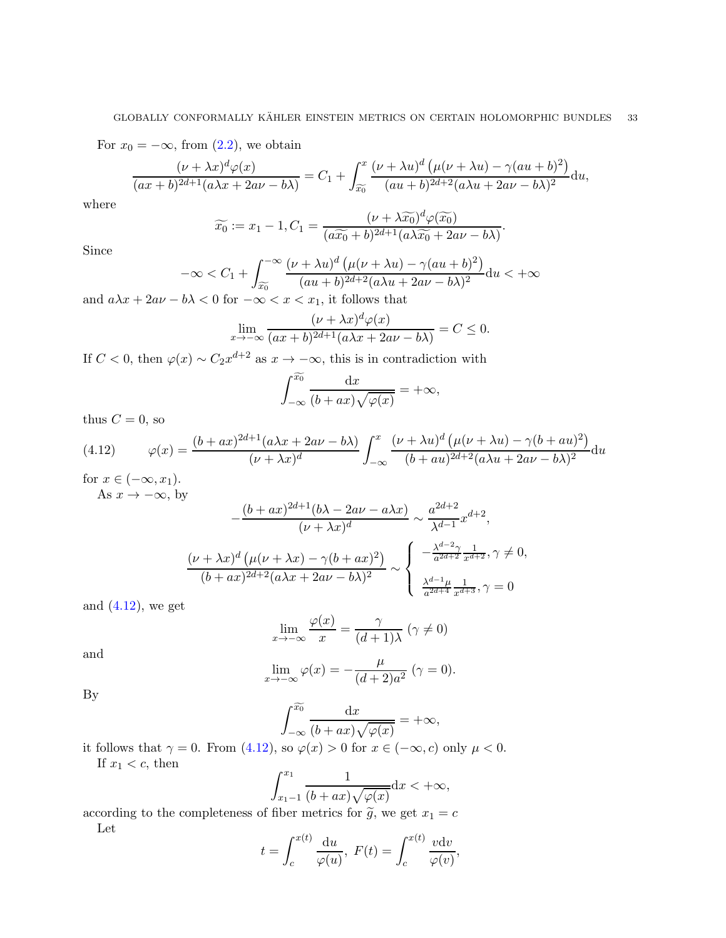For  $x_0 = -\infty$ , from  $(2.2)$ , we obtain

$$
\frac{(\nu+\lambda x)^d\varphi(x)}{(ax+b)^{2d+1}(a\lambda x+2a\nu-b\lambda)}=C_1+\int_{\widetilde{x_0}}^x\frac{(\nu+\lambda u)^d\left(\mu(\nu+\lambda u)-\gamma (au+b)^2\right)}{(au+b)^{2d+2}(a\lambda u+2a\nu-b\lambda)^2}du,
$$

where

$$
\widetilde{x_0} := x_1 - 1, C_1 = \frac{(\nu + \lambda \widetilde{x_0})^d \varphi(\widetilde{x_0})}{(a\widetilde{x_0} + b)^{2d+1} (a\lambda \widetilde{x_0} + 2a\nu - b\lambda)}.
$$

Since

$$
-\infty < C_1 + \int_{\widetilde{x_0}}^{-\infty} \frac{(\nu + \lambda u)^d \left(\mu(\nu + \lambda u) - \gamma (au + b)^2\right)}{(au + b)^{2d + 2}(a\lambda u + 2av - b\lambda)^2} du < +\infty
$$

and  $a\lambda x + 2a\nu - b\lambda < 0$  for  $-\infty < x < x_1$ , it follows that

$$
\lim_{x \to -\infty} \frac{(\nu + \lambda x)^d \varphi(x)}{(ax + b)^{2d+1} (a\lambda x + 2a\nu - b\lambda)} = C \le 0.
$$

If  $C < 0$ , then  $\varphi(x) \sim C_2 x^{d+2}$  as  $x \to -\infty$ , this is in contradiction with

$$
\int_{-\infty}^{\widetilde{x_0}} \frac{\mathrm{d}x}{(b+ax)\sqrt{\varphi(x)}} = +\infty,
$$

thus  $C = 0$ , so

(4.12) 
$$
\varphi(x) = \frac{(b+ax)^{2d+1}(a\lambda x + 2a\nu - b\lambda)}{(\nu+\lambda x)^d} \int_{-\infty}^x \frac{(\nu+\lambda u)^d (\mu(\nu+\lambda u) - \gamma(b+au)^2)}{(b+au)^{2d+2}(a\lambda u + 2a\nu - b\lambda)^2} du
$$

for  $x \in (-\infty, x_1)$ . As  $x \to -\infty$ , by

<span id="page-32-0"></span>
$$
-\frac{(b+ax)^{2d+1}(b\lambda - 2a\nu - a\lambda x)}{(\nu + \lambda x)^d} \sim \frac{a^{2d+2}}{\lambda^{d-1}}x^{d+2},
$$

$$
\frac{(\nu + \lambda x)^d(\mu(\nu + \lambda x) - \gamma(b + ax)^2)}{(b+ax)^{2d+2}(a\lambda x + 2a\nu - b\lambda)^2} \sim \begin{cases} -\frac{\lambda^{d-2}\gamma}{a^{2d+2}}\frac{1}{x^{d+2}}, \gamma \neq 0, \\ \frac{\lambda^{d-1}\mu}{a^{2d+4}}\frac{1}{x^{d+3}}, \gamma = 0 \end{cases}
$$

and  $(4.12)$ , we get

$$
\lim_{x \to -\infty} \frac{\varphi(x)}{x} = \frac{\gamma}{(d+1)\lambda} \; (\gamma \neq 0)
$$

and

$$
\lim_{x \to -\infty} \varphi(x) = -\frac{\mu}{(d+2)a^2} \quad (\gamma = 0).
$$

By

$$
\int_{-\infty}^{\widetilde{x_0}} \frac{\mathrm{d}x}{(b+ax)\sqrt{\varphi(x)}} = +\infty,
$$

it follows that  $\gamma = 0$ . From [\(4.12\)](#page-32-0), so  $\varphi(x) > 0$  for  $x \in (-\infty, c)$  only  $\mu < 0$ . If  $x_1 < c$ , then

$$
\int_{x_1-1}^{x_1} \frac{1}{(b+ax)\sqrt{\varphi(x)}} \mathrm{d}x < +\infty,
$$

according to the completeness of fiber metrics for  $\tilde{g}$ , we get  $x_1 = c$ Let

$$
t = \int_{c}^{x(t)} \frac{\mathrm{d}u}{\varphi(u)}, \ F(t) = \int_{c}^{x(t)} \frac{v \mathrm{d}v}{\varphi(v)},
$$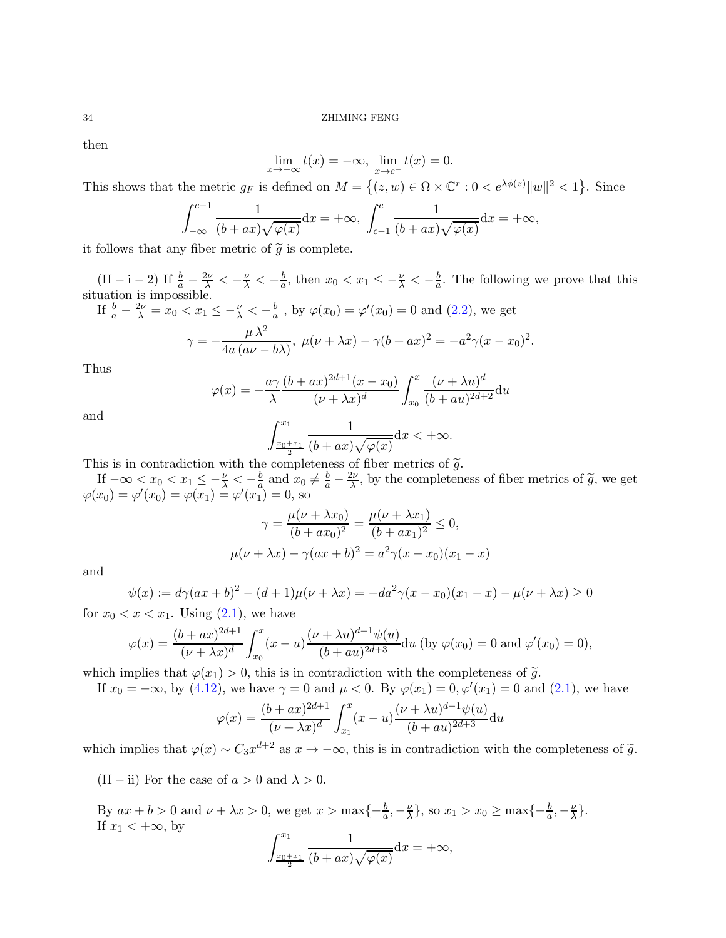then

$$
\lim_{x \to -\infty} t(x) = -\infty, \ \lim_{x \to c^{-}} t(x) = 0.
$$

This shows that the metric  $g_F$  is defined on  $M = \{(z, w) \in \Omega \times \mathbb{C}^r : 0 < e^{\lambda \phi(z)} ||w||^2 < 1\}$ . Since

$$
\int_{-\infty}^{c-1} \frac{1}{(b+ax)\sqrt{\varphi(x)}} dx = +\infty, \ \int_{c-1}^{c} \frac{1}{(b+ax)\sqrt{\varphi(x)}} dx = +\infty,
$$

it follows that any fiber metric of  $\tilde{g}$  is complete.

(II – i – 2) If  $\frac{b}{a} - \frac{2\nu}{\lambda} < -\frac{\nu}{\lambda} < -\frac{b}{a}$  $\frac{b}{a}$ , then  $x_0 < x_1 \leq -\frac{\nu}{\lambda} < -\frac{b}{a}$  $\frac{b}{a}$ . The following we prove that this situation is impossible.

If 
$$
\frac{b}{a} - \frac{2\nu}{\lambda} = x_0 < x_1 \le -\frac{\nu}{\lambda} < -\frac{b}{a}
$$
, by  $\varphi(x_0) = \varphi'(x_0) = 0$  and (2.2), we get\n
$$
\gamma = -\frac{\mu \lambda^2}{4a \left( a\nu - b\lambda \right)}, \ \mu(\nu + \lambda x) - \gamma(b + ax)^2 = -a^2 \gamma(x - x_0)^2.
$$

Thus

$$
\varphi(x) = -\frac{a\gamma}{\lambda} \frac{(b+ax)^{2d+1}(x-x_0)}{(\nu+\lambda x)^d} \int_{x_0}^x \frac{(\nu+\lambda u)^d}{(b+au)^{2d+2}} \mathrm{d}u
$$

and

$$
\int_{\frac{x_0+x_1}{2}}^{x_1} \frac{1}{(b+ax)\sqrt{\varphi(x)}} \mathrm{d}x < +\infty.
$$

This is in contradiction with the completeness of fiber metrics of  $\tilde{g}$ .

If  $-\infty < x_0 < x_1 \leq -\frac{\nu}{\lambda} < -\frac{b}{a}$  and  $x_0 \neq \frac{b}{a} - \frac{2\nu}{\lambda}$ , by the completeness of fiber metrics of  $\tilde{g}$ , we get  $\varphi(x_0) = \varphi'(x_0) = \varphi(x_1) = \varphi'(x_1) = 0$ , so

$$
\gamma = \frac{\mu(\nu + \lambda x_0)}{(b + ax_0)^2} = \frac{\mu(\nu + \lambda x_1)}{(b + ax_1)^2} \le 0,
$$
  

$$
\mu(\nu + \lambda x) - \gamma(ax + b)^2 = a^2 \gamma(x - x_0)(x_1 - x)
$$

and

$$
\psi(x) := d\gamma (ax+b)^2 - (d+1)\mu(\nu+\lambda x) = -da^2\gamma (x-x_0)(x_1-x) - \mu(\nu+\lambda x) \ge 0
$$

for  $x_0 < x < x_1$ . Using  $(2.1)$ , we have

$$
\varphi(x) = \frac{(b+ax)^{2d+1}}{(\nu+\lambda x)^d} \int_{x_0}^x (x-u) \frac{(\nu+\lambda u)^{d-1} \psi(u)}{(b+au)^{2d+3}} du
$$
 (by  $\varphi(x_0) = 0$  and  $\varphi'(x_0) = 0$ ),

which implies that  $\varphi(x_1) > 0$ , this is in contradiction with the completeness of  $\tilde{g}$ .

If 
$$
x_0 = -\infty
$$
, by (4.12), we have  $\gamma = 0$  and  $\mu < 0$ . By  $\varphi(x_1) = 0$ ,  $\varphi'(x_1) = 0$  and (2.1), we have

$$
\varphi(x) = \frac{(b+ax)^{2d+1}}{(\nu+\lambda x)^d} \int_{x_1}^x (x-u) \frac{(\nu+\lambda u)^{d-1} \psi(u)}{(b+au)^{2d+3}} du
$$

which implies that  $\varphi(x) \sim C_3 x^{d+2}$  as  $x \to -\infty$ , this is in contradiction with the completeness of  $\tilde{g}$ .

(II – ii) For the case of  $a > 0$  and  $\lambda > 0$ .

By  $ax + b > 0$  and  $\nu + \lambda x > 0$ , we get  $x > \max\{-\frac{b}{a}, -\frac{\nu}{\lambda}\}$  $\frac{\nu}{\lambda}$ , so  $x_1 > x_0 \ge \max\{-\frac{b}{a}, -\frac{\nu}{\lambda}\}$  $\frac{\nu}{\lambda}\}$ . If  $x_1 < +\infty$ , by  $rx_1$ 1

$$
\int_{\frac{x_0+x_1}{2}}^{\frac{1}{2}} \frac{1}{(b+ax)\sqrt{\varphi(x)}} \mathrm{d}x = +\infty,
$$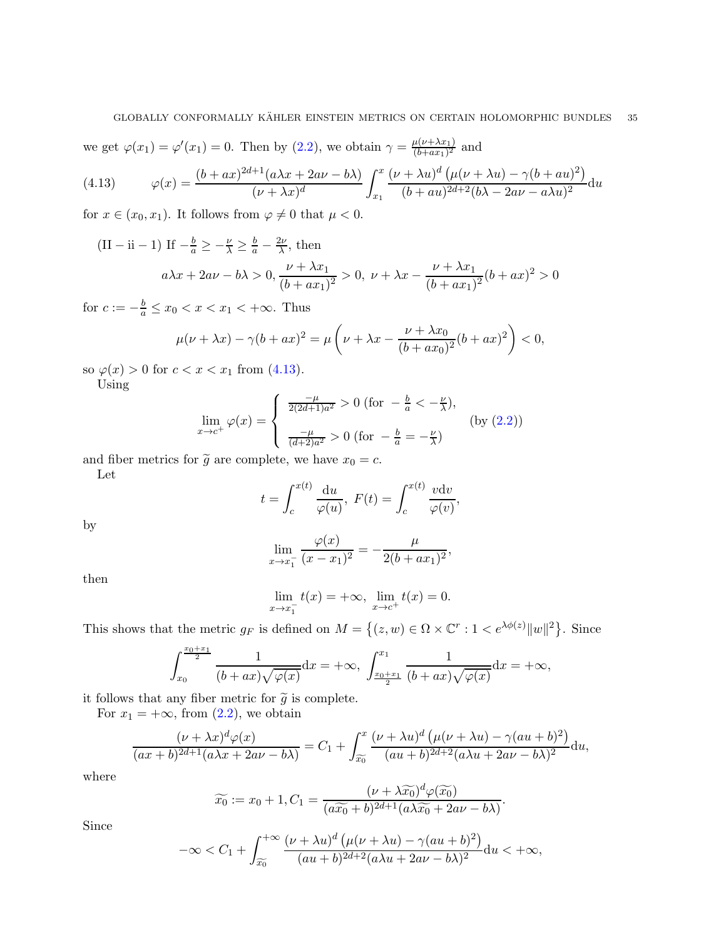we get  $\varphi(x_1) = \varphi'(x_1) = 0$ . Then by  $(2.2)$ , we obtain  $\gamma = \frac{\mu(\nu + \lambda x_1)}{(b + ax_1)^2}$  $\frac{\mu(\nu+\lambda x_1)}{(b+ax_1)^2}$  and

<span id="page-34-0"></span>(4.13) 
$$
\varphi(x) = \frac{(b+ax)^{2d+1}(a\lambda x + 2a\nu - b\lambda)}{(\nu+\lambda x)^d} \int_{x_1}^x \frac{(\nu+\lambda u)^d (\mu(\nu+\lambda u) - \gamma(b+au)^2)}{(b+au)^{2d+2}(b\lambda - 2a\nu - a\lambda u)^2} du
$$

for  $x \in (x_0, x_1)$ . It follows from  $\varphi \neq 0$  that  $\mu < 0$ .

(II – ii – 1) If  $-\frac{b}{a} \ge -\frac{\nu}{\lambda} \ge \frac{b}{a} - \frac{2\nu}{\lambda}$ , then  $\nu + \lambda x_1$ 

$$
a\lambda x + 2a\nu - b\lambda > 0
$$
,  $\frac{\nu + \lambda x_1}{(b + ax_1)^2} > 0$ ,  $\nu + \lambda x - \frac{\nu + \lambda x_1}{(b + ax_1)^2}(b + ax)^2 > 0$ 

for  $c := -\frac{b}{a} \leq x_0 < x < x_1 < +\infty$ . Thus

$$
\mu(\nu + \lambda x) - \gamma(b + ax)^2 = \mu\left(\nu + \lambda x - \frac{\nu + \lambda x_0}{(b + ax_0)^2}(b + ax)^2\right) < 0,
$$

so  $\varphi(x) > 0$  for  $c < x < x_1$  from [\(4.13\)](#page-34-0).

Using

$$
\lim_{x \to c^{+}} \varphi(x) = \begin{cases} \frac{-\mu}{2(2d+1)a^{2}} > 0 \text{ (for } -\frac{b}{a} < -\frac{\nu}{\lambda}), \\ \frac{-\mu}{(d+2)a^{2}} > 0 \text{ (for } -\frac{b}{a} = -\frac{\nu}{\lambda}) \end{cases}
$$
 (by (2.2))

and fiber metrics for  $\tilde{g}$  are complete, we have  $x_0 = c$ .

Let

$$
t = \int_{c}^{x(t)} \frac{\mathrm{d}u}{\varphi(u)}, \ F(t) = \int_{c}^{x(t)} \frac{v \mathrm{d}v}{\varphi(v)},
$$

by

$$
\lim_{x \to x_1^-} \frac{\varphi(x)}{(x - x_1)^2} = -\frac{\mu}{2(b + ax_1)^2},
$$

then

$$
\lim_{x \to x_1^-} t(x) = +\infty, \ \lim_{x \to c^+} t(x) = 0.
$$

This shows that the metric  $g_F$  is defined on  $M = \{(z, w) \in \Omega \times \mathbb{C}^r : 1 < e^{\lambda \phi(z)} ||w||^2 \}$ . Since

$$
\int_{x_0}^{\frac{x_0+x_1}{2}} \frac{1}{(b+ax)\sqrt{\varphi(x)}} \mathrm{d}x = +\infty, \ \int_{\frac{x_0+x_1}{2}}^{x_1} \frac{1}{(b+ax)\sqrt{\varphi(x)}} \mathrm{d}x = +\infty,
$$

it follows that any fiber metric for  $\tilde{g}$  is complete.

For  $x_1 = +\infty$ , from  $(2.2)$ , we obtain

$$
\frac{(\nu+\lambda x)^{d}\varphi(x)}{(ax+b)^{2d+1}(a\lambda x+2a\nu-b\lambda)}=C_{1}+\int_{\widetilde{x_{0}}}^{x}\frac{(\nu+\lambda u)^{d}\left(\mu(\nu+\lambda u)-\gamma (au+b)^{2}\right)}{(au+b)^{2d+2}(a\lambda u+2a\nu-b\lambda)^{2}}\mathrm{d}u,
$$

where

$$
\widetilde{x_0} := x_0 + 1, C_1 = \frac{(\nu + \lambda \widetilde{x_0})^d \varphi(\widetilde{x_0})}{(a\widetilde{x_0} + b)^{2d+1} (a\lambda \widetilde{x_0} + 2a\nu - b\lambda)}.
$$

Since

$$
-\infty < C_1 + \int_{\widetilde{x_0}}^{+\infty} \frac{(\nu + \lambda u)^d \left(\mu(\nu + \lambda u) - \gamma (au + b)^2\right)}{(au + b)^{2d + 2}(a\lambda u + 2av - b\lambda)^2} du < +\infty,
$$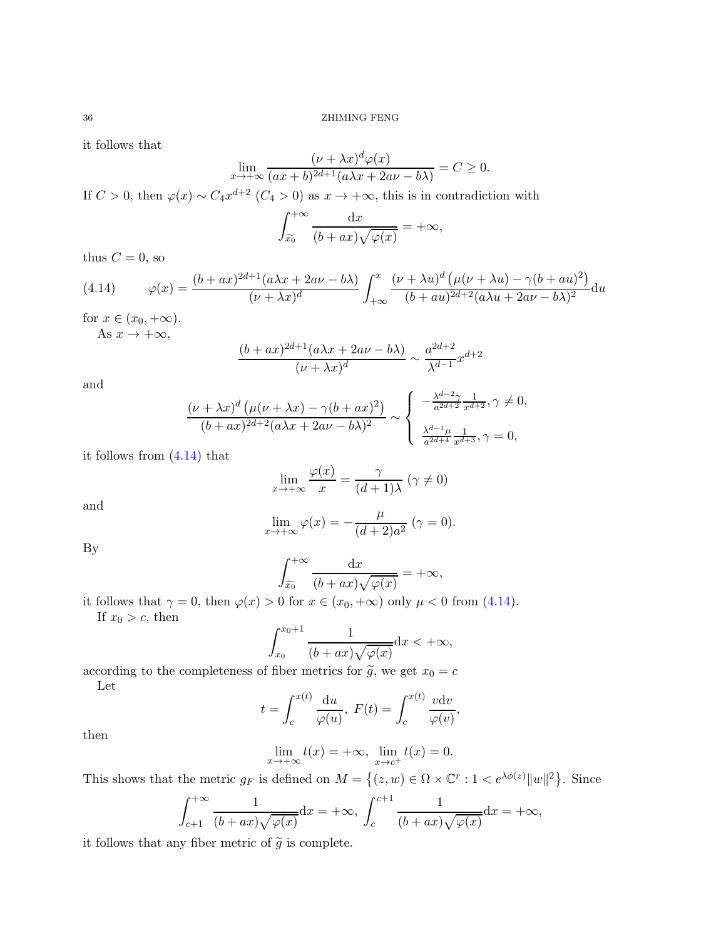it follows that

$$
\lim_{x \to +\infty} \frac{(\nu + \lambda x)^d \varphi(x)}{(ax + b)^{2d+1} (a\lambda x + 2a\nu - b\lambda)} = C \ge 0.
$$

If  $C > 0$ , then  $\varphi(x) \sim C_4 x^{d+2}$   $(C_4 > 0)$  as  $x \to +\infty$ , this is in contradiction with

$$
\int_{\widetilde{x_0}}^{+\infty} \frac{\mathrm{d}x}{(b+ax)\sqrt{\varphi(x)}} = +\infty,
$$

thus  $C = 0$ , so

<span id="page-35-0"></span>(4.14) 
$$
\varphi(x) = \frac{(b+ax)^{2d+1}(a\lambda x + 2a\nu - b\lambda)}{(\nu+\lambda x)^d} \int_{+\infty}^x \frac{(\nu+\lambda u)^d (\mu(\nu+\lambda u) - \gamma(b+au)^2)}{(b+au)^{2d+2}(a\lambda u + 2a\nu - b\lambda)^2} du
$$

for  $x \in (x_0, +\infty)$ .

As  $x \to +\infty$ ,

$$
\frac{(b+ax)^{2d+1}(a\lambda x+2a\nu-b\lambda)}{(\nu+\lambda x)^d} \sim \frac{a^{2d+2}}{\lambda^{d-1}}x^{d+2}
$$

and

$$
\frac{(\nu + \lambda x)^d \left(\mu(\nu + \lambda x) - \gamma (b + ax)^2\right)}{(b + ax)^{2d+2} (a\lambda x + 2a\nu - b\lambda)^2} \sim \begin{cases} -\frac{\lambda^{d-2} \gamma}{a^{2d+2}} \frac{1}{x^{d+2}}, \gamma \neq 0, \\ \frac{\lambda^{d-1} \mu}{a^{2d+4}} \frac{1}{x^{d+3}}, \gamma = 0, \end{cases}
$$

it follows from [\(4.14\)](#page-35-0) that

$$
\lim_{x \to +\infty} \frac{\varphi(x)}{x} = \frac{\gamma}{(d+1)\lambda} \; (\gamma \neq 0)
$$

and

$$
\lim_{x \to +\infty} \varphi(x) = -\frac{\mu}{(d+2)a^2} \quad (\gamma = 0).
$$

By

$$
\int_{\widetilde{x_0}}^{+\infty} \frac{\mathrm{d}x}{(b+ax)\sqrt{\varphi(x)}} = +\infty,
$$

it follows that  $\gamma = 0$ , then  $\varphi(x) > 0$  for  $x \in (x_0, +\infty)$  only  $\mu < 0$  from [\(4.14\)](#page-35-0). If  $x_0 > c$ , then

$$
\int_{x_0}^{x_0+1} \frac{1}{(b+ax)\sqrt{\varphi(x)}} \mathrm{d}x < +\infty,
$$

according to the completeness of fiber metrics for  $\tilde{g}$ , we get  $x_0 = c$ Let

$$
t = \int_{c}^{x(t)} \frac{\mathrm{d}u}{\varphi(u)}, \ F(t) = \int_{c}^{x(t)} \frac{v \mathrm{d}v}{\varphi(v)},
$$

then

$$
\lim_{x \to +\infty} t(x) = +\infty, \ \lim_{x \to c^{+}} t(x) = 0.
$$

This shows that the metric  $g_F$  is defined on  $M = \{(z, w) \in \Omega \times \mathbb{C}^r : 1 < e^{\lambda \phi(z)} ||w||^2 \}$ . Since

$$
\int_{c+1}^{+\infty} \frac{1}{(b+ax)\sqrt{\varphi(x)}} dx = +\infty, \int_{c}^{c+1} \frac{1}{(b+ax)\sqrt{\varphi(x)}} dx = +\infty,
$$

it follows that any fiber metric of  $\tilde{g}$  is complete.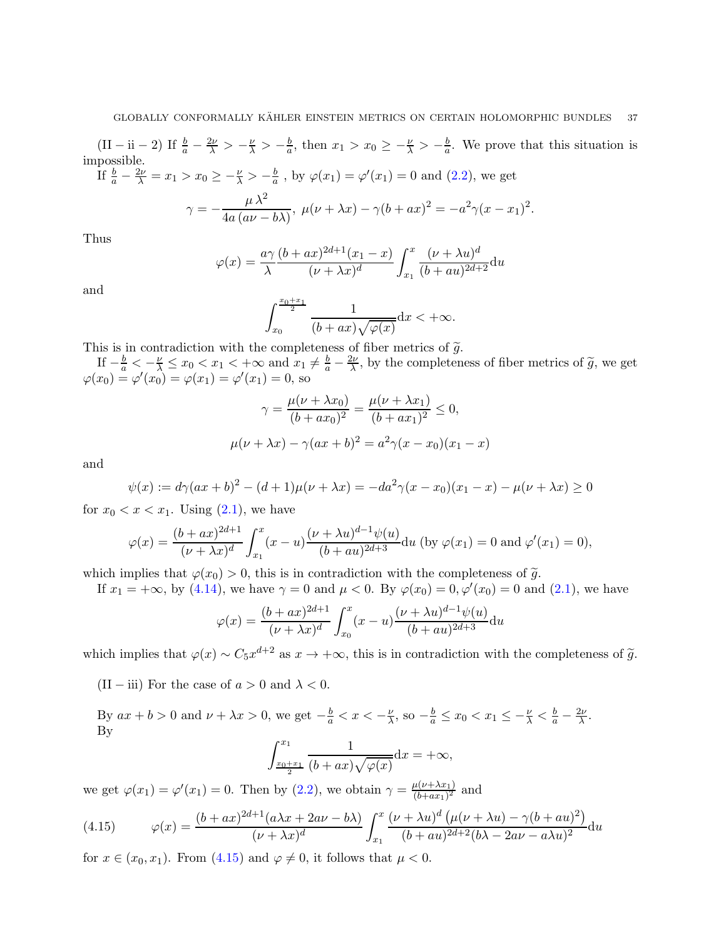$\left(\text{II}-\text{ii}-2\right)$  If  $\frac{b}{a} - \frac{2\nu}{\lambda} > -\frac{\nu}{\lambda} > -\frac{b}{a}$  $\frac{b}{a}$ , then  $x_1 > x_0 \geq -\frac{\nu}{\lambda} > -\frac{b}{a}$  $\frac{b}{a}$ . We prove that this situation is impossible.

If 
$$
\frac{b}{a} - \frac{2\nu}{\lambda} = x_1 > x_0 \ge -\frac{\nu}{\lambda} > -\frac{b}{a}
$$
, by  $\varphi(x_1) = \varphi'(x_1) = 0$  and (2.2), we get  

$$
\mu \lambda^2
$$

$$
\gamma = -\frac{\mu \lambda^2}{4a (a\nu - b\lambda)}, \ \mu(\nu + \lambda x) - \gamma(b + ax)^2 = -a^2 \gamma (x - x_1)^2.
$$

Thus

$$
\varphi(x) = \frac{a\gamma}{\lambda} \frac{(b+ax)^{2d+1}(x_1-x)}{(\nu+\lambda x)^d} \int_{x_1}^x \frac{(\nu+\lambda u)^d}{(b+au)^{2d+2}} \mathrm{d}u
$$

and

$$
\int_{x_0}^{\frac{x_0+x_1}{2}}\frac{1}{(b+ax)\sqrt{\varphi(x)}}\mathrm{d}x < +\infty.
$$

This is in contradiction with the completeness of fiber metrics of  $\tilde{g}$ .

If  $-\frac{b}{a} < -\frac{\nu}{\lambda} \leq x_0 < x_1 < +\infty$  and  $x_1 \neq \frac{b}{a} - \frac{2\nu}{\lambda}$ , by the completeness of fiber metrics of  $\tilde{g}$ , we get  $\varphi(x_0) = \varphi'(x_0) = \varphi(x_1) = \varphi'(x_1) = 0$ , so

$$
\gamma = \frac{\mu(\nu + \lambda x_0)}{(b + ax_0)^2} = \frac{\mu(\nu + \lambda x_1)}{(b + ax_1)^2} \le 0,
$$
  

$$
\mu(\nu + \lambda x) - \gamma(ax + b)^2 = a^2 \gamma(x - x_0)(x_1 - x)
$$

and

$$
\psi(x) := d\gamma (ax+b)^2 - (d+1)\mu(\nu+\lambda x) = -da^2\gamma (x-x_0)(x_1-x) - \mu(\nu+\lambda x) \ge 0
$$

for  $x_0 < x < x_1$ . Using  $(2.1)$ , we have

$$
\varphi(x) = \frac{(b+ax)^{2d+1}}{(\nu+\lambda x)^d} \int_{x_1}^x (x-u) \frac{(\nu+\lambda u)^{d-1} \psi(u)}{(b+au)^{2d+3}} du
$$
 (by  $\varphi(x_1) = 0$  and  $\varphi'(x_1) = 0$ ),

which implies that  $\varphi(x_0) > 0$ , this is in contradiction with the completeness of  $\tilde{g}$ .

If  $x_1 = +\infty$ , by [\(4.14\)](#page-35-0), we have  $\gamma = 0$  and  $\mu < 0$ . By  $\varphi(x_0) = 0, \varphi'(x_0) = 0$  and [\(2.1\)](#page-8-2), we have

$$
\varphi(x) = \frac{(b+ax)^{2d+1}}{(\nu+\lambda x)^d} \int_{x_0}^x (x-u) \frac{(\nu+\lambda u)^{d-1} \psi(u)}{(b+au)^{2d+3}} du
$$

which implies that  $\varphi(x) \sim C_5 x^{d+2}$  as  $x \to +\infty$ , this is in contradiction with the completeness of  $\tilde{g}$ .

(II – iii) For the case of  $a > 0$  and  $\lambda < 0$ .

By  $ax + b > 0$  and  $\nu + \lambda x > 0$ , we get  $-\frac{b}{a} < x < -\frac{\nu}{\lambda}$  $\frac{\nu}{\lambda}$ , so  $-\frac{b}{a} \le x_0 < x_1 \le -\frac{\nu}{\lambda} < \frac{b}{a} - \frac{2\nu}{\lambda}$ . By

$$
\int_{\frac{x_0+x_1}{2}}^{x_1} \frac{1}{(b+ax)\sqrt{\varphi(x)}} \mathrm{d}x = +\infty,
$$

we get  $\varphi(x_1) = \varphi'(x_1) = 0$ . Then by  $(2.2)$ , we obtain  $\gamma = \frac{\mu(\nu + \lambda x_1)}{(b + ax_1)^2}$  $\frac{\mu(\nu+\lambda x_1)}{(b+ax_1)^2}$  and

<span id="page-36-0"></span>(4.15) 
$$
\varphi(x) = \frac{(b+ax)^{2d+1}(a\lambda x + 2a\nu - b\lambda)}{(\nu+\lambda x)^d} \int_{x_1}^x \frac{(\nu+\lambda u)^d (\mu(\nu+\lambda u) - \gamma(b+au)^2)}{(b+au)^{2d+2}(b\lambda - 2a\nu - a\lambda u)^2} du
$$

for  $x \in (x_0, x_1)$ . From  $(4.15)$  and  $\varphi \neq 0$ , it follows that  $\mu < 0$ .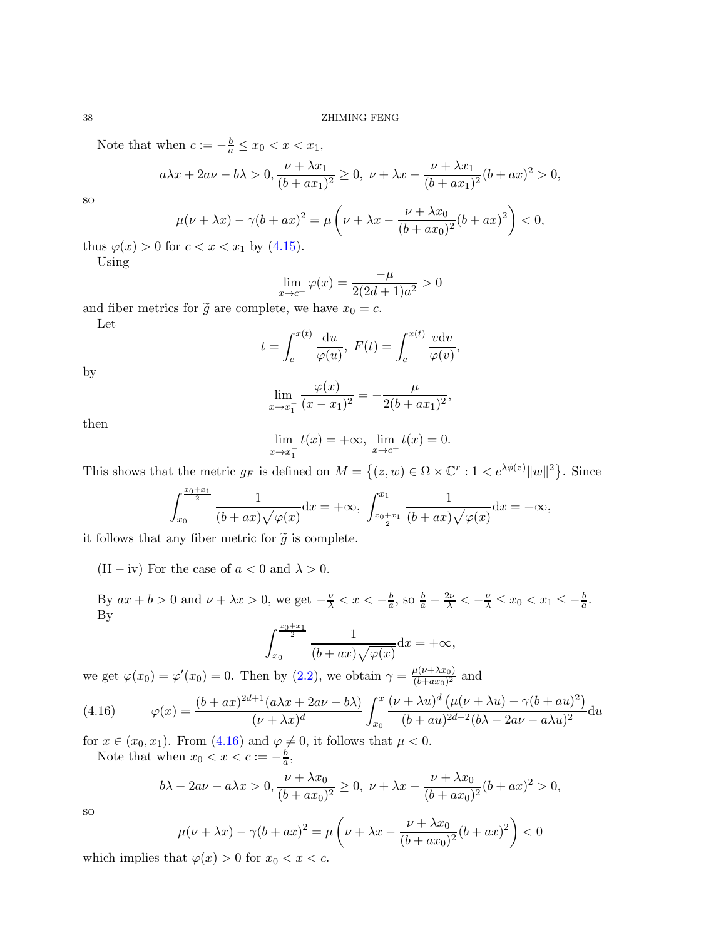Note that when  $c := -\frac{b}{a} \le x_0 < x < x_1$ ,

$$
a\lambda x + 2a\nu - b\lambda > 0
$$
,  $\frac{\nu + \lambda x_1}{(b + ax_1)^2} \ge 0$ ,  $\nu + \lambda x - \frac{\nu + \lambda x_1}{(b + ax_1)^2}(b + ax)^2 > 0$ ,

so

$$
\mu(\nu + \lambda x) - \gamma (b + ax)^2 = \mu \left( \nu + \lambda x - \frac{\nu + \lambda x_0}{(b + ax_0)^2} (b + ax)^2 \right) < 0,
$$

thus  $\varphi(x) > 0$  for  $c < x < x_1$  by [\(4.15\)](#page-36-0).

Using

$$
\lim_{x \to c^{+}} \varphi(x) = \frac{-\mu}{2(2d+1)a^2} > 0
$$

and fiber metrics for  $\tilde{g}$  are complete, we have  $x_0 = c$ .

Let

$$
t = \int_{c}^{x(t)} \frac{\mathrm{d}u}{\varphi(u)}, \ F(t) = \int_{c}^{x(t)} \frac{v \mathrm{d}v}{\varphi(v)},
$$

by

$$
\lim_{x \to x_1^-} \frac{\varphi(x)}{(x - x_1)^2} = -\frac{\mu}{2(b + ax_1)^2},
$$

then

$$
\lim_{x \to x_1^-} t(x) = +\infty, \ \lim_{x \to c^+} t(x) = 0.
$$

This shows that the metric  $g_F$  is defined on  $M = \{(z, w) \in \Omega \times \mathbb{C}^r : 1 < e^{\lambda \phi(z)} ||w||^2 \}$ . Since

$$
\int_{x_0}^{\frac{x_0+x_1}{2}} \frac{1}{(b+ax)\sqrt{\varphi(x)}} \mathrm{d}x = +\infty, \ \int_{\frac{x_0+x_1}{2}}^{x_1} \frac{1}{(b+ax)\sqrt{\varphi(x)}} \mathrm{d}x = +\infty,
$$

it follows that any fiber metric for  $\tilde{g}$  is complete.

(II – iv) For the case of  $a < 0$  and  $\lambda > 0$ .

By  $ax + b > 0$  and  $\nu + \lambda x > 0$ , we get  $-\frac{\nu}{\lambda} < x < -\frac{b}{a}$ , so  $\frac{b}{a} - \frac{2\nu}{\lambda} < -\frac{\nu}{\lambda} \le x_0 < x_1 \le -\frac{b}{a}$ . By

$$
\int_{x_0}^{\frac{x_0+x_1}{2}} \frac{1}{(b+ax)\sqrt{\varphi(x)}} \mathrm{d}x = +\infty,
$$

we get  $\varphi(x_0) = \varphi'(x_0) = 0$ . Then by  $(2.2)$ , we obtain  $\gamma = \frac{\mu(\nu + \lambda x_0)}{(b + ax_0)^2}$  $\frac{\mu(\nu+\lambda x_0)}{(b+ax_0)^2}$  and

(4.16) 
$$
\varphi(x) = \frac{(b+ax)^{2d+1}(a\lambda x + 2a\nu - b\lambda)}{(\nu+\lambda x)^d} \int_{x_0}^x \frac{(\nu+\lambda u)^d (\mu(\nu+\lambda u) - \gamma(b+au)^2)}{(b+au)^{2d+2}(b\lambda - 2a\nu - a\lambda u)^2} du
$$

for  $x \in (x_0, x_1)$ . From  $(4.16)$  and  $\varphi \neq 0$ , it follows that  $\mu < 0$ . Note that when  $x_0 < x < c := -\frac{b}{a}$  $\frac{b}{a}$ ,

<span id="page-37-0"></span>
$$
b\lambda - 2a\nu - a\lambda x > 0, \frac{\nu + \lambda x_0}{(b + ax_0)^2} \ge 0, \ \nu + \lambda x - \frac{\nu + \lambda x_0}{(b + ax_0)^2}(b + ax)^2 > 0,
$$

so

$$
\mu(\nu + \lambda x) - \gamma (b + ax)^2 = \mu \left( \nu + \lambda x - \frac{\nu + \lambda x_0}{(b + ax_0)^2} (b + ax)^2 \right) < 0
$$

which implies that  $\varphi(x) > 0$  for  $x_0 < x < c$ .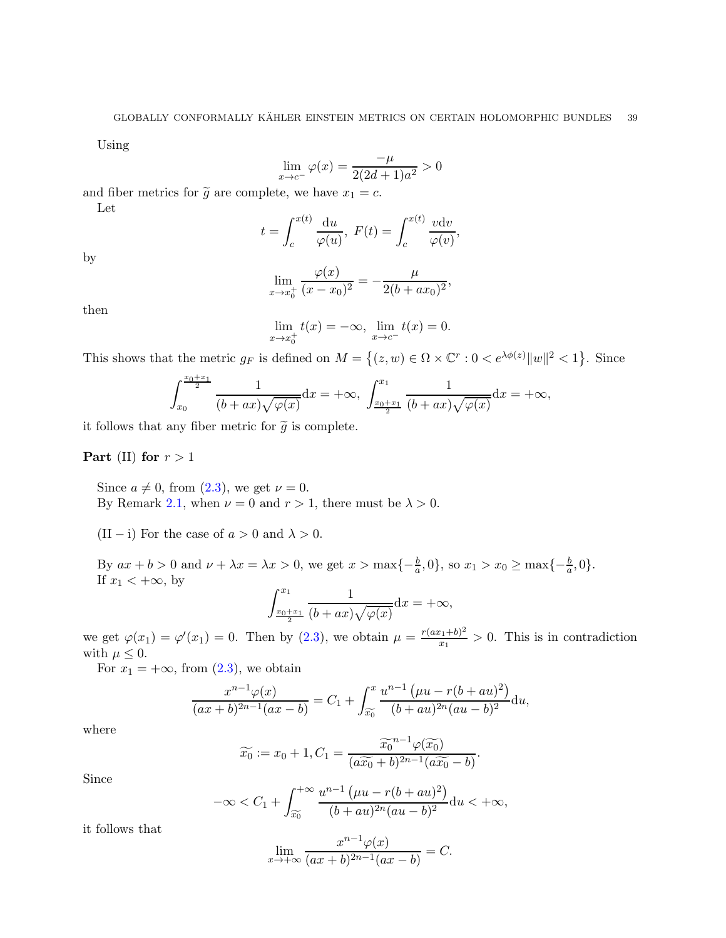Using

$$
\lim_{x \to c^{-}} \varphi(x) = \frac{-\mu}{2(2d+1)a^2} > 0
$$

and fiber metrics for  $\tilde{g}$  are complete, we have  $x_1 = c$ . Let

$$
t = \int_{c}^{x(t)} \frac{\mathrm{d}u}{\varphi(u)}, \ F(t) = \int_{c}^{x(t)} \frac{v \mathrm{d}v}{\varphi(v)},
$$

by

$$
\lim_{x \to x_0^+} \frac{\varphi(x)}{(x - x_0)^2} = -\frac{\mu}{2(b + ax_0)^2},
$$

then

$$
\lim_{x \to x_0^+} t(x) = -\infty, \ \lim_{x \to c^-} t(x) = 0.
$$

This shows that the metric  $g_F$  is defined on  $M = \{(z, w) \in \Omega \times \mathbb{C}^r : 0 < e^{\lambda \phi(z)} ||w||^2 < 1\}$ . Since

$$
\int_{x_0}^{\frac{x_0+x_1}{2}} \frac{1}{(b+ax)\sqrt{\varphi(x)}} dx = +\infty, \ \int_{\frac{x_0+x_1}{2}}^{x_1} \frac{1}{(b+ax)\sqrt{\varphi(x)}} dx = +\infty,
$$

it follows that any fiber metric for  $\tilde{g}$  is complete.

### Part (II) for  $r > 1$

Since  $a \neq 0$ , from  $(2.3)$ , we get  $\nu = 0$ . By Remark [2.1,](#page-8-0) when  $\nu = 0$  and  $r > 1$ , there must be  $\lambda > 0$ .

(II – i) For the case of  $a > 0$  and  $\lambda > 0$ .

By  $ax + b > 0$  and  $\nu + \lambda x = \lambda x > 0$ , we get  $x > \max\{-\frac{b}{a}, 0\}$ , so  $x_1 > x_0 \ge \max\{-\frac{b}{a}, 0\}$ . If  $x_1 < +\infty$ , by

$$
\int_{\frac{x_0+x_1}{2}}^{x_1} \frac{1}{(b+ax)\sqrt{\varphi(x)}} \mathrm{d}x = +\infty,
$$

we get  $\varphi(x_1) = \varphi'(x_1) = 0$ . Then by [\(2.3\)](#page-9-0), we obtain  $\mu = \frac{r(ax_1 + b)^2}{x_1}$  $\frac{x_1+0}{x_1} > 0$ . This is in contradiction with  $\mu\leq 0.$ 

For  $x_1 = +\infty$ , from  $(2.3)$ , we obtain

$$
\frac{x^{n-1}\varphi(x)}{(ax+b)^{2n-1}(ax-b)} = C_1 + \int_{\widetilde{x_0}}^x \frac{u^{n-1}(\mu u - r(b+au)^2)}{(b+au)^{2n}(au-b)^2} du,
$$

where

$$
\widetilde{x_0} := x_0 + 1, C_1 = \frac{\widetilde{x_0}^{n-1} \varphi(\widetilde{x_0})}{(a\widetilde{x_0} + b)^{2n-1} (a\widetilde{x_0} - b)}.
$$

Since

$$
-\infty < C_1 + \int_{\widetilde{x_0}}^{+\infty} \frac{u^{n-1} \left(\mu u - r(b + au)^2\right)}{(b + au)^{2n} (au - b)^2} du < +\infty,
$$

it follows that

$$
\lim_{x \to +\infty} \frac{x^{n-1} \varphi(x)}{(ax+b)^{2n-1} (ax-b)} = C.
$$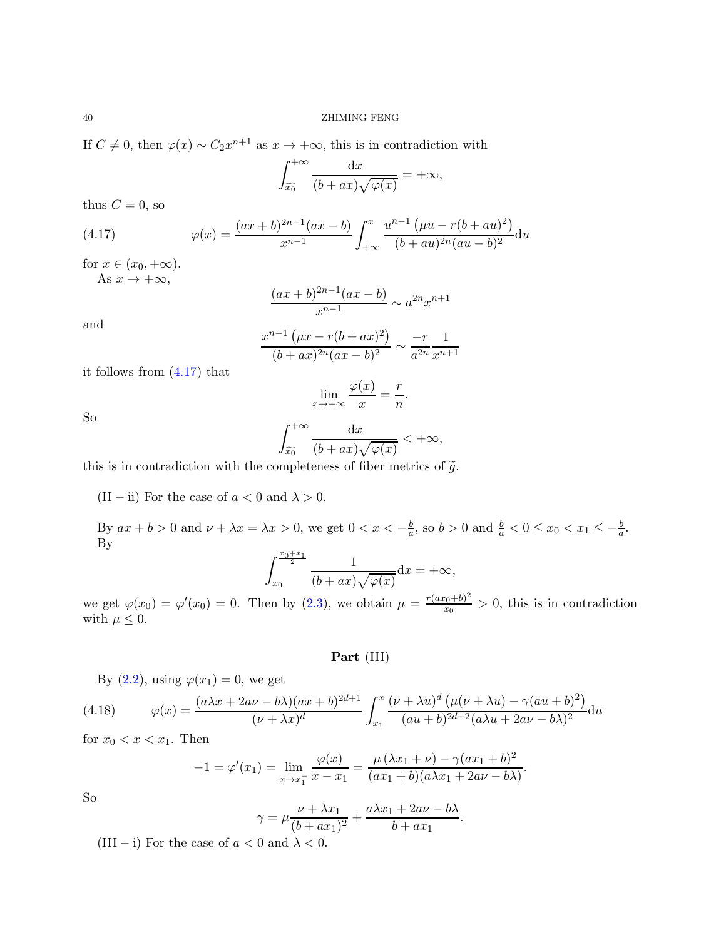If  $C \neq 0$ , then  $\varphi(x) \sim C_2 x^{n+1}$  as  $x \to +\infty$ , this is in contradiction with

$$
\int_{\widetilde{x_0}}^{+\infty} \frac{\mathrm{d}x}{(b+ax)\sqrt{\varphi(x)}} = +\infty,
$$

thus  $C = 0$ , so

(4.17) 
$$
\varphi(x) = \frac{(ax+b)^{2n-1}(ax-b)}{x^{n-1}} \int_{+\infty}^{x} \frac{u^{n-1}(\mu u - r(b+au)^2)}{(b+au)^{2n}(au-b)^2} du
$$

for  $x \in (x_0, +\infty)$ . As  $x \to +\infty$ ,

<span id="page-39-0"></span>
$$
\frac{(ax+b)^{2n-1}(ax-b)}{x^{n-1}} \sim a^{2n}x^{n+1}
$$

and

$$
\frac{x^{n-1} \left(\mu x - r(b + ax)^2\right)}{(b + ax)^{2n} (ax - b)^2} \sim \frac{-r}{a^{2n}} \frac{1}{x^{n+1}}
$$

it follows from [\(4.17\)](#page-39-0) that

$$
\lim_{x \to +\infty} \frac{\varphi(x)}{x} = \frac{r}{n}.
$$

So

$$
\int_{\widetilde{x_0}}^{+\infty} \frac{\mathrm{d}x}{(b+ax)\sqrt{\varphi(x)}} < +\infty,
$$

this is in contradiction with the completeness of fiber metrics of  $\tilde{g}$ .

(II – ii) For the case of  $a < 0$  and  $\lambda > 0$ .

By  $ax + b > 0$  and  $\nu + \lambda x = \lambda x > 0$ , we get  $0 < x < -\frac{b}{a}$  $\frac{b}{a}$ , so  $b > 0$  and  $\frac{b}{a} < 0 \le x_0 < x_1 \le -\frac{b}{a}$ . By

$$
\int_{x_0}^{\frac{x_0+x_1}{2}} \frac{1}{(b+ax)\sqrt{\varphi(x)}} \mathrm{d}x = +\infty,
$$

we get  $\varphi(x_0) = \varphi'(x_0) = 0$ . Then by [\(2.3\)](#page-9-0), we obtain  $\mu = \frac{r(ax_0 + b)^2}{x_0}$  $\frac{x_0+0}{x_0} > 0$ , this is in contradiction with  $\mu \leq 0$ .

Part (III)

By  $(2.2)$ , using  $\varphi(x_1) = 0$ , we get

(4.18) 
$$
\varphi(x) = \frac{(a\lambda x + 2a\nu - b\lambda)(ax + b)^{2d+1}}{(\nu + \lambda x)^d} \int_{x_1}^x \frac{(\nu + \lambda u)^d (\mu(\nu + \lambda u) - \gamma (au + b)^2)}{(au + b)^{2d+2}(a\lambda u + 2a\nu - b\lambda)^2} du
$$

for  $x_0 < x < x_1$ . Then

<span id="page-39-1"></span>
$$
-1 = \varphi'(x_1) = \lim_{x \to x_1^-} \frac{\varphi(x)}{x - x_1} = \frac{\mu(\lambda x_1 + \nu) - \gamma(ax_1 + b)^2}{(ax_1 + b)(a\lambda x_1 + 2a\nu - b\lambda)}.
$$

So

$$
\gamma = \mu \frac{\nu + \lambda x_1}{(b + ax_1)^2} + \frac{a\lambda x_1 + 2a\nu - b\lambda}{b + ax_1}.
$$

(III – i) For the case of  $a < 0$  and  $\lambda < 0$ .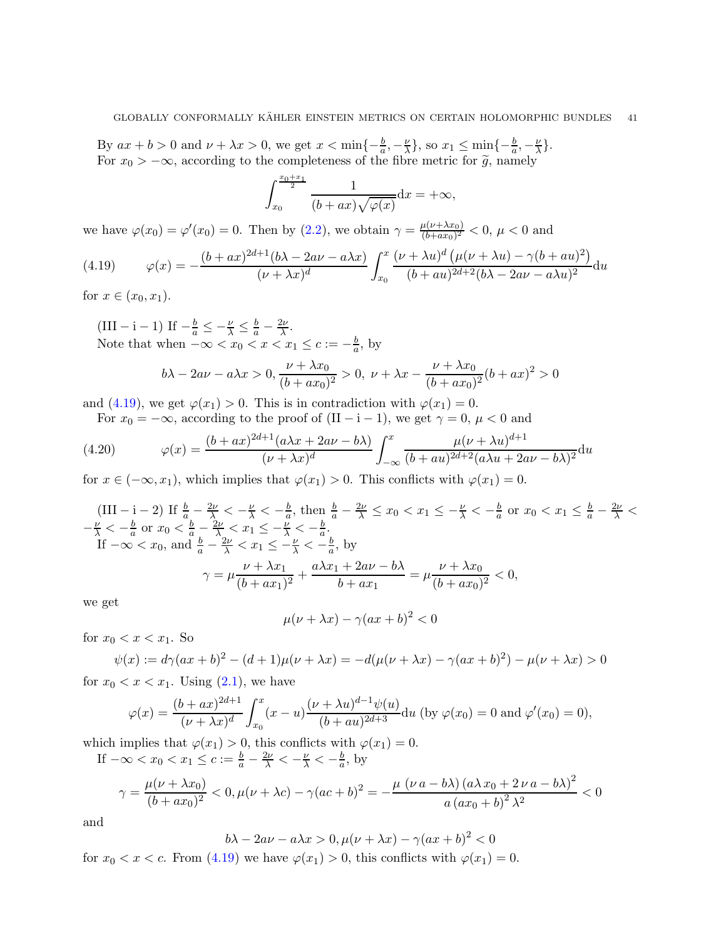By  $ax + b > 0$  and  $\nu + \lambda x > 0$ , we get  $x < \min\{-\frac{b}{a}, -\frac{\nu}{\lambda}\}$  $\frac{\nu}{\lambda}$ , so  $x_1 \leq \min\{-\frac{b}{a}, -\frac{\nu}{\lambda}\}$  $\frac{\nu}{\lambda}\}$ . For  $x_0 > -\infty$ , according to the completeness of the fibre metric for  $\tilde{g}$ , namely

$$
\int_{x_0}^{\frac{x_0+x_1}{2}} \frac{1}{(b+ax)\sqrt{\varphi(x)}} \mathrm{d}x = +\infty,
$$

we have  $\varphi(x_0) = \varphi'(x_0) = 0$ . Then by [\(2.2\)](#page-8-3), we obtain  $\gamma = \frac{\mu(\nu + \lambda x_0)}{(b + ax_0)^2}$  $\frac{\mu(\nu+\lambda x_0)}{(b+ax_0)^2}$  < 0,  $\mu$  < 0 and

<span id="page-40-0"></span>(4.19) 
$$
\varphi(x) = -\frac{(b+ax)^{2d+1}(b\lambda - 2a\nu - a\lambda x)}{(\nu+\lambda x)^d} \int_{x_0}^x \frac{(\nu+\lambda u)^d (\mu(\nu+\lambda u) - \gamma(b+au)^2)}{(b+au)^{2d+2}(b\lambda - 2a\nu - a\lambda u)^2} du
$$

for  $x \in (x_0, x_1)$ .

(III – i – 1) If  $-\frac{b}{a} \leq -\frac{\nu}{\lambda} \leq \frac{b}{a} - \frac{2\nu}{\lambda}$  $\frac{2\nu}{\lambda}$ . Note that when  $-\infty < x_0 < x < x_1 \leq c := -\frac{b}{a}$  $\frac{b}{a}$ , by

$$
b\lambda - 2a\nu - a\lambda x > 0, \frac{\nu + \lambda x_0}{(b + ax_0)^2} > 0, \ \nu + \lambda x - \frac{\nu + \lambda x_0}{(b + ax_0)^2}(b + ax)^2 > 0
$$

and [\(4.19\)](#page-40-0), we get  $\varphi(x_1) > 0$ . This is in contradiction with  $\varphi(x_1) = 0$ .

For  $x_0 = -\infty$ , according to the proof of  $(II - i - 1)$ , we get  $\gamma = 0$ ,  $\mu < 0$  and

(4.20) 
$$
\varphi(x) = \frac{(b+ax)^{2d+1}(a\lambda x + 2a\nu - b\lambda)}{(\nu+\lambda x)^d} \int_{-\infty}^x \frac{\mu(\nu+\lambda u)^{d+1}}{(b+au)^{2d+2}(a\lambda u + 2a\nu - b\lambda)^2} du
$$

for  $x \in (-\infty, x_1)$ , which implies that  $\varphi(x_1) > 0$ . This conflicts with  $\varphi(x_1) = 0$ .

$$
\begin{aligned}\n\text{(III} - \text{i} - 2) \text{ If } \frac{b}{a} - \frac{2\nu}{\lambda} < -\frac{\nu}{\lambda} < -\frac{b}{a}, \text{ then } \frac{b}{a} - \frac{2\nu}{\lambda} \le x_0 < x_1 \le -\frac{\nu}{\lambda} < -\frac{b}{a} \text{ or } x_0 < x_1 \le \frac{b}{a} - \frac{2\nu}{\lambda} < \\
-\frac{\nu}{\lambda} < -\frac{b}{a} \text{ or } x_0 < \frac{b}{a} - \frac{2\nu}{\lambda} < x_1 \le -\frac{\nu}{\lambda} < -\frac{b}{a}. \\
\text{If } -\infty < x_0, \text{ and } \frac{b}{a} - \frac{2\nu}{\lambda} < x_1 \le -\frac{\nu}{\lambda} < -\frac{b}{a}, \text{ by} \\
\gamma &= \mu \frac{\nu + \lambda x_1}{(b + ax_1)^2} + \frac{a\lambda x_1 + 2a\nu - b\lambda}{b + ax_1} = \mu \frac{\nu + \lambda x_0}{(b + ax_0)^2} < 0,\n\end{aligned}
$$

we get

$$
\mu(\nu + \lambda x) - \gamma(ax + b)^2 < 0
$$

for  $x_0 < x < x_1$ . So

$$
\psi(x) := d\gamma (ax + b)^2 - (d+1)\mu(\nu + \lambda x) = -d(\mu(\nu + \lambda x) - \gamma(ax + b)^2) - \mu(\nu + \lambda x) > 0
$$

for  $x_0 < x < x_1$ . Using  $(2.1)$ , we have

$$
\varphi(x) = \frac{(b+ax)^{2d+1}}{(\nu+\lambda x)^d} \int_{x_0}^x (x-u) \frac{(\nu+\lambda u)^{d-1} \psi(u)}{(b+au)^{2d+3}} du
$$
 (by  $\varphi(x_0) = 0$  and  $\varphi'(x_0) = 0$ ),

which implies that  $\varphi(x_1) > 0$ , this conflicts with  $\varphi(x_1) = 0$ . If  $-\infty < x_0 < x_1 \leq c := \frac{b}{a} - \frac{2\nu}{\lambda} < -\frac{\nu}{\lambda} < -\frac{b}{a}$  $\frac{b}{a}$ , by

$$
\gamma = \frac{\mu(\nu + \lambda x_0)}{(b + ax_0)^2} < 0, \mu(\nu + \lambda c) - \gamma (ac + b)^2 = -\frac{\mu(\nu a - b\lambda)(a\lambda x_0 + 2\nu a - b\lambda)^2}{a(ax_0 + b)^2 \lambda^2} < 0
$$

and

$$
b\lambda - 2a\nu - a\lambda x > 0, \mu(\nu + \lambda x) - \gamma(ax + b)^2 < 0
$$

for  $x_0 < x < c$ . From [\(4.19\)](#page-40-0) we have  $\varphi(x_1) > 0$ , this conflicts with  $\varphi(x_1) = 0$ .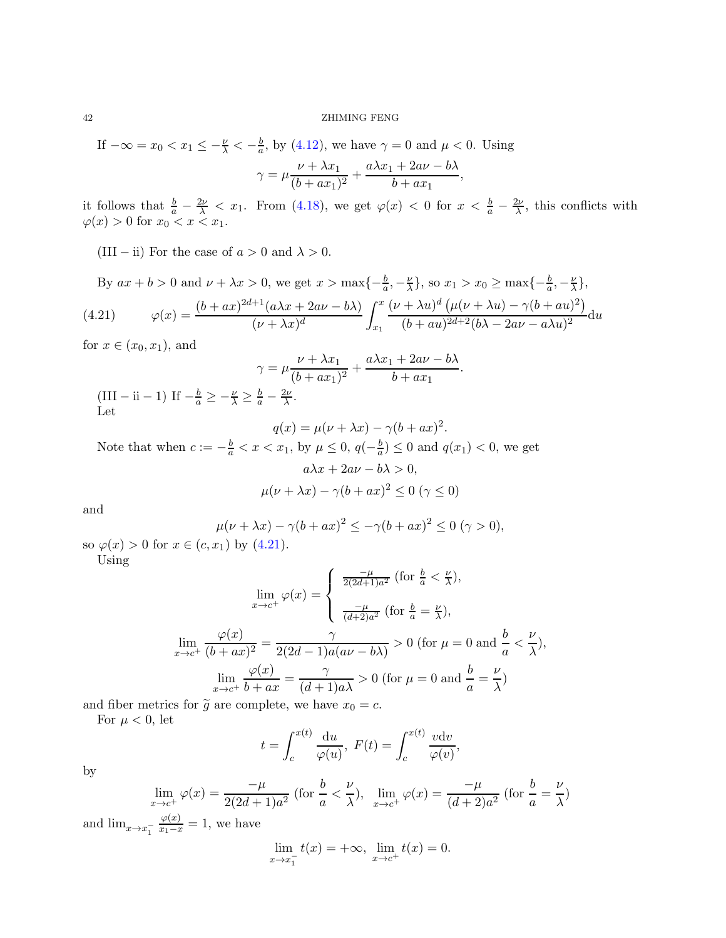#### 42 ZHIMING FENG

If  $-\infty = x_0 < x_1 \leq -\frac{\nu}{\lambda} < -\frac{b}{a}$  $\frac{b}{a}$ , by [\(4.12\)](#page-32-0), we have  $\gamma = 0$  and  $\mu < 0$ . Using  $\gamma = \mu \frac{\nu + \lambda x_1}{\mu}$  $\frac{\nu + \lambda x_1}{(b + ax_1)^2} + \frac{a\lambda x_1 + 2a\nu - b\lambda}{b + ax_1}$  $\frac{b + 2ax + bx}{b + ax_1}$ ,

it follows that  $\frac{b}{a} - \frac{2\nu}{\lambda} < x_1$ . From [\(4.18\)](#page-39-1), we get  $\varphi(x) < 0$  for  $x < \frac{b}{a} - \frac{2\nu}{\lambda}$ , this conflicts with  $\varphi(x) > 0$  for  $x_0 < x < x_1$ .

(III – ii) For the case of  $a > 0$  and  $\lambda > 0$ .

By  $ax + b > 0$  and  $\nu + \lambda x > 0$ , we get  $x > \max\{-\frac{b}{a}, -\frac{\nu}{\lambda}\}$  $\frac{\nu}{\lambda}$ , so  $x_1 > x_0 \ge \max\{-\frac{b}{a}, -\frac{\nu}{\lambda}\}$  $\frac{\nu}{\lambda}\},$ (4.21)  $\varphi(x) = \frac{(b+ax)^{2d+1}(a\lambda x + 2a\nu - b\lambda)}{(a+b)(a+b)}$  $(\nu + \lambda x)^d$  $\int_0^x$  $\overline{x_1}$  $(\nu + \lambda u)^d (\mu(\nu + \lambda u) - \gamma (b + au)^2)$  $\frac{(b + au)^{2d+2}(b\lambda - 2a\nu - a\lambda u)^2}{(b + au)^{2d+2}(b\lambda - 2a\nu - a\lambda u)^2}$ 

for  $x \in (x_0, x_1)$ , and

<span id="page-41-0"></span>
$$
\gamma = \mu \frac{\nu + \lambda x_1}{(b + ax_1)^2} + \frac{a\lambda x_1 + 2a\nu - b\lambda}{b + ax_1}.
$$
  
(III – ii – 1) If  $-\frac{b}{a} \ge -\frac{\nu}{\lambda} \ge \frac{b}{a} - \frac{2\nu}{\lambda}$ .  
Let

$$
q(x) = \mu(\nu + \lambda x) - \gamma (b + ax)^2.
$$

Note that when  $c := -\frac{b}{a} < x < x_1$ , by  $\mu \leq 0$ ,  $q(-\frac{b}{a})$  $\frac{b}{a}$ )  $\leq 0$  and  $q(x_1) < 0$ , we get  $a\lambda x + 2a\nu - b\lambda > 0,$ 

$$
\mu(\nu+\lambda x)-\gamma(b+ax)^2\leq 0\; (\gamma\leq 0)
$$

and

$$
\mu(\nu + \lambda x) - \gamma (b + ax)^2 \le -\gamma (b + ax)^2 \le 0 \quad (\gamma > 0),
$$

so  $\varphi(x) > 0$  for  $x \in (c, x_1)$  by  $(4.21)$ . Using

$$
\lim_{x \to c^{+}} \varphi(x) = \begin{cases} \frac{-\mu}{2(2d+1)a^{2}} \text{ (for } \frac{b}{a} < \frac{\nu}{\lambda}), \\ \frac{-\mu}{(d+2)a^{2}} \text{ (for } \frac{b}{a} = \frac{\nu}{\lambda}), \end{cases}
$$

$$
\lim_{x \to c^{+}} \frac{\varphi(x)}{(b+ax)^{2}} = \frac{\gamma}{2(2d-1)a(a\nu - b\lambda)} > 0 \text{ (for } \mu = 0 \text{ and } \frac{b}{a} < \frac{\nu}{\lambda}),
$$

$$
\lim_{x \to c^{+}} \frac{\varphi(x)}{b+ax} = \frac{\gamma}{(d+1)a\lambda} > 0 \text{ (for } \mu = 0 \text{ and } \frac{b}{a} = \frac{\nu}{\lambda})
$$

and fiber metrics for  $\tilde{g}$  are complete, we have  $x_0 = c$ .

For  $\mu < 0$ , let

$$
t = \int_{c}^{x(t)} \frac{\mathrm{d}u}{\varphi(u)}, \ F(t) = \int_{c}^{x(t)} \frac{v \mathrm{d}v}{\varphi(v)},
$$

by

$$
\lim_{x \to c^{+}} \varphi(x) = \frac{-\mu}{2(2d+1)a^2} \text{ (for } \frac{b}{a} < \frac{\nu}{\lambda}\text{)}, \lim_{x \to c^{+}} \varphi(x) = \frac{-\mu}{(d+2)a^2} \text{ (for } \frac{b}{a} = \frac{\nu}{\lambda}\text{)}
$$

and  $\lim_{x \to x_1^-}$  $\frac{\varphi(x)}{x_1-x} = 1$ , we have

$$
\lim_{x \to x_1^-} t(x) = +\infty, \ \lim_{x \to c^+} t(x) = 0.
$$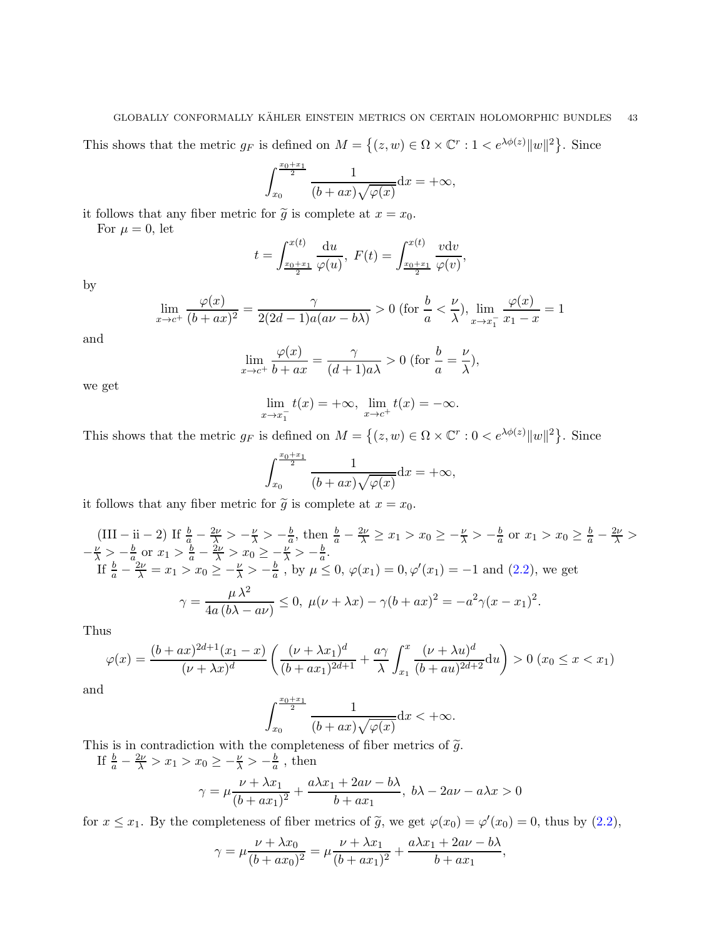#### GLOBALLY CONFORMALLY KÄHLER EINSTEIN METRICS ON CERTAIN HOLOMORPHIC BUNDLES 43

This shows that the metric  $g_F$  is defined on  $M = \{(z, w) \in \Omega \times \mathbb{C}^r : 1 < e^{\lambda \phi(z)} ||w||^2 \}$ . Since

$$
\int_{x_0}^{\frac{x_0+x_1}{2}} \frac{1}{(b+ax)\sqrt{\varphi(x)}} \mathrm{d}x = +\infty,
$$

it follows that any fiber metric for  $\tilde{g}$  is complete at  $x = x_0$ .

For  $\mu = 0$ , let

$$
t = \int_{\frac{x_0 + x_1}{2}}^{x(t)} \frac{du}{\varphi(u)}, \ F(t) = \int_{\frac{x_0 + x_1}{2}}^{x(t)} \frac{v dv}{\varphi(v)},
$$

by

$$
\lim_{x \to c^+} \frac{\varphi(x)}{(b+ax)^2} = \frac{\gamma}{2(2d-1)a(a\nu - b\lambda)} > 0 \text{ (for } \frac{b}{a} < \frac{\nu}{\lambda}\text{), } \lim_{x \to x_1^-} \frac{\varphi(x)}{x_1 - x} = 1
$$

and

$$
\lim_{x \to c^{+}} \frac{\varphi(x)}{b + ax} = \frac{\gamma}{(d+1)a\lambda} > 0 \text{ (for } \frac{b}{a} = \frac{\nu}{\lambda}\text{)},
$$

we get

$$
\lim_{x \to x_1^-} t(x) = +\infty, \ \lim_{x \to c^+} t(x) = -\infty.
$$

This shows that the metric  $g_F$  is defined on  $M = \{(z, w) \in \Omega \times \mathbb{C}^r : 0 < e^{\lambda \phi(z)} ||w||^2 \}$ . Since

$$
\int_{x_0}^{\frac{x_0+x_1}{2}} \frac{1}{(b+ax)\sqrt{\varphi(x)}} \mathrm{d}x = +\infty,
$$

it follows that any fiber metric for  $\tilde{g}$  is complete at  $x = x_0$ .

$$
\begin{aligned}\n\text{(III} - \text{ii} - 2) \text{ If } \frac{b}{a} - \frac{2\nu}{\lambda} > -\frac{\nu}{\lambda} > -\frac{b}{a}, \text{ then } \frac{b}{a} - \frac{2\nu}{\lambda} \ge x_1 > x_0 \ge -\frac{\nu}{\lambda} > -\frac{b}{a} \text{ or } x_1 > x_0 \ge \frac{b}{a} - \frac{2\nu}{\lambda} > \\
-\frac{\nu}{\lambda} > -\frac{b}{a} \text{ or } x_1 > \frac{b}{a} - \frac{2\nu}{\lambda} > x_0 \ge -\frac{\nu}{\lambda} > -\frac{b}{a}. \\
\text{If } \frac{b}{a} - \frac{2\nu}{\lambda} = x_1 > x_0 \ge -\frac{\nu}{\lambda} > -\frac{b}{a}, \text{ by } \mu \le 0, \ \varphi(x_1) = 0, \varphi'(x_1) = -1 \text{ and } (2.2), \text{ we get} \\
\gamma = \frac{\mu \lambda^2}{4a(b\lambda - a\nu)} \le 0, \ \mu(\nu + \lambda x) - \gamma(b + ax)^2 = -a^2 \gamma(x - x_1)^2.\n\end{aligned}
$$

Thus

$$
\varphi(x) = \frac{(b+ax)^{2d+1}(x_1-x)}{(\nu+\lambda x)^d} \left( \frac{(\nu+\lambda x_1)^d}{(b+ax_1)^{2d+1}} + \frac{a\gamma}{\lambda} \int_{x_1}^x \frac{(\nu+\lambda u)^d}{(b+au)^{2d+2}} du \right) > 0 \ (x_0 \le x < x_1)
$$

and

$$
\int_{x_0}^{\frac{x_0+x_1}{2}} \frac{1}{(b+ax)\sqrt{\varphi(x)}} \mathrm{d}x < +\infty.
$$

This is in contradiction with the completeness of fiber metrics of  $\tilde{g}$ .

If 
$$
\frac{b}{a} - \frac{2\nu}{\lambda} > x_1 > x_0 \ge -\frac{\nu}{\lambda} > -\frac{b}{a}
$$
, then  

$$
\gamma = \mu \frac{\nu + \lambda x_1}{(b + ax_1)^2} + \frac{a\lambda x_1 + 2a\nu - b\lambda}{b + ax_1}, \quad b\lambda - 2a\nu - a\lambda x > 0
$$

for  $x \le x_1$ . By the completeness of fiber metrics of  $\tilde{g}$ , we get  $\varphi(x_0) = \varphi'(x_0) = 0$ , thus by  $(2.2)$ ,

$$
\gamma = \mu \frac{\nu + \lambda x_0}{(b + ax_0)^2} = \mu \frac{\nu + \lambda x_1}{(b + ax_1)^2} + \frac{a\lambda x_1 + 2a\nu - b\lambda}{b + ax_1},
$$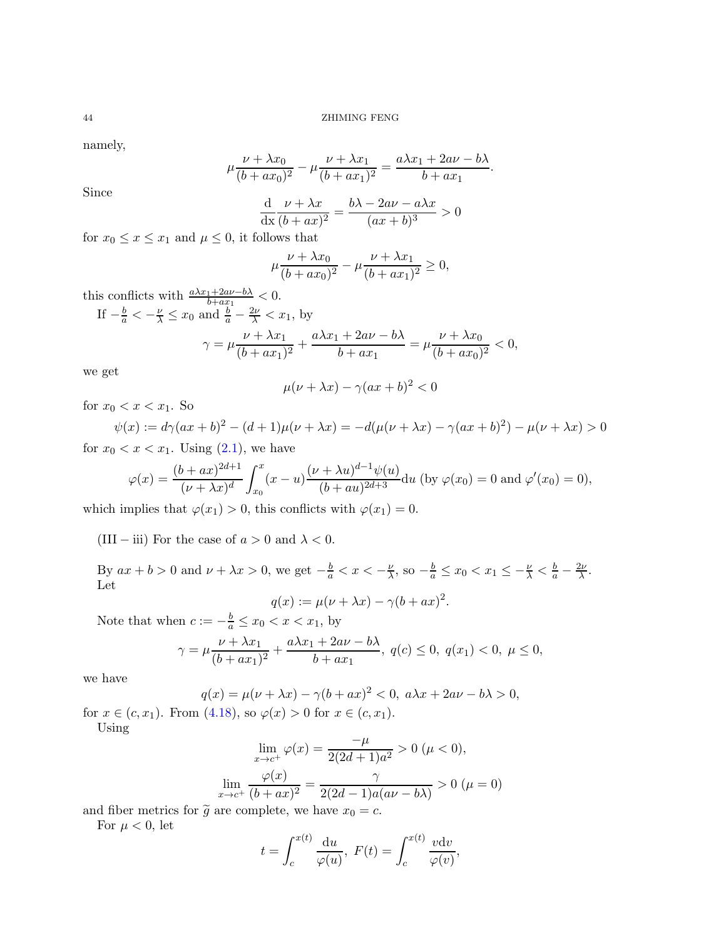namely,

$$
\mu \frac{\nu + \lambda x_0}{(b + ax_0)^2} - \mu \frac{\nu + \lambda x_1}{(b + ax_1)^2} = \frac{a\lambda x_1 + 2a\nu - b\lambda}{b + ax_1}.
$$

Since

$$
\frac{\mathrm{d}}{\mathrm{d}x}\frac{\nu + \lambda x}{(b + ax)^2} = \frac{b\lambda - 2a\nu - a\lambda x}{(ax + b)^3} > 0
$$

for  $x_0 \leq x \leq x_1$  and  $\mu \leq 0$ , it follows that

$$
\mu \frac{\nu + \lambda x_0}{(b + ax_0)^2} - \mu \frac{\nu + \lambda x_1}{(b + ax_1)^2} \ge 0,
$$

this conflicts with  $\frac{a\lambda x_1 + 2a\nu - b\lambda}{b + ax_1} < 0.$ If  $-\frac{b}{a} < -\frac{\nu}{\lambda} \le x_0$  and  $\frac{b}{a} - \frac{2\nu}{\lambda} < x_1$ , by

$$
\gamma = \mu \frac{\nu + \lambda x_1}{(b + ax_1)^2} + \frac{a\lambda x_1 + 2a\nu - b\lambda}{b + ax_1} = \mu \frac{\nu + \lambda x_0}{(b + ax_0)^2} < 0,
$$

we get

$$
\mu(\nu + \lambda x) - \gamma(ax + b)^2 < 0
$$

for  $x_0 < x < x_1$ . So

$$
\psi(x) := d\gamma (ax + b)^2 - (d+1)\mu(\nu + \lambda x) = -d(\mu(\nu + \lambda x) - \gamma(ax + b)^2) - \mu(\nu + \lambda x) > 0
$$
  
  $x_0 < x < x_1$  Using (2.1) we have

for  $x_0 < x < x_1$ . Using  $(2.1)$ , we have

$$
\varphi(x) = \frac{(b+ax)^{2d+1}}{(\nu+\lambda x)^d} \int_{x_0}^x (x-u) \frac{(\nu+\lambda u)^{d-1} \psi(u)}{(b+au)^{2d+3}} du
$$
 (by  $\varphi(x_0) = 0$  and  $\varphi'(x_0) = 0$ ),

which implies that  $\varphi(x_1) > 0$ , this conflicts with  $\varphi(x_1) = 0$ .

(III – iii) For the case of  $a > 0$  and  $\lambda < 0$ .

By  $ax + b > 0$  and  $\nu + \lambda x > 0$ , we get  $-\frac{b}{a} < x < -\frac{\nu}{\lambda}$  $\frac{\nu}{\lambda}$ , so  $-\frac{b}{a} \leq x_0 < x_1 \leq -\frac{\nu}{\lambda} < \frac{b}{a} - \frac{2\nu}{\lambda}$ . Let

$$
q(x) := \mu(\nu + \lambda x) - \gamma (b + ax)^2.
$$

Note that when  $c := -\frac{b}{a} \le x_0 < x < x_1$ , by

$$
\gamma = \mu \frac{\nu + \lambda x_1}{(b + ax_1)^2} + \frac{a\lambda x_1 + 2a\nu - b\lambda}{b + ax_1}, \ q(c) \le 0, \ q(x_1) < 0, \ \mu \le 0,
$$

we have

$$
q(x) = \mu(\nu + \lambda x) - \gamma(b + ax)^2 < 0, \ a\lambda x + 2a\nu - b\lambda > 0,
$$
\n
$$
(4.19) \quad (1.10)
$$

for  $x \in (c, x_1)$ . From  $(4.18)$ , so  $\varphi(x) > 0$  for  $x \in (c, x_1)$ .

$$
\operatorname{Using}
$$

$$
\lim_{x \to c^{+}} \varphi(x) = \frac{-\mu}{2(2d+1)a^2} > 0 \ (\mu < 0),
$$

$$
\lim_{x \to c^{+}} \frac{\varphi(x)}{(b+ax)^2} = \frac{\gamma}{2(2d-1)a(a\nu - b\lambda)} > 0 \ (\mu = 0)
$$

and fiber metrics for  $\tilde{g}$  are complete, we have  $x_0 = c$ .

For  $\mu < 0$ , let

$$
t = \int_{c}^{x(t)} \frac{\mathrm{d}u}{\varphi(u)}, \ F(t) = \int_{c}^{x(t)} \frac{v \mathrm{d}v}{\varphi(v)},
$$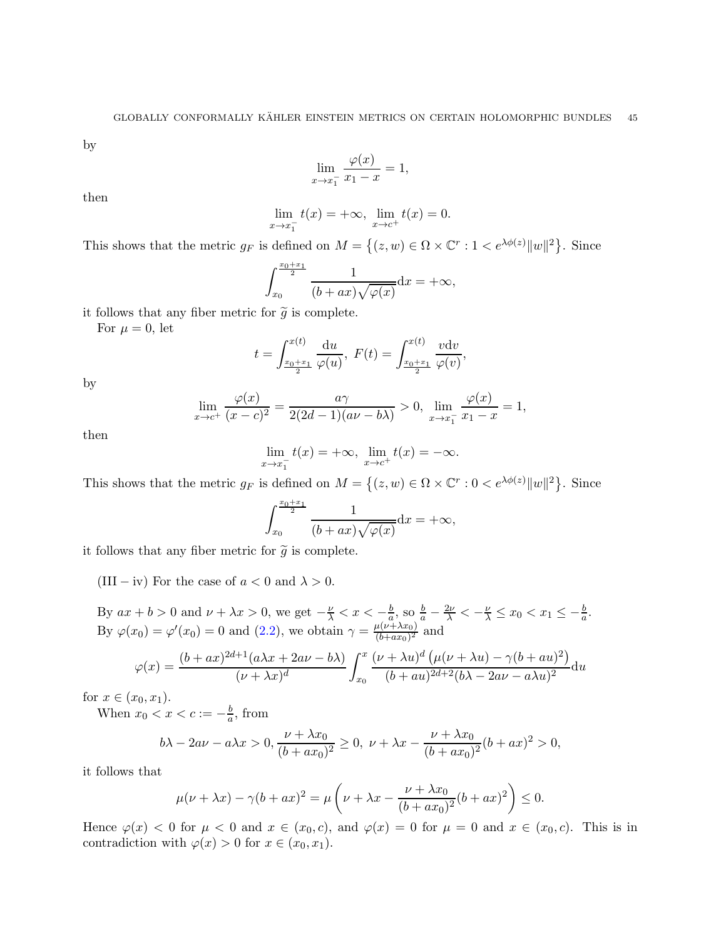by

$$
\lim_{x \to x_1^-} \frac{\varphi(x)}{x_1 - x} = 1,
$$

then

$$
\lim_{x \to x_1^-} t(x) = +\infty, \ \lim_{x \to c^+} t(x) = 0.
$$

This shows that the metric  $g_F$  is defined on  $M = \{(z, w) \in \Omega \times \mathbb{C}^r : 1 < e^{\lambda \phi(z)} ||w||^2 \}$ . Since

$$
\int_{x_0}^{\frac{x_0+x_1}{2}} \frac{1}{(b+ax)\sqrt{\varphi(x)}} \mathrm{d}x = +\infty,
$$

it follows that any fiber metric for  $\tilde{g}$  is complete.

For  $\mu = 0$ , let

$$
t = \int_{\frac{x_0 + x_1}{2}}^{x(t)} \frac{\mathrm{d}u}{\varphi(u)}, \ F(t) = \int_{\frac{x_0 + x_1}{2}}^{x(t)} \frac{v \mathrm{d}v}{\varphi(v)},
$$

by

$$
\lim_{x \to c^{+}} \frac{\varphi(x)}{(x - c)^{2}} = \frac{a\gamma}{2(2d - 1)(a\nu - b\lambda)} > 0, \lim_{x \to x_{1}^{-}} \frac{\varphi(x)}{x_{1} - x} = 1,
$$

then

$$
\lim_{x \to x_1^-} t(x) = +\infty, \ \lim_{x \to c^+} t(x) = -\infty.
$$

This shows that the metric  $g_F$  is defined on  $M = \{(z, w) \in \Omega \times \mathbb{C}^r : 0 < e^{\lambda \phi(z)} ||w||^2 \}$ . Since

$$
\int_{x_0}^{\frac{x_0+x_1}{2}} \frac{1}{(b+ax)\sqrt{\varphi(x)}} \mathrm{d}x = +\infty,
$$

it follows that any fiber metric for  $\tilde{g}$  is complete.

(III – iv) For the case of  $a < 0$  and  $\lambda > 0$ .

By  $ax + b > 0$  and  $\nu + \lambda x > 0$ , we get  $-\frac{\nu}{\lambda} < x < -\frac{b}{a}$  $\frac{b}{a}$ , so  $\frac{b}{a} - \frac{2\nu}{\lambda} < -\frac{\nu}{\lambda} \leq x_0 < x_1 \leq -\frac{b}{a}$ . By  $\varphi(x_0) = \varphi'(x_0) = 0$  and  $(2.2)$ , we obtain  $\gamma = \frac{\mu(\nu + \lambda x_0)}{(b + ax_0)^2}$  $\frac{a(\nu+\lambda x_0)}{(b+ax_0)^2}$  and

$$
\varphi(x) = \frac{(b+ax)^{2d+1}(a\lambda x + 2a\nu - b\lambda)}{(\nu+\lambda x)^d} \int_{x_0}^x \frac{(\nu+\lambda u)^d (\mu(\nu+\lambda u) - \gamma(b+au)^2)}{(b+au)^{2d+2}(b\lambda - 2a\nu - a\lambda u)^2} du
$$

for  $x \in (x_0, x_1)$ .

When  $x_0 < x < c := -\frac{b}{a}$  $\frac{b}{a}$ , from

$$
b\lambda - 2a\nu - a\lambda x > 0, \frac{\nu + \lambda x_0}{(b + ax_0)^2} \ge 0, \ \nu + \lambda x - \frac{\nu + \lambda x_0}{(b + ax_0)^2}(b + ax)^2 > 0,
$$

it follows that

$$
\mu(\nu + \lambda x) - \gamma (b + ax)^2 = \mu \left( \nu + \lambda x - \frac{\nu + \lambda x_0}{(b + ax_0)^2} (b + ax)^2 \right) \le 0.
$$

Hence  $\varphi(x) < 0$  for  $\mu < 0$  and  $x \in (x_0, c)$ , and  $\varphi(x) = 0$  for  $\mu = 0$  and  $x \in (x_0, c)$ . This is in contradiction with  $\varphi(x) > 0$  for  $x \in (x_0, x_1)$ .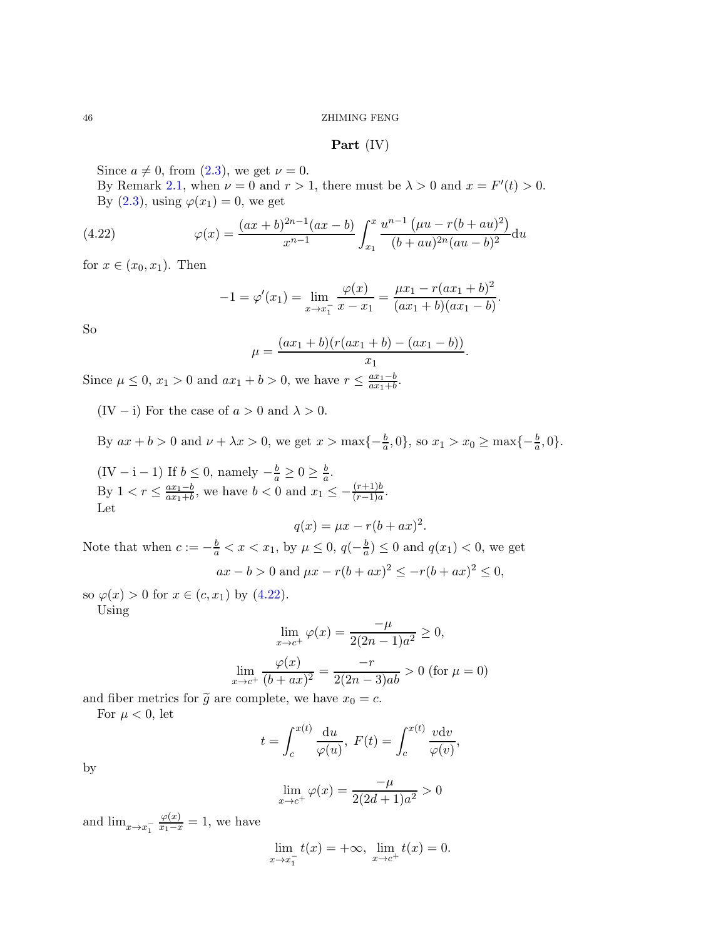Part (IV)

Since  $a \neq 0$ , from  $(2.3)$ , we get  $\nu = 0$ .

By Remark [2.1,](#page-8-0) when  $\nu = 0$  and  $r > 1$ , there must be  $\lambda > 0$  and  $x = F'(t) > 0$ . By  $(2.3)$ , using  $\varphi(x_1) = 0$ , we get

(4.22) 
$$
\varphi(x) = \frac{(ax+b)^{2n-1}(ax-b)}{x^{n-1}} \int_{x_1}^x \frac{u^{n-1}(\mu u - r(b+au)^2)}{(b+au)^{2n}(au-b)^2} du
$$

for  $x \in (x_0, x_1)$ . Then

<span id="page-45-0"></span>
$$
-1 = \varphi'(x_1) = \lim_{x \to x_1^-} \frac{\varphi(x)}{x - x_1} = \frac{\mu x_1 - r(ax_1 + b)^2}{(ax_1 + b)(ax_1 - b)}.
$$

So

$$
\mu = \frac{(ax_1 + b)(r(ax_1 + b) - (ax_1 - b))}{x_1}.
$$

Since  $\mu \le 0$ ,  $x_1 > 0$  and  $ax_1 + b > 0$ , we have  $r \le \frac{ax_1 - b}{ax_1 + b}$ .

(IV – i) For the case of  $a > 0$  and  $\lambda > 0$ .

By  $ax + b > 0$  and  $\nu + \lambda x > 0$ , we get  $x > \max\{-\frac{b}{a}, 0\}$ , so  $x_1 > x_0 \ge \max\{-\frac{b}{a}, 0\}$ .

(IV – i – 1) If  $b \le 0$ , namely  $-\frac{b}{a} \ge 0 \ge \frac{b}{a}$ . By  $1 < r \leq \frac{ax_1-b}{ax_1+b}$ , we have  $b < 0$  and  $x_1 \leq -\frac{(r+1)b}{(r-1)a}$ . Let

$$
q(x) = \mu x - r(b + ax)^2.
$$

Note that when  $c := -\frac{b}{a} < x < x_1$ , by  $\mu \leq 0$ ,  $q(-\frac{b}{a})$  $\frac{b}{a}$ )  $\leq 0$  and  $q(x_1) < 0$ , we get  $ax - b > 0$  and  $\mu x - r(b + ax)^2 \leq -r(b + ax)^2 \leq 0$ ,

so  $\varphi(x) > 0$  for  $x \in (c, x_1)$  by  $(4.22)$ . Using

$$
\lim_{x \to c^{+}} \varphi(x) = \frac{-\mu}{2(2n - 1)a^2} \ge 0,
$$
  

$$
\lim_{x \to c^{+}} \frac{\varphi(x)}{(b + ax)^2} = \frac{-r}{2(2n - 3)ab} > 0 \text{ (for } \mu = 0)
$$

and fiber metrics for  $\tilde{g}$  are complete, we have  $x_0 = c$ .

For  $\mu < 0$ , let

$$
t = \int_{c}^{x(t)} \frac{\mathrm{d}u}{\varphi(u)}, \ F(t) = \int_{c}^{x(t)} \frac{v \mathrm{d}v}{\varphi(v)},
$$

by

$$
\lim_{x \to c^{+}} \varphi(x) = \frac{-\mu}{2(2d+1)a^2} > 0
$$

and  $\lim_{x \to x_1^-}$  $\frac{\varphi(x)}{x_1-x} = 1$ , we have

$$
\lim_{x \to x_1^-} t(x) = +\infty, \ \lim_{x \to c^+} t(x) = 0.
$$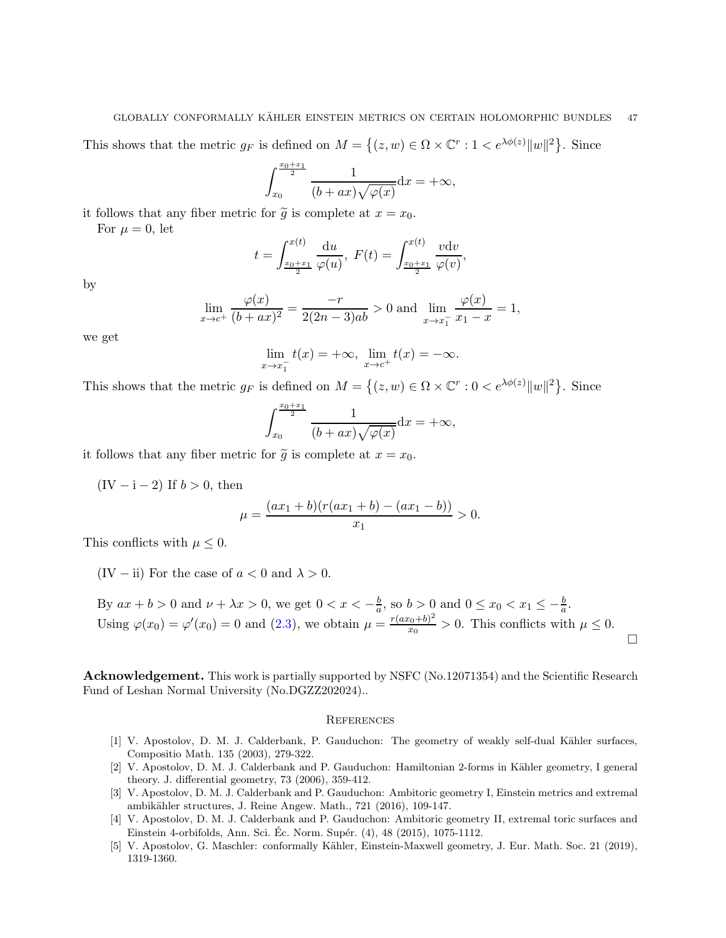### GLOBALLY CONFORMALLY KÄHLER EINSTEIN METRICS ON CERTAIN HOLOMORPHIC BUNDLES  $\quad$  47  $\quad$

This shows that the metric  $g_F$  is defined on  $M = \{(z, w) \in \Omega \times \mathbb{C}^r : 1 < e^{\lambda \phi(z)} ||w||^2 \}$ . Since

$$
\int_{x_0}^{\frac{x_0+x_1}{2}} \frac{1}{(b+ax)\sqrt{\varphi(x)}} \mathrm{d}x = +\infty,
$$

it follows that any fiber metric for  $\tilde{g}$  is complete at  $x = x_0$ .

For  $\mu = 0$ , let

$$
t = \int_{\frac{x_0 + x_1}{2}}^{x(t)} \frac{du}{\varphi(u)}, \ F(t) = \int_{\frac{x_0 + x_1}{2}}^{x(t)} \frac{v dv}{\varphi(v)},
$$

by

$$
\lim_{x \to c^{+}} \frac{\varphi(x)}{(b+ax)^{2}} = \frac{-r}{2(2n-3)ab} > 0 \text{ and } \lim_{x \to x_{1}^{-}} \frac{\varphi(x)}{x_{1}-x} = 1,
$$

we get

$$
\lim_{x \to x_1^{-}} t(x) = +\infty, \ \lim_{x \to c^{+}} t(x) = -\infty.
$$

This shows that the metric  $g_F$  is defined on  $M = \{(z, w) \in \Omega \times \mathbb{C}^r : 0 < e^{\lambda \phi(z)} ||w||^2 \}$ . Since

$$
\int_{x_0}^{\frac{x_0+x_1}{2}} \frac{1}{(b+ax)\sqrt{\varphi(x)}} \mathrm{d}x = +\infty,
$$

it follows that any fiber metric for  $\tilde{g}$  is complete at  $x = x_0$ .

 $(IV - i - 2)$  If  $b > 0$ , then

$$
\mu = \frac{(ax_1 + b)(r(ax_1 + b) - (ax_1 - b))}{x_1} > 0.
$$

This conflicts with  $\mu \leq 0$ .

(IV – ii) For the case of  $a < 0$  and  $\lambda > 0$ .

By  $ax + b > 0$  and  $\nu + \lambda x > 0$ , we get  $0 < x < -\frac{b}{a}$  $\frac{b}{a}$ , so  $b > 0$  and  $0 \le x_0 < x_1 \le -\frac{b}{a}$ . Using  $\varphi(x_0) = \varphi'(x_0) = 0$  and  $(2.3)$ , we obtain  $\mu = \frac{r(ax_0 + b)^2}{x_0}$  $\frac{x_0+0}{x_0} > 0$ . This conflicts with  $\mu \leq 0$ .  $\Box$ 

Acknowledgement. This work is partially supported by NSFC (No.12071354) and the Scientific Research Fund of Leshan Normal University (No.DGZZ202024)..

#### **REFERENCES**

- <span id="page-46-4"></span>[1] V. Apostolov, D. M. J. Calderbank, P. Gauduchon: The geometry of weakly self-dual Kähler surfaces, Compositio Math. 135 (2003), 279-322.
- <span id="page-46-3"></span>[2] V. Apostolov, D. M. J. Calderbank and P. Gauduchon: Hamiltonian 2-forms in Kähler geometry, I general theory. J. differential geometry, 73 (2006), 359-412.
- <span id="page-46-0"></span>[3] V. Apostolov, D. M. J. Calderbank and P. Gauduchon: Ambitoric geometry I, Einstein metrics and extremal ambikähler structures, J. Reine Angew. Math., 721 (2016), 109-147.
- <span id="page-46-1"></span>[4] V. Apostolov, D. M. J. Calderbank and P. Gauduchon: Ambitoric geometry II, extremal toric surfaces and Einstein 4-orbifolds, Ann. Sci. Éc. Norm. Supér.  $(4)$ ,  $48$   $(2015)$ ,  $1075-1112$ .
- <span id="page-46-2"></span>[5] V. Apostolov, G. Maschler: conformally Kähler, Einstein-Maxwell geometry, J. Eur. Math. Soc. 21 (2019), 1319-1360.